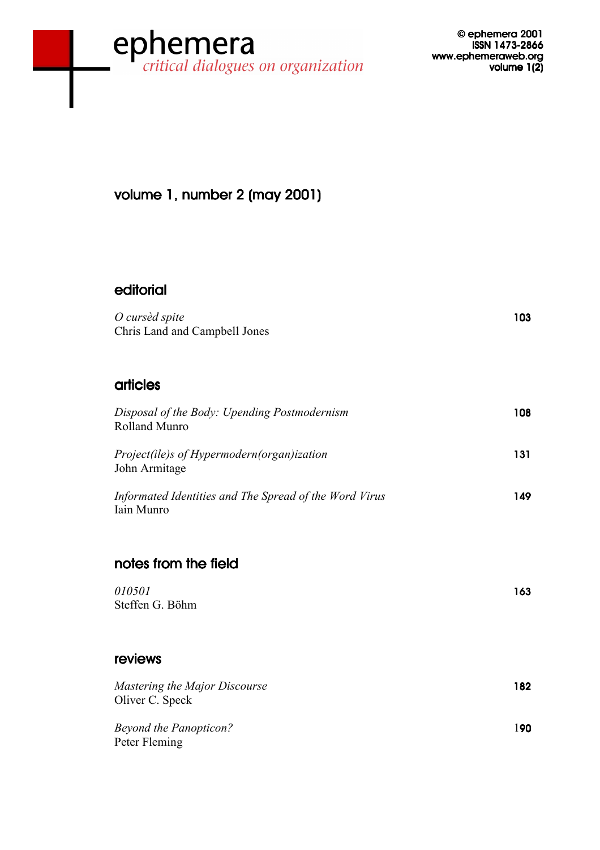volume 1, number 2 (may 2001)

# editorial

| O cursèd spite<br>Chris Land and Campbell Jones                      | 103 |
|----------------------------------------------------------------------|-----|
| <b>articles</b>                                                      |     |
| Disposal of the Body: Upending Postmodernism<br><b>Rolland Munro</b> | 108 |
| Project(ile)s of Hypermodern(organ)ization<br>John Armitage          | 131 |
| Informated Identities and The Spread of the Word Virus<br>Iain Munro | 149 |
| notes from the field                                                 |     |
| 010501                                                               | 163 |

### reviews

Steffen G. Böhm

| Mastering the Major Discourse<br>Oliver C. Speck | 182 |
|--------------------------------------------------|-----|
| <b>Beyond the Panopticon?</b><br>Peter Fleming   | 190 |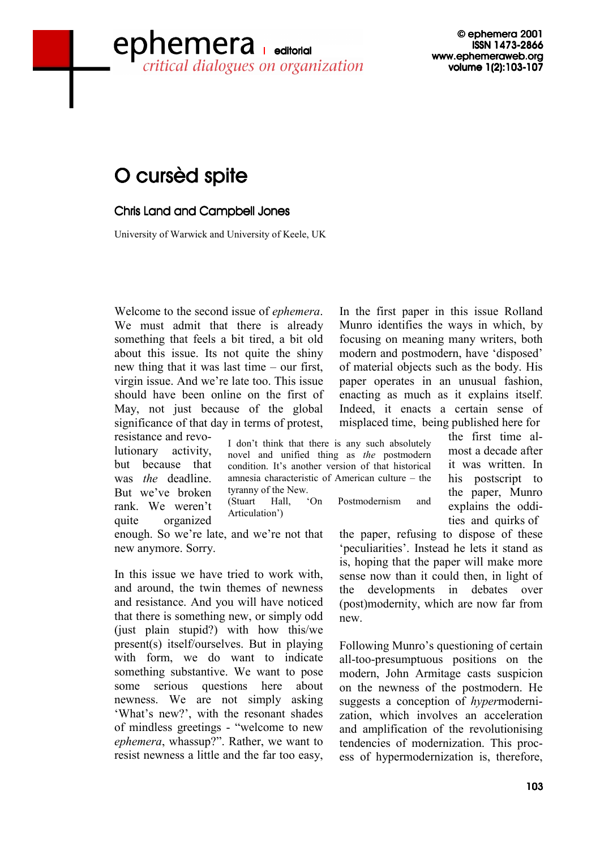# $CDIICIICI G |$ editorial www.ephemeraweb.org

© ephemera 2001 © 2001 2001 ISSN 1473-2866 volume 1(2):103-107

# O cursèd spite

#### Chris Land and Campbell Jones

University of Warwick and University of Keele, UK

Welcome to the second issue of *ephemera*. We must admit that there is already something that feels a bit tired, a bit old about this issue. Its not quite the shiny new thing that it was last time – our first, virgin issue. And we're late too. This issue should have been online on the first of May, not just because of the global significance of that day in terms of protest,

resistance and revolutionary activity, but because that was *the* deadline. But we've broken rank. We weren't quite organized

I don't think that there is any such absolutely novel and unified thing as *the* postmodern condition. It's another version of that historical amnesia characteristic of American culture – the tyranny of the New. (Stuart Hall, 'On Postmodernism and

Articulation')

enough. So we're late, and we're not that new anymore. Sorry.

In this issue we have tried to work with, and around, the twin themes of newness and resistance. And you will have noticed that there is something new, or simply odd (just plain stupid?) with how this/we present(s) itself/ourselves. But in playing with form, we do want to indicate something substantive. We want to pose some serious questions here about newness. We are not simply asking 'What's new?', with the resonant shades of mindless greetings - "welcome to new *ephemera*, whassup?". Rather, we want to resist newness a little and the far too easy,

In the first paper in this issue Rolland Munro identifies the ways in which, by focusing on meaning many writers, both modern and postmodern, have 'disposed' of material objects such as the body. His paper operates in an unusual fashion, enacting as much as it explains itself. Indeed, it enacts a certain sense of misplaced time, being published here for

his postscript to the paper, Munro explains the oddities and quirks of the paper, refusing to dispose of these 'peculiarities'. Instead he lets it stand as is, hoping that the paper will make more

the first time almost a decade after it was written. In

sense now than it could then, in light of the developments in debates over (post)modernity, which are now far from new.

Following Munro's questioning of certain all-too-presumptuous positions on the modern, John Armitage casts suspicion on the newness of the postmodern. He suggests a conception of *hyper*modernization, which involves an acceleration and amplification of the revolutionising tendencies of modernization. This process of hypermodernization is, therefore,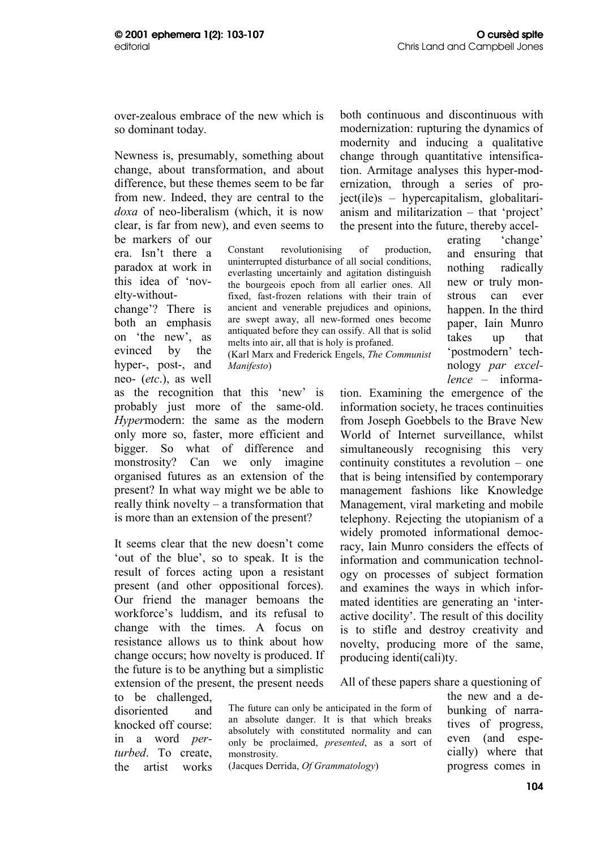over-zealous embrace of the new which is so dominant today.

Newness is, presumably, something about change, about transformation, and about difference, but these themes seem to be far from new. Indeed, they are central to the *doxa* of neo-liberalism (which, it is now clear, is far from new), and even seems to be markers of our

era. Isn't there a paradox at work in this idea of 'novelty-withoutchange'? There is both an emphasis on 'the new', as evinced by the hyper-, post-, and neo- (*etc*.), as well

Constant revolutionising of production, uninterrupted disturbance of all social conditions, everlasting uncertainly and agitation distinguish the bourgeois epoch from all earlier ones. All fixed, fast-frozen relations with their train of ancient and venerable prejudices and opinions, are swept away, all new-formed ones become antiquated before they can ossify. All that is solid melts into air, all that is holy is profaned.

(Karl Marx and Frederick Engels, *The Communist Manifesto*)

as the recognition that this 'new' is probably just more of the same-old. *Hyper*modern: the same as the modern only more so, faster, more efficient and bigger. So what of difference and monstrosity? Can we only imagine organised futures as an extension of the present? In what way might we be able to really think novelty – a transformation that is more than an extension of the present?

It seems clear that the new doesn't come 'out of the blue', so to speak. It is the result of forces acting upon a resistant present (and other oppositional forces). Our friend the manager bemoans the workforce's luddism, and its refusal to change with the times. A focus on resistance allows us to think about how change occurs; how novelty is produced. If the future is to be anything but a simplistic extension of the present, the present needs

to be challenged, disoriented and knocked off course: in a word *perturbed*. To create, the artist works

The future can only be anticipated in the form of an absolute danger. It is that which breaks absolutely with constituted normality and can only be proclaimed, *presented*, as a sort of monstrosity.

(Jacques Derrida, *Of Grammatology*)

both continuous and discontinuous with modernization: rupturing the dynamics of modernity and inducing a qualitative change through quantitative intensification. Armitage analyses this hyper-modernization, through a series of project(ile)s – hypercapitalism, globalitarianism and militarization – that 'project' the present into the future, thereby accel-

> erating 'change' and ensuring that nothing radically new or truly monstrous can ever happen. In the third paper, Iain Munro takes up that 'postmodern' technology *par excellence* – informa-

tion. Examining the emergence of the information society, he traces continuities from Joseph Goebbels to the Brave New World of Internet surveillance, whilst simultaneously recognising this very continuity constitutes a revolution – one that is being intensified by contemporary management fashions like Knowledge Management, viral marketing and mobile telephony. Rejecting the utopianism of a widely promoted informational democracy, Iain Munro considers the effects of information and communication technology on processes of subject formation and examines the ways in which informated identities are generating an 'interactive docility'. The result of this docility is to stifle and destroy creativity and novelty, producing more of the same, producing identi(cali)ty.

All of these papers share a questioning of

the new and a debunking of narratives of progress, even (and especially) where that progress comes in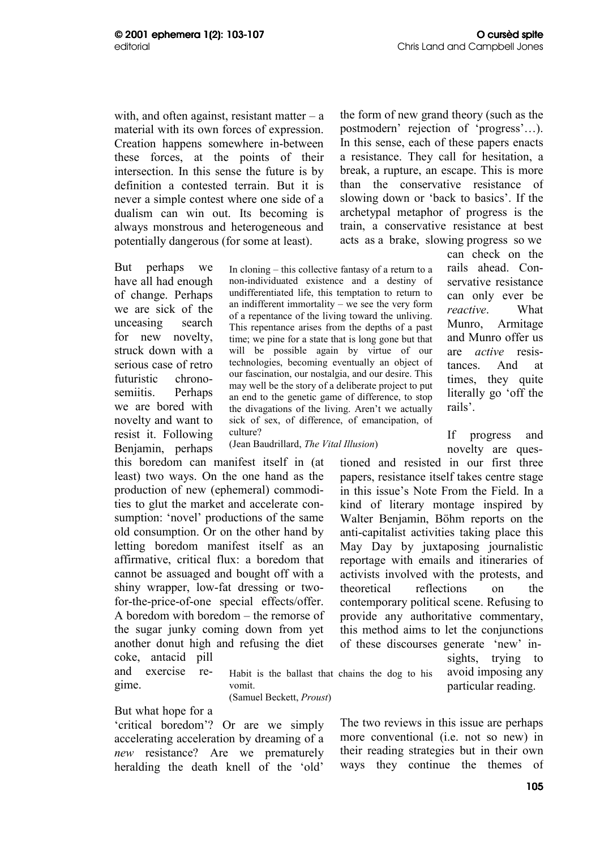with, and often against, resistant matter  $-$  a material with its own forces of expression. Creation happens somewhere in-between these forces, at the points of their intersection. In this sense the future is by definition a contested terrain. But it is never a simple contest where one side of a dualism can win out. Its becoming is always monstrous and heterogeneous and potentially dangerous (for some at least).

But perhaps we have all had enough of change. Perhaps we are sick of the unceasing search for new novelty, struck down with a serious case of retro futuristic chronosemiitis. Perhaps we are bored with novelty and want to resist it. Following Benjamin, perhaps

this boredom can manifest itself in (at least) two ways. On the one hand as the production of new (ephemeral) commodities to glut the market and accelerate consumption: 'novel' productions of the same old consumption. Or on the other hand by letting boredom manifest itself as an affirmative, critical flux: a boredom that cannot be assuaged and bought off with a shiny wrapper, low-fat dressing or twofor-the-price-of-one special effects/offer. A boredom with boredom – the remorse of the sugar junky coming down from yet another donut high and refusing the diet coke, antacid pill

and exercise regime.

vomit. (Samuel Beckett, *Proust*)

But what hope for a

'critical boredom'? Or are we simply accelerating acceleration by dreaming of a *new* resistance? Are we prematurely heralding the death knell of the 'old'

the form of new grand theory (such as the postmodern' rejection of 'progress'…). In this sense, each of these papers enacts a resistance. They call for hesitation, a break, a rupture, an escape. This is more than the conservative resistance of slowing down or 'back to basics'. If the archetypal metaphor of progress is the train, a conservative resistance at best acts as a brake, slowing progress so we

In cloning – this collective fantasy of a return to a non-individuated existence and a destiny of undifferentiated life, this temptation to return to an indifferent immortality – we see the very form of a repentance of the living toward the unliving. This repentance arises from the depths of a past time; we pine for a state that is long gone but that will be possible again by virtue of our technologies, becoming eventually an object of our fascination, our nostalgia, and our desire. This may well be the story of a deliberate project to put an end to the genetic game of difference, to stop the divagations of the living. Aren't we actually sick of sex, of difference, of emancipation, of culture?

(Jean Baudrillard, *The Vital Illusion*)

tioned and resisted in our first three papers, resistance itself takes centre stage in this issue's Note From the Field. In a kind of literary montage inspired by Walter Benjamin, Böhm reports on the anti-capitalist activities taking place this May Day by juxtaposing journalistic reportage with emails and itineraries of activists involved with the protests, and theoretical reflections on the contemporary political scene. Refusing to provide any authoritative commentary, this method aims to let the conjunctions of these discourses generate 'new' insights, trying to avoid imposing any particular reading. Habit is the ballast that chains the dog to his

> The two reviews in this issue are perhaps more conventional (i.e. not so new) in their reading strategies but in their own ways they continue the themes of

If progress and novelty are ques-

rails'.

can check on the rails ahead. Conservative resistance can only ever be *reactive*. What Munro, Armitage and Munro offer us are *active* resistances. And at times, they quite literally go 'off the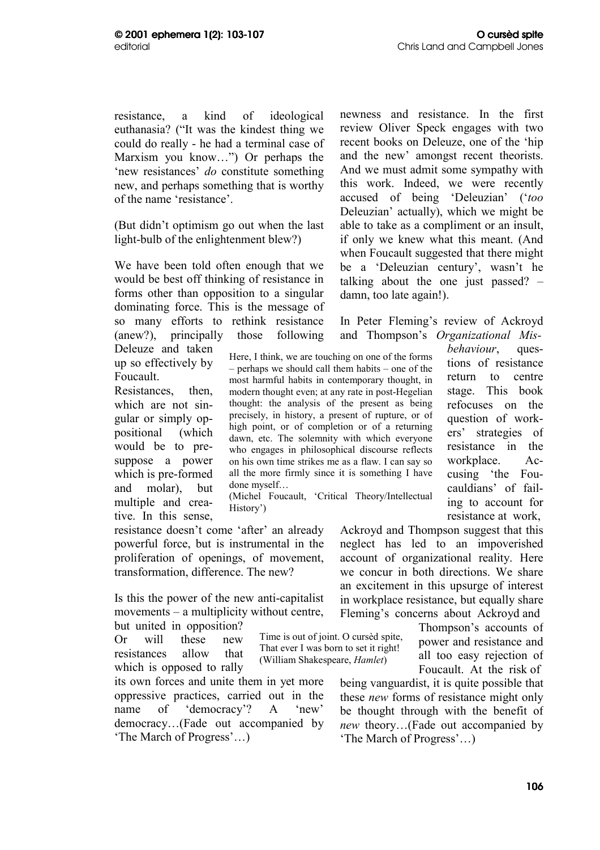resistance, a kind of ideological euthanasia? ("It was the kindest thing we could do really - he had a terminal case of Marxism you know…") Or perhaps the 'new resistances' *do* constitute something new, and perhaps something that is worthy of the name 'resistance'.

(But didn't optimism go out when the last light-bulb of the enlightenment blew?)

We have been told often enough that we would be best off thinking of resistance in forms other than opposition to a singular dominating force. This is the message of so many efforts to rethink resistance (anew?), principally those following

Deleuze and taken up so effectively by Foucault.

Resistances, then, which are not singular or simply oppositional (which would be to presuppose a power which is pre-formed and molar), but multiple and creative. In this sense,

Here, I think, we are touching on one of the forms – perhaps we should call them habits – one of the most harmful habits in contemporary thought, in modern thought even; at any rate in post-Hegelian thought: the analysis of the present as being precisely, in history, a present of rupture, or of high point, or of completion or of a returning dawn, etc. The solemnity with which everyone who engages in philosophical discourse reflects on his own time strikes me as a flaw. I can say so all the more firmly since it is something I have done myself…

(Michel Foucault, 'Critical Theory/Intellectual History')

> Time is out of joint. O cursèd spite, That ever I was born to set it right! (William Shakespeare, *Hamlet*)

resistance doesn't come 'after' an already powerful force, but is instrumental in the proliferation of openings, of movement, transformation, difference. The new?

Is this the power of the new anti-capitalist movements – a multiplicity without centre, but united in opposition?

Or will these new resistances allow that which is opposed to rally

its own forces and unite them in yet more oppressive practices, carried out in the name of 'democracy'? A 'new' democracy…(Fade out accompanied by 'The March of Progress'…)

newness and resistance. In the first review Oliver Speck engages with two recent books on Deleuze, one of the 'hip and the new' amongst recent theorists. And we must admit some sympathy with this work. Indeed, we were recently accused of being 'Deleuzian' ('*too* Deleuzian' actually), which we might be able to take as a compliment or an insult, if only we knew what this meant. (And when Foucault suggested that there might be a 'Deleuzian century', wasn't he talking about the one just passed? – damn, too late again!).

In Peter Fleming's review of Ackroyd and Thompson's *Organizational Mis-*

*behaviour*, questions of resistance return to centre stage. This book refocuses on the question of workers' strategies of resistance in the workplace. Accusing 'the Foucauldians' of failing to account for resistance at work,

Ackroyd and Thompson suggest that this neglect has led to an impoverished account of organizational reality. Here we concur in both directions. We share an excitement in this upsurge of interest in workplace resistance, but equally share Fleming's concerns about Ackroyd and

Thompson's accounts of power and resistance and all too easy rejection of Foucault. At the risk of

being vanguardist, it is quite possible that these *new* forms of resistance might only be thought through with the benefit of *new* theory…(Fade out accompanied by 'The March of Progress'…)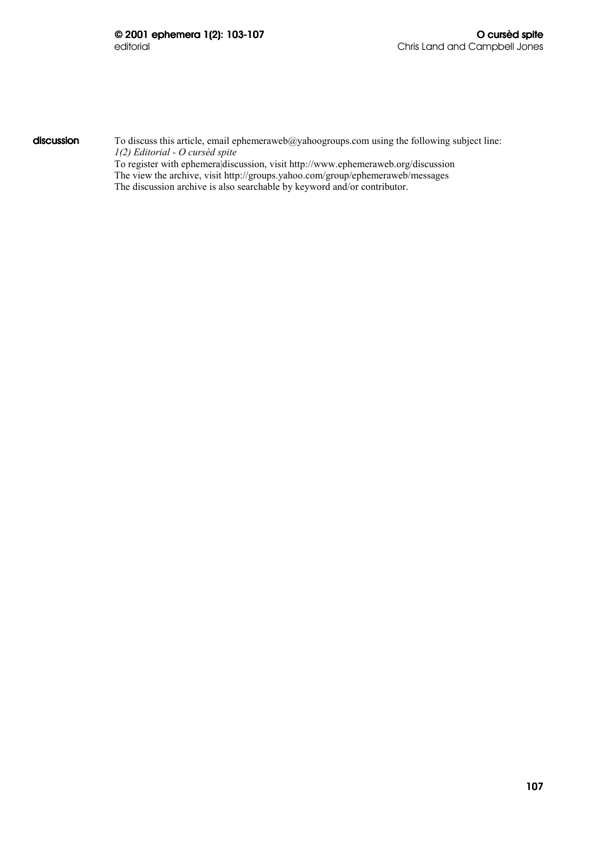#### discussion

To discuss this article, email ephemeraweb@yahoogroups.com using the following subject line: *1(2) Editorial - O cursèd spite* 

To register with ephemera|discussion, visit http://www.ephemeraweb.org/discussion The view the archive, visit http://groups.yahoo.com/group/ephemeraweb/messages The discussion archive is also searchable by keyword and/or contributor.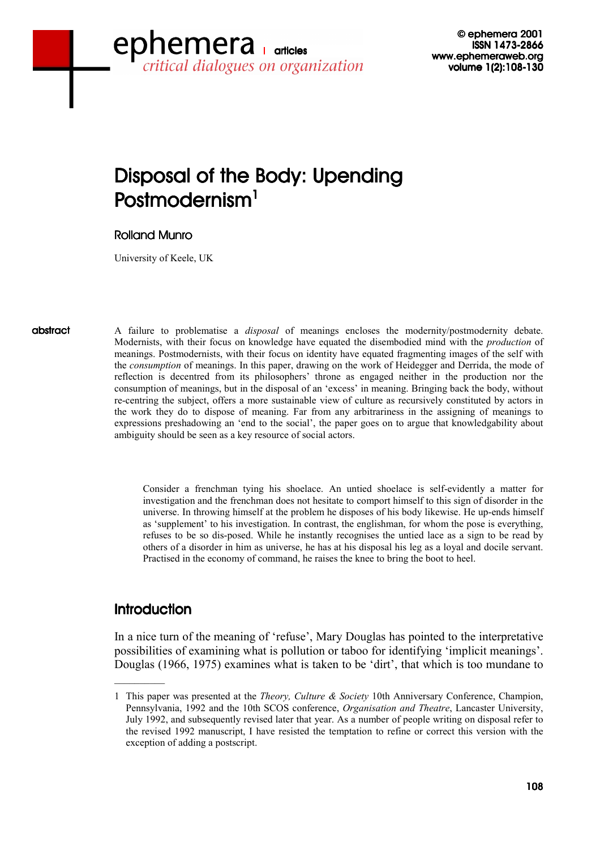# Disposal of the Body: Upending Postmodernism<sup>1</sup>

#### **Rolland Munro**

University of Keele, UK

abstract

A failure to problematise a *disposal* of meanings encloses the modernity/postmodernity debate. Modernists, with their focus on knowledge have equated the disembodied mind with the *production* of meanings. Postmodernists, with their focus on identity have equated fragmenting images of the self with the *consumption* of meanings. In this paper, drawing on the work of Heidegger and Derrida, the mode of reflection is decentred from its philosophers' throne as engaged neither in the production nor the consumption of meanings, but in the disposal of an 'excess' in meaning. Bringing back the body, without re-centring the subject, offers a more sustainable view of culture as recursively constituted by actors in the work they do to dispose of meaning. Far from any arbitrariness in the assigning of meanings to expressions preshadowing an 'end to the social', the paper goes on to argue that knowledgability about ambiguity should be seen as a key resource of social actors.

Consider a frenchman tying his shoelace. An untied shoelace is self-evidently a matter for investigation and the frenchman does not hesitate to comport himself to this sign of disorder in the universe. In throwing himself at the problem he disposes of his body likewise. He up-ends himself as 'supplement' to his investigation. In contrast, the englishman, for whom the pose is everything, refuses to be so dis-posed. While he instantly recognises the untied lace as a sign to be read by others of a disorder in him as universe, he has at his disposal his leg as a loyal and docile servant. Practised in the economy of command, he raises the knee to bring the boot to heel.

## **Introduction**

 $\frac{1}{2}$ 

In a nice turn of the meaning of 'refuse', Mary Douglas has pointed to the interpretative possibilities of examining what is pollution or taboo for identifying 'implicit meanings'. Douglas (1966, 1975) examines what is taken to be 'dirt', that which is too mundane to

<sup>1</sup> This paper was presented at the *Theory, Culture & Society* 10th Anniversary Conference, Champion, Pennsylvania, 1992 and the 10th SCOS conference, *Organisation and Theatre*, Lancaster University, July 1992, and subsequently revised later that year. As a number of people writing on disposal refer to the revised 1992 manuscript, I have resisted the temptation to refine or correct this version with the exception of adding a postscript.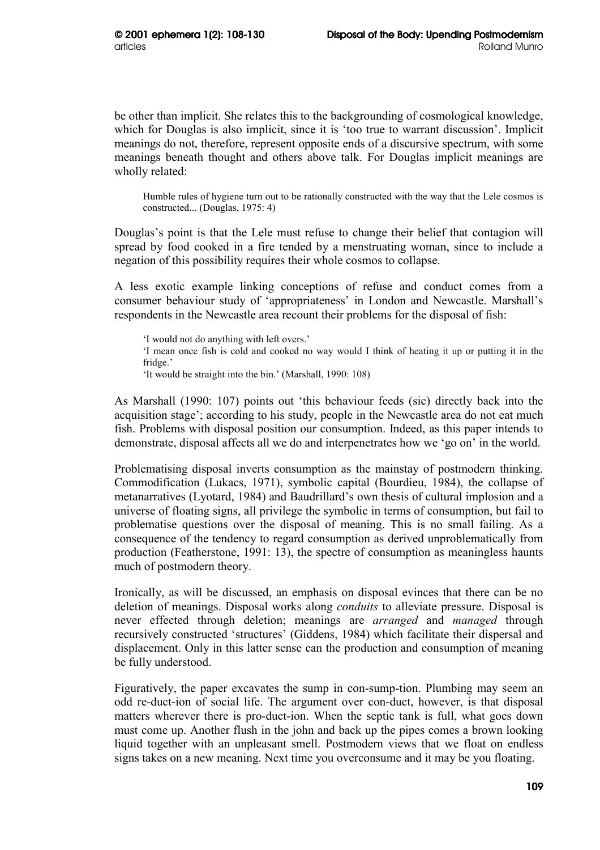be other than implicit. She relates this to the backgrounding of cosmological knowledge, which for Douglas is also implicit, since it is 'too true to warrant discussion'. Implicit meanings do not, therefore, represent opposite ends of a discursive spectrum, with some meanings beneath thought and others above talk. For Douglas implicit meanings are wholly related:

Humble rules of hygiene turn out to be rationally constructed with the way that the Lele cosmos is constructed... (Douglas, 1975: 4)

Douglas's point is that the Lele must refuse to change their belief that contagion will spread by food cooked in a fire tended by a menstruating woman, since to include a negation of this possibility requires their whole cosmos to collapse.

A less exotic example linking conceptions of refuse and conduct comes from a consumer behaviour study of 'appropriateness' in London and Newcastle. Marshall's respondents in the Newcastle area recount their problems for the disposal of fish:

'I would not do anything with left overs.'

'I mean once fish is cold and cooked no way would I think of heating it up or putting it in the fridge.'

'It would be straight into the bin.' (Marshall, 1990: 108)

As Marshall (1990: 107) points out 'this behaviour feeds (sic) directly back into the acquisition stage'; according to his study, people in the Newcastle area do not eat much fish. Problems with disposal position our consumption. Indeed, as this paper intends to demonstrate, disposal affects all we do and interpenetrates how we 'go on' in the world.

Problematising disposal inverts consumption as the mainstay of postmodern thinking. Commodification (Lukacs, 1971), symbolic capital (Bourdieu, 1984), the collapse of metanarratives (Lyotard, 1984) and Baudrillard's own thesis of cultural implosion and a universe of floating signs, all privilege the symbolic in terms of consumption, but fail to problematise questions over the disposal of meaning. This is no small failing. As a consequence of the tendency to regard consumption as derived unproblematically from production (Featherstone, 1991: 13), the spectre of consumption as meaningless haunts much of postmodern theory.

Ironically, as will be discussed, an emphasis on disposal evinces that there can be no deletion of meanings. Disposal works along *conduits* to alleviate pressure. Disposal is never effected through deletion; meanings are *arranged* and *managed* through recursively constructed 'structures' (Giddens, 1984) which facilitate their dispersal and displacement. Only in this latter sense can the production and consumption of meaning be fully understood.

Figuratively, the paper excavates the sump in con-sump-tion. Plumbing may seem an odd re-duct-ion of social life. The argument over con-duct, however, is that disposal matters wherever there is pro-duct-ion. When the septic tank is full, what goes down must come up. Another flush in the john and back up the pipes comes a brown looking liquid together with an unpleasant smell. Postmodern views that we float on endless signs takes on a new meaning. Next time you overconsume and it may be you floating.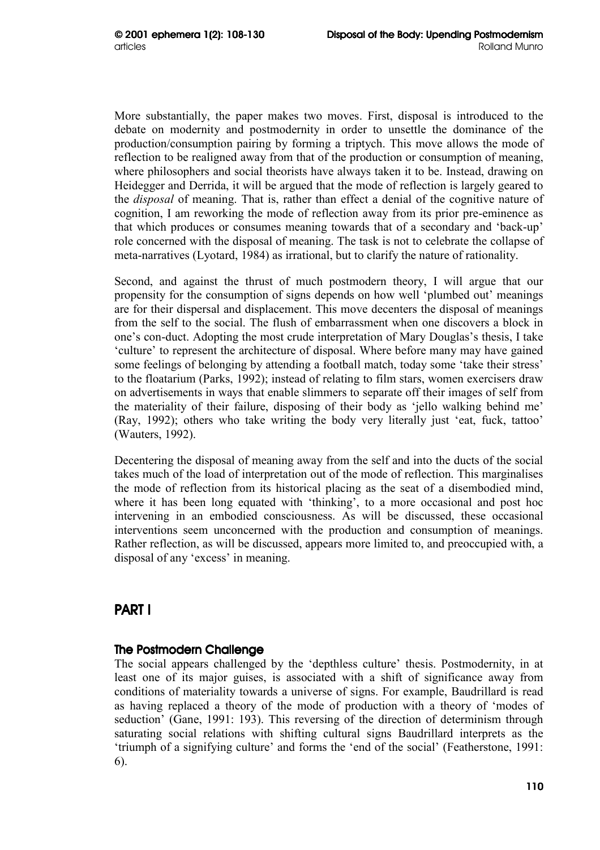More substantially, the paper makes two moves. First, disposal is introduced to the debate on modernity and postmodernity in order to unsettle the dominance of the production/consumption pairing by forming a triptych. This move allows the mode of reflection to be realigned away from that of the production or consumption of meaning, where philosophers and social theorists have always taken it to be. Instead, drawing on Heidegger and Derrida, it will be argued that the mode of reflection is largely geared to the *disposal* of meaning. That is, rather than effect a denial of the cognitive nature of cognition, I am reworking the mode of reflection away from its prior pre-eminence as that which produces or consumes meaning towards that of a secondary and 'back-up' role concerned with the disposal of meaning. The task is not to celebrate the collapse of meta-narratives (Lyotard, 1984) as irrational, but to clarify the nature of rationality.

Second, and against the thrust of much postmodern theory, I will argue that our propensity for the consumption of signs depends on how well 'plumbed out' meanings are for their dispersal and displacement. This move decenters the disposal of meanings from the self to the social. The flush of embarrassment when one discovers a block in one's con-duct. Adopting the most crude interpretation of Mary Douglas's thesis, I take 'culture' to represent the architecture of disposal. Where before many may have gained some feelings of belonging by attending a football match, today some 'take their stress' to the floatarium (Parks, 1992); instead of relating to film stars, women exercisers draw on advertisements in ways that enable slimmers to separate off their images of self from the materiality of their failure, disposing of their body as 'jello walking behind me' (Ray, 1992); others who take writing the body very literally just 'eat, fuck, tattoo' (Wauters, 1992).

Decentering the disposal of meaning away from the self and into the ducts of the social takes much of the load of interpretation out of the mode of reflection. This marginalises the mode of reflection from its historical placing as the seat of a disembodied mind, where it has been long equated with 'thinking', to a more occasional and post hoc intervening in an embodied consciousness. As will be discussed, these occasional interventions seem unconcerned with the production and consumption of meanings. Rather reflection, as will be discussed, appears more limited to, and preoccupied with, a disposal of any 'excess' in meaning.

## PART I

#### The Postmodern Challenge

The social appears challenged by the 'depthless culture' thesis. Postmodernity, in at least one of its major guises, is associated with a shift of significance away from conditions of materiality towards a universe of signs. For example, Baudrillard is read as having replaced a theory of the mode of production with a theory of 'modes of seduction' (Gane, 1991: 193). This reversing of the direction of determinism through saturating social relations with shifting cultural signs Baudrillard interprets as the 'triumph of a signifying culture' and forms the 'end of the social' (Featherstone, 1991: 6).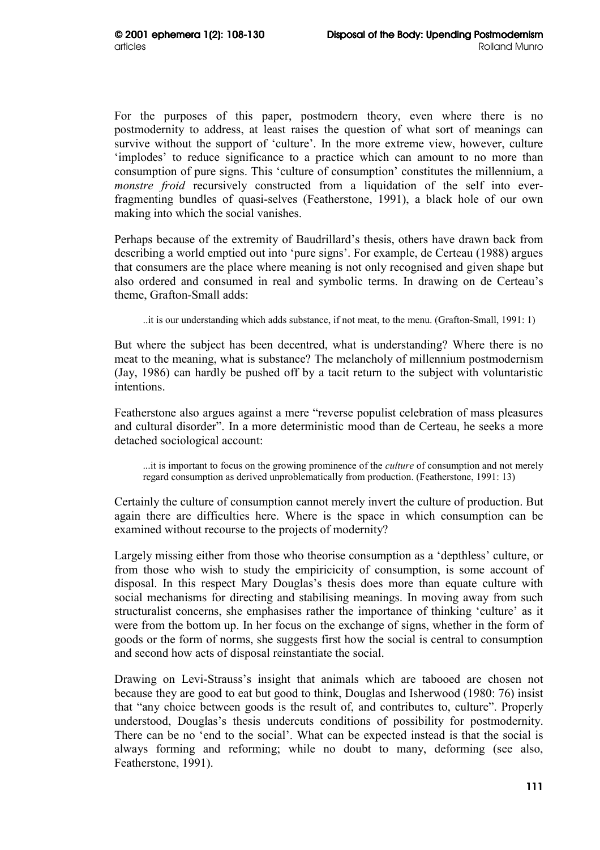For the purposes of this paper, postmodern theory, even where there is no postmodernity to address, at least raises the question of what sort of meanings can survive without the support of 'culture'. In the more extreme view, however, culture 'implodes' to reduce significance to a practice which can amount to no more than consumption of pure signs. This 'culture of consumption' constitutes the millennium, a *monstre froid* recursively constructed from a liquidation of the self into everfragmenting bundles of quasi-selves (Featherstone, 1991), a black hole of our own making into which the social vanishes.

Perhaps because of the extremity of Baudrillard's thesis, others have drawn back from describing a world emptied out into 'pure signs'. For example, de Certeau (1988) argues that consumers are the place where meaning is not only recognised and given shape but also ordered and consumed in real and symbolic terms. In drawing on de Certeau's theme, Grafton-Small adds:

..it is our understanding which adds substance, if not meat, to the menu. (Grafton-Small, 1991: 1)

But where the subject has been decentred, what is understanding? Where there is no meat to the meaning, what is substance? The melancholy of millennium postmodernism (Jay, 1986) can hardly be pushed off by a tacit return to the subject with voluntaristic intentions.

Featherstone also argues against a mere "reverse populist celebration of mass pleasures and cultural disorder". In a more deterministic mood than de Certeau, he seeks a more detached sociological account:

...it is important to focus on the growing prominence of the *culture* of consumption and not merely regard consumption as derived unproblematically from production. (Featherstone, 1991: 13)

Certainly the culture of consumption cannot merely invert the culture of production. But again there are difficulties here. Where is the space in which consumption can be examined without recourse to the projects of modernity?

Largely missing either from those who theorise consumption as a 'depthless' culture, or from those who wish to study the empiricicity of consumption, is some account of disposal. In this respect Mary Douglas's thesis does more than equate culture with social mechanisms for directing and stabilising meanings. In moving away from such structuralist concerns, she emphasises rather the importance of thinking 'culture' as it were from the bottom up. In her focus on the exchange of signs, whether in the form of goods or the form of norms, she suggests first how the social is central to consumption and second how acts of disposal reinstantiate the social.

Drawing on Levi-Strauss's insight that animals which are tabooed are chosen not because they are good to eat but good to think, Douglas and Isherwood (1980: 76) insist that "any choice between goods is the result of, and contributes to, culture". Properly understood, Douglas's thesis undercuts conditions of possibility for postmodernity. There can be no 'end to the social'. What can be expected instead is that the social is always forming and reforming; while no doubt to many, deforming (see also, Featherstone, 1991).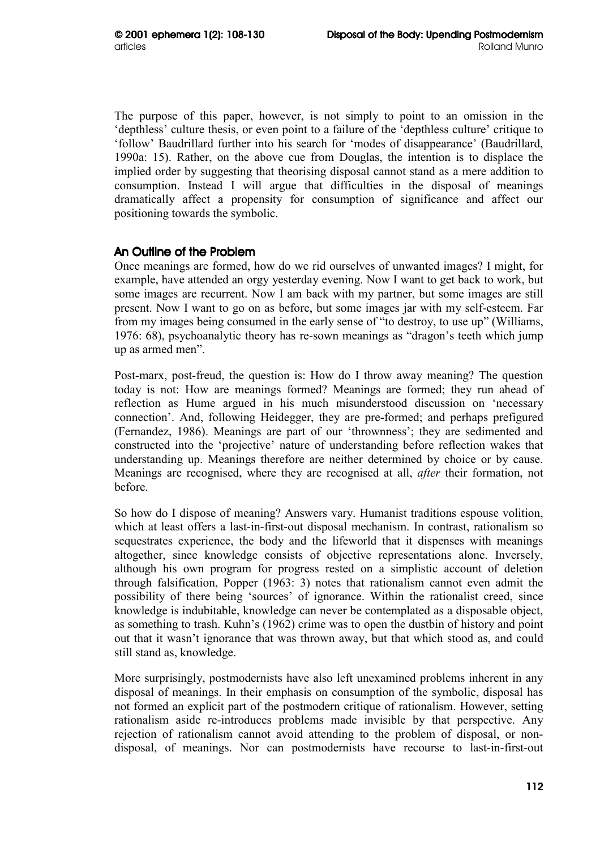The purpose of this paper, however, is not simply to point to an omission in the 'depthless' culture thesis, or even point to a failure of the 'depthless culture' critique to 'follow' Baudrillard further into his search for 'modes of disappearance' (Baudrillard, 1990a: 15). Rather, on the above cue from Douglas, the intention is to displace the implied order by suggesting that theorising disposal cannot stand as a mere addition to consumption. Instead I will argue that difficulties in the disposal of meanings dramatically affect a propensity for consumption of significance and affect our positioning towards the symbolic.

#### An Outline of the Problem

Once meanings are formed, how do we rid ourselves of unwanted images? I might, for example, have attended an orgy yesterday evening. Now I want to get back to work, but some images are recurrent. Now I am back with my partner, but some images are still present. Now I want to go on as before, but some images jar with my self-esteem. Far from my images being consumed in the early sense of "to destroy, to use up" (Williams, 1976: 68), psychoanalytic theory has re-sown meanings as "dragon's teeth which jump up as armed men".

Post-marx, post-freud, the question is: How do I throw away meaning? The question today is not: How are meanings formed? Meanings are formed; they run ahead of reflection as Hume argued in his much misunderstood discussion on 'necessary connection'. And, following Heidegger, they are pre-formed; and perhaps prefigured (Fernandez, 1986). Meanings are part of our 'thrownness'; they are sedimented and constructed into the 'projective' nature of understanding before reflection wakes that understanding up. Meanings therefore are neither determined by choice or by cause. Meanings are recognised, where they are recognised at all, *after* their formation, not before.

So how do I dispose of meaning? Answers vary. Humanist traditions espouse volition, which at least offers a last-in-first-out disposal mechanism. In contrast, rationalism so sequestrates experience, the body and the lifeworld that it dispenses with meanings altogether, since knowledge consists of objective representations alone. Inversely, although his own program for progress rested on a simplistic account of deletion through falsification, Popper (1963: 3) notes that rationalism cannot even admit the possibility of there being 'sources' of ignorance. Within the rationalist creed, since knowledge is indubitable, knowledge can never be contemplated as a disposable object, as something to trash. Kuhn's (1962) crime was to open the dustbin of history and point out that it wasn't ignorance that was thrown away, but that which stood as, and could still stand as, knowledge.

More surprisingly, postmodernists have also left unexamined problems inherent in any disposal of meanings. In their emphasis on consumption of the symbolic, disposal has not formed an explicit part of the postmodern critique of rationalism. However, setting rationalism aside re-introduces problems made invisible by that perspective. Any rejection of rationalism cannot avoid attending to the problem of disposal, or nondisposal, of meanings. Nor can postmodernists have recourse to last-in-first-out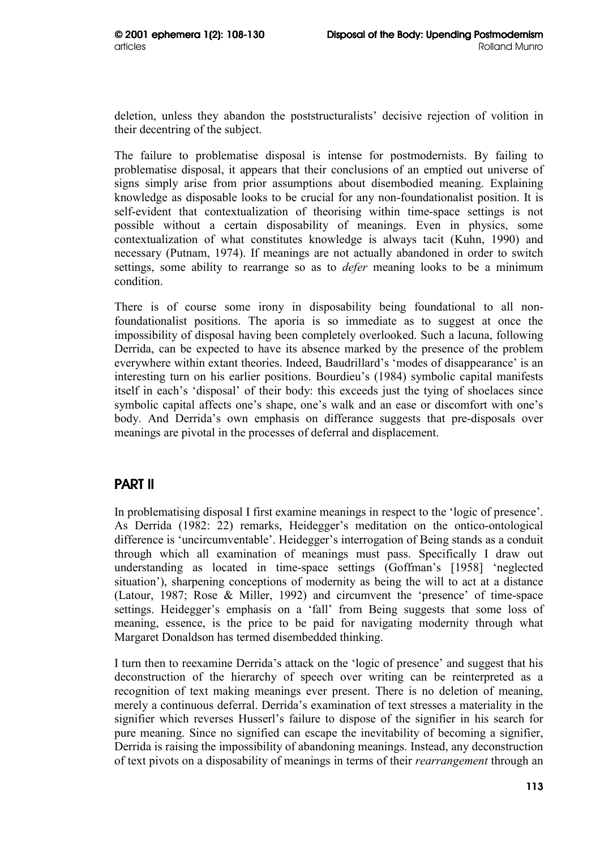deletion, unless they abandon the poststructuralists' decisive rejection of volition in their decentring of the subject.

The failure to problematise disposal is intense for postmodernists. By failing to problematise disposal, it appears that their conclusions of an emptied out universe of signs simply arise from prior assumptions about disembodied meaning. Explaining knowledge as disposable looks to be crucial for any non-foundationalist position. It is self-evident that contextualization of theorising within time-space settings is not possible without a certain disposability of meanings. Even in physics, some contextualization of what constitutes knowledge is always tacit (Kuhn, 1990) and necessary (Putnam, 1974). If meanings are not actually abandoned in order to switch settings, some ability to rearrange so as to *defer* meaning looks to be a minimum condition.

There is of course some irony in disposability being foundational to all nonfoundationalist positions. The aporia is so immediate as to suggest at once the impossibility of disposal having been completely overlooked. Such a lacuna, following Derrida, can be expected to have its absence marked by the presence of the problem everywhere within extant theories. Indeed, Baudrillard's 'modes of disappearance' is an interesting turn on his earlier positions. Bourdieu's (1984) symbolic capital manifests itself in each's 'disposal' of their body: this exceeds just the tying of shoelaces since symbolic capital affects one's shape, one's walk and an ease or discomfort with one's body. And Derrida's own emphasis on differance suggests that pre-disposals over meanings are pivotal in the processes of deferral and displacement.

# PART II

In problematising disposal I first examine meanings in respect to the 'logic of presence'. As Derrida (1982: 22) remarks, Heidegger's meditation on the ontico-ontological difference is 'uncircumventable'. Heidegger's interrogation of Being stands as a conduit through which all examination of meanings must pass. Specifically I draw out understanding as located in time-space settings (Goffman's [1958] 'neglected situation'), sharpening conceptions of modernity as being the will to act at a distance (Latour, 1987; Rose & Miller, 1992) and circumvent the 'presence' of time-space settings. Heidegger's emphasis on a 'fall' from Being suggests that some loss of meaning, essence, is the price to be paid for navigating modernity through what Margaret Donaldson has termed disembedded thinking.

I turn then to reexamine Derrida's attack on the 'logic of presence' and suggest that his deconstruction of the hierarchy of speech over writing can be reinterpreted as a recognition of text making meanings ever present. There is no deletion of meaning, merely a continuous deferral. Derrida's examination of text stresses a materiality in the signifier which reverses Husserl's failure to dispose of the signifier in his search for pure meaning. Since no signified can escape the inevitability of becoming a signifier, Derrida is raising the impossibility of abandoning meanings. Instead, any deconstruction of text pivots on a disposability of meanings in terms of their *rearrangement* through an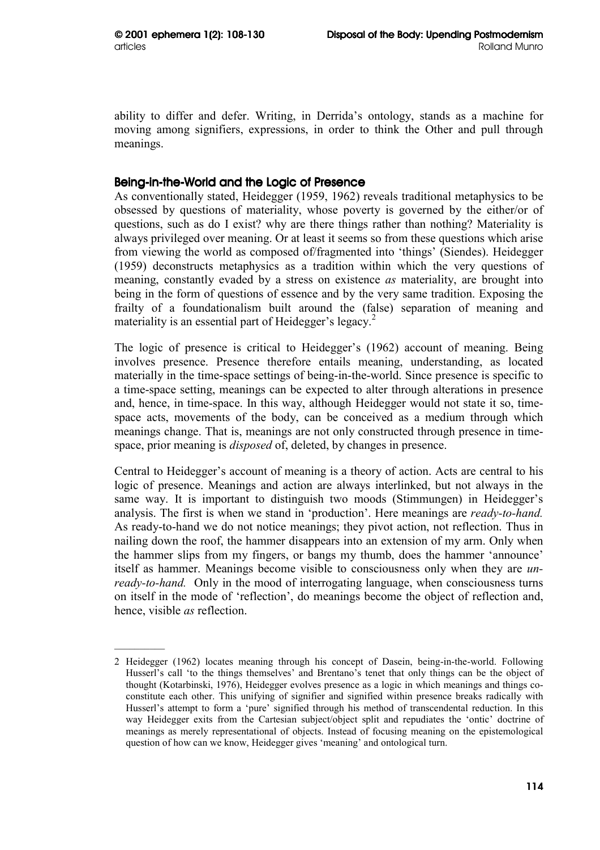$\frac{1}{2}$ 

ability to differ and defer. Writing, in Derrida's ontology, stands as a machine for moving among signifiers, expressions, in order to think the Other and pull through meanings.

#### Being-in-the-World and the Logic of Presence

As conventionally stated, Heidegger (1959, 1962) reveals traditional metaphysics to be obsessed by questions of materiality, whose poverty is governed by the either/or of questions, such as do I exist? why are there things rather than nothing? Materiality is always privileged over meaning. Or at least it seems so from these questions which arise from viewing the world as composed of/fragmented into 'things' (Siendes). Heidegger (1959) deconstructs metaphysics as a tradition within which the very questions of meaning, constantly evaded by a stress on existence *as* materiality, are brought into being in the form of questions of essence and by the very same tradition. Exposing the frailty of a foundationalism built around the (false) separation of meaning and materiality is an essential part of Heidegger's legacy.<sup>2</sup>

The logic of presence is critical to Heidegger's (1962) account of meaning. Being involves presence. Presence therefore entails meaning, understanding, as located materially in the time-space settings of being-in-the-world. Since presence is specific to a time-space setting, meanings can be expected to alter through alterations in presence and, hence, in time-space. In this way, although Heidegger would not state it so, timespace acts, movements of the body, can be conceived as a medium through which meanings change. That is, meanings are not only constructed through presence in timespace, prior meaning is *disposed* of, deleted, by changes in presence.

Central to Heidegger's account of meaning is a theory of action. Acts are central to his logic of presence. Meanings and action are always interlinked, but not always in the same way. It is important to distinguish two moods (Stimmungen) in Heidegger's analysis. The first is when we stand in 'production'. Here meanings are *ready-to-hand.* As ready-to-hand we do not notice meanings; they pivot action, not reflection. Thus in nailing down the roof, the hammer disappears into an extension of my arm. Only when the hammer slips from my fingers, or bangs my thumb, does the hammer 'announce' itself as hammer. Meanings become visible to consciousness only when they are *unready-to-hand.* Only in the mood of interrogating language, when consciousness turns on itself in the mode of 'reflection', do meanings become the object of reflection and, hence, visible *as* reflection.

<sup>2</sup> Heidegger (1962) locates meaning through his concept of Dasein, being-in-the-world. Following Husserl's call 'to the things themselves' and Brentano's tenet that only things can be the object of thought (Kotarbinski, 1976), Heidegger evolves presence as a logic in which meanings and things coconstitute each other. This unifying of signifier and signified within presence breaks radically with Husserl's attempt to form a 'pure' signified through his method of transcendental reduction. In this way Heidegger exits from the Cartesian subject/object split and repudiates the 'ontic' doctrine of meanings as merely representational of objects. Instead of focusing meaning on the epistemological question of how can we know, Heidegger gives 'meaning' and ontological turn.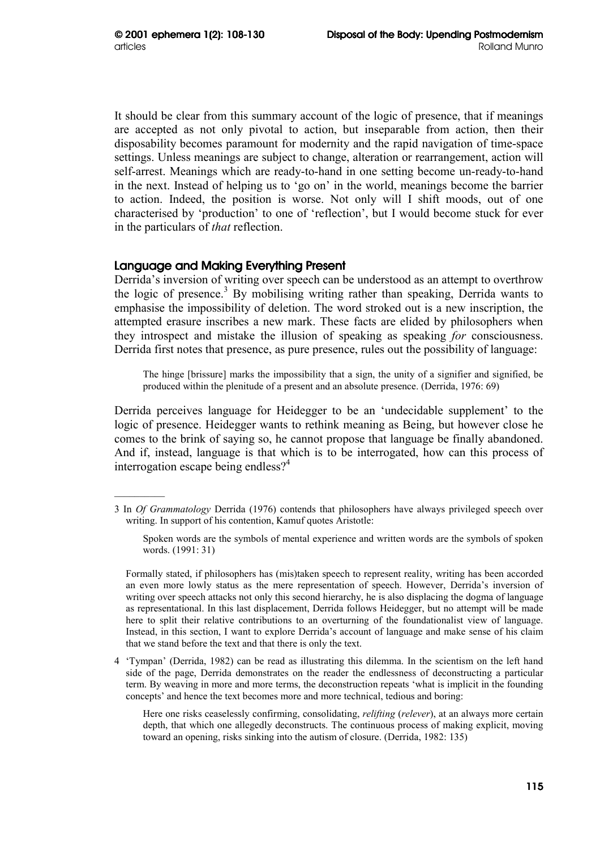It should be clear from this summary account of the logic of presence, that if meanings are accepted as not only pivotal to action, but inseparable from action, then their disposability becomes paramount for modernity and the rapid navigation of time-space settings. Unless meanings are subject to change, alteration or rearrangement, action will self-arrest. Meanings which are ready-to-hand in one setting become un-ready-to-hand in the next. Instead of helping us to 'go on' in the world, meanings become the barrier to action. Indeed, the position is worse. Not only will I shift moods, out of one characterised by 'production' to one of 'reflection', but I would become stuck for ever in the particulars of *that* reflection.

#### Language and Making Everything Present

Derrida's inversion of writing over speech can be understood as an attempt to overthrow the logic of presence.<sup>3</sup> By mobilising writing rather than speaking, Derrida wants to emphasise the impossibility of deletion. The word stroked out is a new inscription, the attempted erasure inscribes a new mark. These facts are elided by philosophers when they introspect and mistake the illusion of speaking as speaking *for* consciousness. Derrida first notes that presence, as pure presence, rules out the possibility of language:

The hinge [brissure] marks the impossibility that a sign, the unity of a signifier and signified, be produced within the plenitude of a present and an absolute presence. (Derrida, 1976: 69)

Derrida perceives language for Heidegger to be an 'undecidable supplement' to the logic of presence. Heidegger wants to rethink meaning as Being, but however close he comes to the brink of saying so, he cannot propose that language be finally abandoned. And if, instead, language is that which is to be interrogated, how can this process of interrogation escape being endless?<sup>4</sup>

 Formally stated, if philosophers has (mis)taken speech to represent reality, writing has been accorded an even more lowly status as the mere representation of speech. However, Derrida's inversion of writing over speech attacks not only this second hierarchy, he is also displacing the dogma of language as representational. In this last displacement, Derrida follows Heidegger, but no attempt will be made here to split their relative contributions to an overturning of the foundationalist view of language. Instead, in this section, I want to explore Derrida's account of language and make sense of his claim that we stand before the text and that there is only the text.

4 'Tympan' (Derrida, 1982) can be read as illustrating this dilemma. In the scientism on the left hand side of the page, Derrida demonstrates on the reader the endlessness of deconstructing a particular term. By weaving in more and more terms, the deconstruction repeats 'what is implicit in the founding concepts' and hence the text becomes more and more technical, tedious and boring:

Here one risks ceaselessly confirming, consolidating, *relifting* (*relever*), at an always more certain depth, that which one allegedly deconstructs. The continuous process of making explicit, moving toward an opening, risks sinking into the autism of closure. (Derrida, 1982: 135)

<sup>3</sup> In *Of Grammatology* Derrida (1976) contends that philosophers have always privileged speech over writing. In support of his contention, Kamuf quotes Aristotle:

Spoken words are the symbols of mental experience and written words are the symbols of spoken words. (1991: 31)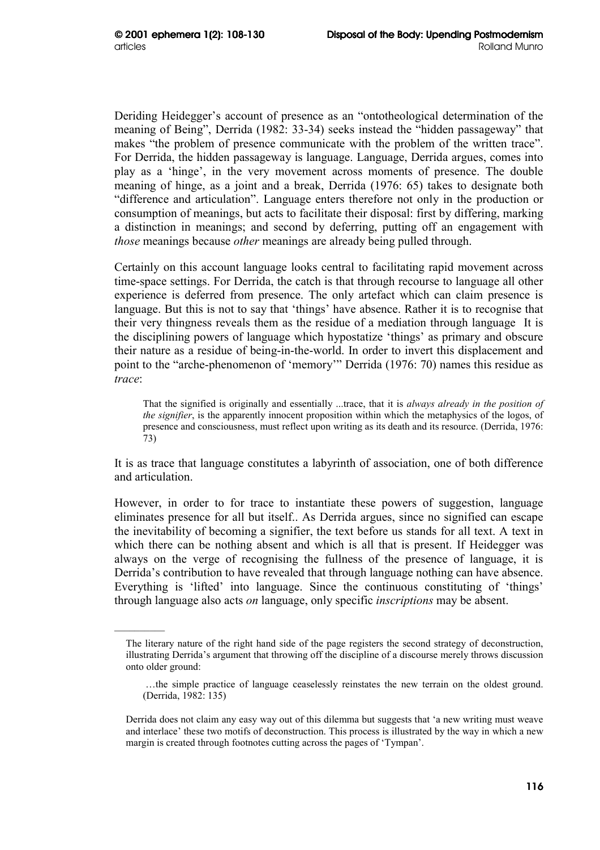$\frac{1}{2}$ 

Deriding Heidegger's account of presence as an "ontotheological determination of the meaning of Being", Derrida (1982: 33-34) seeks instead the "hidden passageway" that makes "the problem of presence communicate with the problem of the written trace". For Derrida, the hidden passageway is language. Language, Derrida argues, comes into play as a 'hinge', in the very movement across moments of presence. The double meaning of hinge, as a joint and a break, Derrida (1976: 65) takes to designate both "difference and articulation". Language enters therefore not only in the production or consumption of meanings, but acts to facilitate their disposal: first by differing, marking a distinction in meanings; and second by deferring, putting off an engagement with *those* meanings because *other* meanings are already being pulled through.

Certainly on this account language looks central to facilitating rapid movement across time-space settings. For Derrida, the catch is that through recourse to language all other experience is deferred from presence. The only artefact which can claim presence is language. But this is not to say that 'things' have absence. Rather it is to recognise that their very thingness reveals them as the residue of a mediation through language It is the disciplining powers of language which hypostatize 'things' as primary and obscure their nature as a residue of being-in-the-world. In order to invert this displacement and point to the "arche-phenomenon of 'memory'" Derrida (1976: 70) names this residue as *trace*:

That the signified is originally and essentially ...trace, that it is *always already in the position of the signifier*, is the apparently innocent proposition within which the metaphysics of the logos, of presence and consciousness, must reflect upon writing as its death and its resource. (Derrida, 1976: 73)

It is as trace that language constitutes a labyrinth of association, one of both difference and articulation.

However, in order to for trace to instantiate these powers of suggestion, language eliminates presence for all but itself.. As Derrida argues, since no signified can escape the inevitability of becoming a signifier, the text before us stands for all text. A text in which there can be nothing absent and which is all that is present. If Heidegger was always on the verge of recognising the fullness of the presence of language, it is Derrida's contribution to have revealed that through language nothing can have absence. Everything is 'lifted' into language. Since the continuous constituting of 'things' through language also acts *on* language, only specific *inscriptions* may be absent.

The literary nature of the right hand side of the page registers the second strategy of deconstruction, illustrating Derrida's argument that throwing off the discipline of a discourse merely throws discussion onto older ground:

 <sup>…</sup>the simple practice of language ceaselessly reinstates the new terrain on the oldest ground. (Derrida, 1982: 135)

Derrida does not claim any easy way out of this dilemma but suggests that 'a new writing must weave and interlace' these two motifs of deconstruction. This process is illustrated by the way in which a new margin is created through footnotes cutting across the pages of 'Tympan'.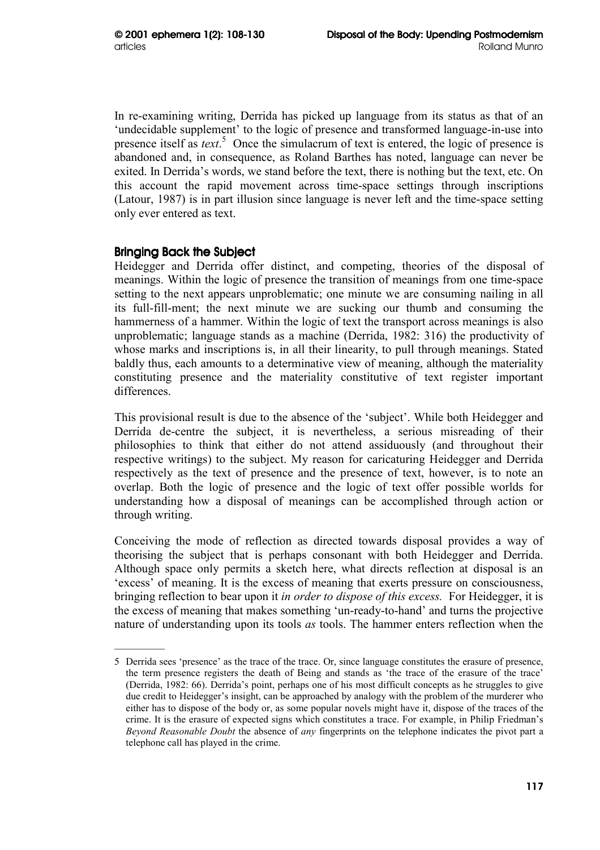In re-examining writing, Derrida has picked up language from its status as that of an 'undecidable supplement' to the logic of presence and transformed language-in-use into presence itself as *text*.<sup>5</sup> Once the simulacrum of text is entered, the logic of presence is abandoned and, in consequence, as Roland Barthes has noted, language can never be exited. In Derrida's words, we stand before the text, there is nothing but the text, etc. On this account the rapid movement across time-space settings through inscriptions (Latour, 1987) is in part illusion since language is never left and the time-space setting only ever entered as text.

#### **Bringing Back the Subject**

 $\frac{1}{2}$ 

Heidegger and Derrida offer distinct, and competing, theories of the disposal of meanings. Within the logic of presence the transition of meanings from one time-space setting to the next appears unproblematic; one minute we are consuming nailing in all its full-fill-ment; the next minute we are sucking our thumb and consuming the hammerness of a hammer. Within the logic of text the transport across meanings is also unproblematic; language stands as a machine (Derrida, 1982: 316) the productivity of whose marks and inscriptions is, in all their linearity, to pull through meanings. Stated baldly thus, each amounts to a determinative view of meaning, although the materiality constituting presence and the materiality constitutive of text register important differences.

This provisional result is due to the absence of the 'subject'. While both Heidegger and Derrida de-centre the subject, it is nevertheless, a serious misreading of their philosophies to think that either do not attend assiduously (and throughout their respective writings) to the subject. My reason for caricaturing Heidegger and Derrida respectively as the text of presence and the presence of text, however, is to note an overlap. Both the logic of presence and the logic of text offer possible worlds for understanding how a disposal of meanings can be accomplished through action or through writing.

Conceiving the mode of reflection as directed towards disposal provides a way of theorising the subject that is perhaps consonant with both Heidegger and Derrida. Although space only permits a sketch here, what directs reflection at disposal is an 'excess' of meaning. It is the excess of meaning that exerts pressure on consciousness, bringing reflection to bear upon it *in order to dispose of this excess.* For Heidegger, it is the excess of meaning that makes something 'un-ready-to-hand' and turns the projective nature of understanding upon its tools *as* tools. The hammer enters reflection when the

<sup>5</sup> Derrida sees 'presence' as the trace of the trace. Or, since language constitutes the erasure of presence, the term presence registers the death of Being and stands as 'the trace of the erasure of the trace' (Derrida, 1982: 66). Derrida's point, perhaps one of his most difficult concepts as he struggles to give due credit to Heidegger's insight, can be approached by analogy with the problem of the murderer who either has to dispose of the body or, as some popular novels might have it, dispose of the traces of the crime. It is the erasure of expected signs which constitutes a trace. For example, in Philip Friedman's *Beyond Reasonable Doubt* the absence of *any* fingerprints on the telephone indicates the pivot part a telephone call has played in the crime.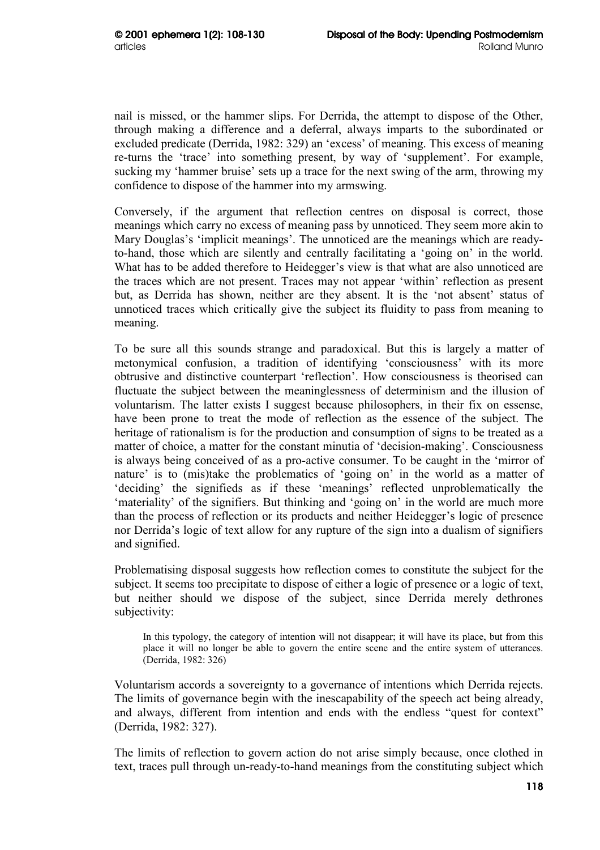nail is missed, or the hammer slips. For Derrida, the attempt to dispose of the Other, through making a difference and a deferral, always imparts to the subordinated or excluded predicate (Derrida, 1982: 329) an 'excess' of meaning. This excess of meaning re-turns the 'trace' into something present, by way of 'supplement'. For example, sucking my 'hammer bruise' sets up a trace for the next swing of the arm, throwing my confidence to dispose of the hammer into my armswing.

Conversely, if the argument that reflection centres on disposal is correct, those meanings which carry no excess of meaning pass by unnoticed. They seem more akin to Mary Douglas's 'implicit meanings'. The unnoticed are the meanings which are readyto-hand, those which are silently and centrally facilitating a 'going on' in the world. What has to be added therefore to Heidegger's view is that what are also unnoticed are the traces which are not present. Traces may not appear 'within' reflection as present but, as Derrida has shown, neither are they absent. It is the 'not absent' status of unnoticed traces which critically give the subject its fluidity to pass from meaning to meaning.

To be sure all this sounds strange and paradoxical. But this is largely a matter of metonymical confusion, a tradition of identifying 'consciousness' with its more obtrusive and distinctive counterpart 'reflection'. How consciousness is theorised can fluctuate the subject between the meaninglessness of determinism and the illusion of voluntarism. The latter exists I suggest because philosophers, in their fix on essense, have been prone to treat the mode of reflection as the essence of the subject. The heritage of rationalism is for the production and consumption of signs to be treated as a matter of choice, a matter for the constant minutia of 'decision-making'. Consciousness is always being conceived of as a pro-active consumer. To be caught in the 'mirror of nature' is to (mis)take the problematics of 'going on' in the world as a matter of 'deciding' the signifieds as if these 'meanings' reflected unproblematically the 'materiality' of the signifiers. But thinking and 'going on' in the world are much more than the process of reflection or its products and neither Heidegger's logic of presence nor Derrida's logic of text allow for any rupture of the sign into a dualism of signifiers and signified.

Problematising disposal suggests how reflection comes to constitute the subject for the subject. It seems too precipitate to dispose of either a logic of presence or a logic of text, but neither should we dispose of the subject, since Derrida merely dethrones subjectivity:

In this typology, the category of intention will not disappear; it will have its place, but from this place it will no longer be able to govern the entire scene and the entire system of utterances. (Derrida, 1982: 326)

Voluntarism accords a sovereignty to a governance of intentions which Derrida rejects. The limits of governance begin with the inescapability of the speech act being already, and always, different from intention and ends with the endless "quest for context" (Derrida, 1982: 327).

The limits of reflection to govern action do not arise simply because, once clothed in text, traces pull through un-ready-to-hand meanings from the constituting subject which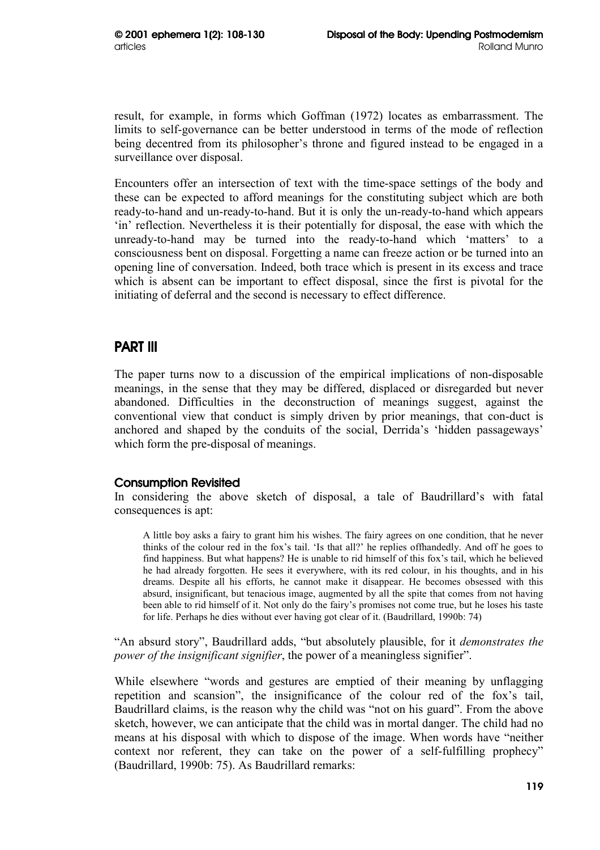result, for example, in forms which Goffman (1972) locates as embarrassment. The limits to self-governance can be better understood in terms of the mode of reflection being decentred from its philosopher's throne and figured instead to be engaged in a surveillance over disposal.

Encounters offer an intersection of text with the time-space settings of the body and these can be expected to afford meanings for the constituting subject which are both ready-to-hand and un-ready-to-hand. But it is only the un-ready-to-hand which appears 'in' reflection. Nevertheless it is their potentially for disposal, the ease with which the unready-to-hand may be turned into the ready-to-hand which 'matters' to a consciousness bent on disposal. Forgetting a name can freeze action or be turned into an opening line of conversation. Indeed, both trace which is present in its excess and trace which is absent can be important to effect disposal, since the first is pivotal for the initiating of deferral and the second is necessary to effect difference.

# **PART III**

The paper turns now to a discussion of the empirical implications of non-disposable meanings, in the sense that they may be differed, displaced or disregarded but never abandoned. Difficulties in the deconstruction of meanings suggest, against the conventional view that conduct is simply driven by prior meanings, that con-duct is anchored and shaped by the conduits of the social, Derrida's 'hidden passageways' which form the pre-disposal of meanings.

#### **Consumption Revisited**

In considering the above sketch of disposal, a tale of Baudrillard's with fatal consequences is apt:

A little boy asks a fairy to grant him his wishes. The fairy agrees on one condition, that he never thinks of the colour red in the fox's tail. 'Is that all?' he replies offhandedly. And off he goes to find happiness. But what happens? He is unable to rid himself of this fox's tail, which he believed he had already forgotten. He sees it everywhere, with its red colour, in his thoughts, and in his dreams. Despite all his efforts, he cannot make it disappear. He becomes obsessed with this absurd, insignificant, but tenacious image, augmented by all the spite that comes from not having been able to rid himself of it. Not only do the fairy's promises not come true, but he loses his taste for life. Perhaps he dies without ever having got clear of it. (Baudrillard, 1990b: 74)

"An absurd story", Baudrillard adds, "but absolutely plausible, for it *demonstrates the power of the insignificant signifier*, the power of a meaningless signifier".

While elsewhere "words and gestures are emptied of their meaning by unflagging repetition and scansion", the insignificance of the colour red of the fox's tail, Baudrillard claims, is the reason why the child was "not on his guard". From the above sketch, however, we can anticipate that the child was in mortal danger. The child had no means at his disposal with which to dispose of the image. When words have "neither context nor referent, they can take on the power of a self-fulfilling prophecy" (Baudrillard, 1990b: 75). As Baudrillard remarks: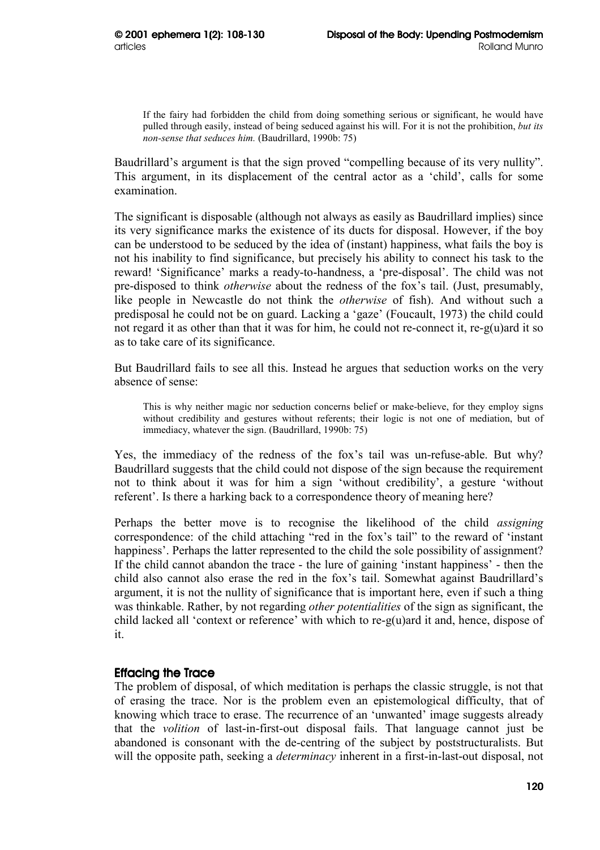If the fairy had forbidden the child from doing something serious or significant, he would have pulled through easily, instead of being seduced against his will. For it is not the prohibition, *but its non-sense that seduces him.* (Baudrillard, 1990b: 75)

Baudrillard's argument is that the sign proved "compelling because of its very nullity". This argument, in its displacement of the central actor as a 'child', calls for some examination.

The significant is disposable (although not always as easily as Baudrillard implies) since its very significance marks the existence of its ducts for disposal. However, if the boy can be understood to be seduced by the idea of (instant) happiness, what fails the boy is not his inability to find significance, but precisely his ability to connect his task to the reward! 'Significance' marks a ready-to-handness, a 'pre-disposal'. The child was not pre-disposed to think *otherwise* about the redness of the fox's tail. (Just, presumably, like people in Newcastle do not think the *otherwise* of fish). And without such a predisposal he could not be on guard. Lacking a 'gaze' (Foucault, 1973) the child could not regard it as other than that it was for him, he could not re-connect it, re-g(u)ard it so as to take care of its significance.

But Baudrillard fails to see all this. Instead he argues that seduction works on the very absence of sense:

This is why neither magic nor seduction concerns belief or make-believe, for they employ signs without credibility and gestures without referents; their logic is not one of mediation, but of immediacy, whatever the sign. (Baudrillard, 1990b: 75)

Yes, the immediacy of the redness of the fox's tail was un-refuse-able. But why? Baudrillard suggests that the child could not dispose of the sign because the requirement not to think about it was for him a sign 'without credibility', a gesture 'without referent'. Is there a harking back to a correspondence theory of meaning here?

Perhaps the better move is to recognise the likelihood of the child *assigning* correspondence: of the child attaching "red in the fox's tail" to the reward of 'instant happiness'. Perhaps the latter represented to the child the sole possibility of assignment? If the child cannot abandon the trace - the lure of gaining 'instant happiness' - then the child also cannot also erase the red in the fox's tail. Somewhat against Baudrillard's argument, it is not the nullity of significance that is important here, even if such a thing was thinkable. Rather, by not regarding *other potentialities* of the sign as significant, the child lacked all 'context or reference' with which to re-g(u)ard it and, hence, dispose of it.

#### **Effacing the Trace**

The problem of disposal, of which meditation is perhaps the classic struggle, is not that of erasing the trace. Nor is the problem even an epistemological difficulty, that of knowing which trace to erase. The recurrence of an 'unwanted' image suggests already that the *volition* of last-in-first-out disposal fails. That language cannot just be abandoned is consonant with the de-centring of the subject by poststructuralists. But will the opposite path, seeking a *determinacy* inherent in a first-in-last-out disposal, not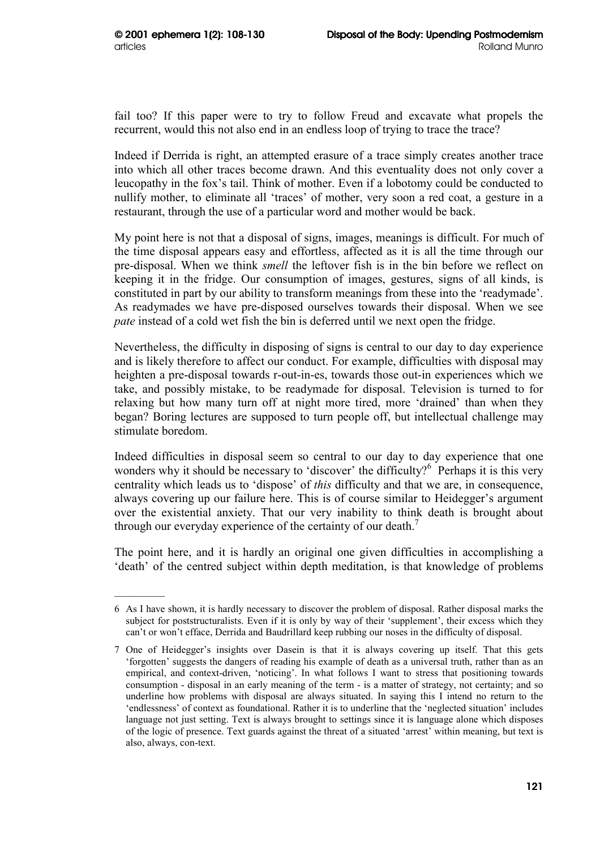fail too? If this paper were to try to follow Freud and excavate what propels the recurrent, would this not also end in an endless loop of trying to trace the trace?

Indeed if Derrida is right, an attempted erasure of a trace simply creates another trace into which all other traces become drawn. And this eventuality does not only cover a leucopathy in the fox's tail. Think of mother. Even if a lobotomy could be conducted to nullify mother, to eliminate all 'traces' of mother, very soon a red coat, a gesture in a restaurant, through the use of a particular word and mother would be back.

My point here is not that a disposal of signs, images, meanings is difficult. For much of the time disposal appears easy and effortless, affected as it is all the time through our pre-disposal. When we think *smell* the leftover fish is in the bin before we reflect on keeping it in the fridge. Our consumption of images, gestures, signs of all kinds, is constituted in part by our ability to transform meanings from these into the 'readymade'. As readymades we have pre-disposed ourselves towards their disposal. When we see *pate* instead of a cold wet fish the bin is deferred until we next open the fridge.

Nevertheless, the difficulty in disposing of signs is central to our day to day experience and is likely therefore to affect our conduct. For example, difficulties with disposal may heighten a pre-disposal towards r-out-in-es, towards those out-in experiences which we take, and possibly mistake, to be readymade for disposal. Television is turned to for relaxing but how many turn off at night more tired, more 'drained' than when they began? Boring lectures are supposed to turn people off, but intellectual challenge may stimulate boredom.

Indeed difficulties in disposal seem so central to our day to day experience that one wonders why it should be necessary to 'discover' the difficulty?<sup>6</sup> Perhaps it is this very centrality which leads us to 'dispose' of *this* difficulty and that we are, in consequence, always covering up our failure here. This is of course similar to Heidegger's argument over the existential anxiety. That our very inability to think death is brought about through our everyday experience of the certainty of our death.<sup>7</sup>

The point here, and it is hardly an original one given difficulties in accomplishing a 'death' of the centred subject within depth meditation, is that knowledge of problems

<sup>6</sup> As I have shown, it is hardly necessary to discover the problem of disposal. Rather disposal marks the subject for poststructuralists. Even if it is only by way of their 'supplement', their excess which they can't or won't efface, Derrida and Baudrillard keep rubbing our noses in the difficulty of disposal.

<sup>7</sup> One of Heidegger's insights over Dasein is that it is always covering up itself. That this gets 'forgotten' suggests the dangers of reading his example of death as a universal truth, rather than as an empirical, and context-driven, 'noticing'. In what follows I want to stress that positioning towards consumption - disposal in an early meaning of the term - is a matter of strategy, not certainty; and so underline how problems with disposal are always situated. In saying this I intend no return to the 'endlessness' of context as foundational. Rather it is to underline that the 'neglected situation' includes language not just setting. Text is always brought to settings since it is language alone which disposes of the logic of presence. Text guards against the threat of a situated 'arrest' within meaning, but text is also, always, con-text.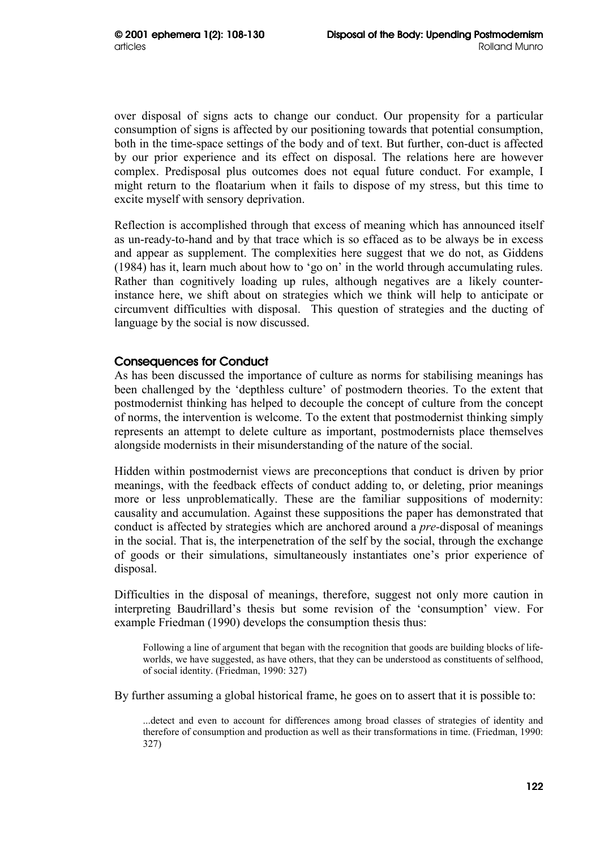over disposal of signs acts to change our conduct. Our propensity for a particular consumption of signs is affected by our positioning towards that potential consumption, both in the time-space settings of the body and of text. But further, con-duct is affected by our prior experience and its effect on disposal. The relations here are however complex. Predisposal plus outcomes does not equal future conduct. For example, I might return to the floatarium when it fails to dispose of my stress, but this time to excite myself with sensory deprivation.

Reflection is accomplished through that excess of meaning which has announced itself as un-ready-to-hand and by that trace which is so effaced as to be always be in excess and appear as supplement. The complexities here suggest that we do not, as Giddens (1984) has it, learn much about how to 'go on' in the world through accumulating rules. Rather than cognitively loading up rules, although negatives are a likely counterinstance here, we shift about on strategies which we think will help to anticipate or circumvent difficulties with disposal. This question of strategies and the ducting of language by the social is now discussed.

#### **Consequences for Conduct**

As has been discussed the importance of culture as norms for stabilising meanings has been challenged by the 'depthless culture' of postmodern theories. To the extent that postmodernist thinking has helped to decouple the concept of culture from the concept of norms, the intervention is welcome. To the extent that postmodernist thinking simply represents an attempt to delete culture as important, postmodernists place themselves alongside modernists in their misunderstanding of the nature of the social.

Hidden within postmodernist views are preconceptions that conduct is driven by prior meanings, with the feedback effects of conduct adding to, or deleting, prior meanings more or less unproblematically. These are the familiar suppositions of modernity: causality and accumulation. Against these suppositions the paper has demonstrated that conduct is affected by strategies which are anchored around a *pre-*disposal of meanings in the social. That is, the interpenetration of the self by the social, through the exchange of goods or their simulations, simultaneously instantiates one's prior experience of disposal.

Difficulties in the disposal of meanings, therefore, suggest not only more caution in interpreting Baudrillard's thesis but some revision of the 'consumption' view. For example Friedman (1990) develops the consumption thesis thus:

Following a line of argument that began with the recognition that goods are building blocks of lifeworlds, we have suggested, as have others, that they can be understood as constituents of selfhood, of social identity. (Friedman, 1990: 327)

By further assuming a global historical frame, he goes on to assert that it is possible to:

...detect and even to account for differences among broad classes of strategies of identity and therefore of consumption and production as well as their transformations in time. (Friedman, 1990: 327)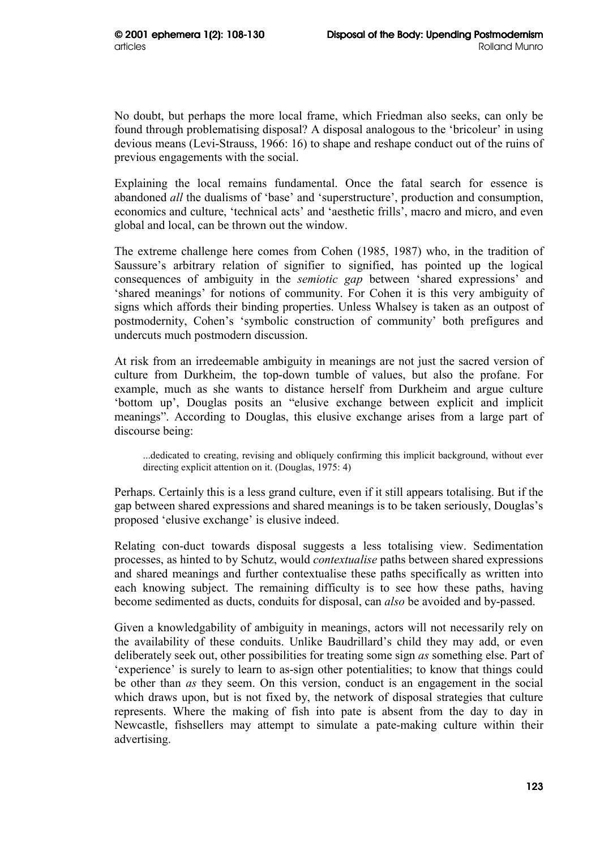No doubt, but perhaps the more local frame, which Friedman also seeks, can only be found through problematising disposal? A disposal analogous to the 'bricoleur' in using devious means (Levi-Strauss, 1966: 16) to shape and reshape conduct out of the ruins of previous engagements with the social.

Explaining the local remains fundamental. Once the fatal search for essence is abandoned *all* the dualisms of 'base' and 'superstructure', production and consumption, economics and culture, 'technical acts' and 'aesthetic frills', macro and micro, and even global and local, can be thrown out the window.

The extreme challenge here comes from Cohen (1985, 1987) who, in the tradition of Saussure's arbitrary relation of signifier to signified, has pointed up the logical consequences of ambiguity in the *semiotic gap* between 'shared expressions' and 'shared meanings' for notions of community. For Cohen it is this very ambiguity of signs which affords their binding properties. Unless Whalsey is taken as an outpost of postmodernity, Cohen's 'symbolic construction of community' both prefigures and undercuts much postmodern discussion.

At risk from an irredeemable ambiguity in meanings are not just the sacred version of culture from Durkheim, the top-down tumble of values, but also the profane. For example, much as she wants to distance herself from Durkheim and argue culture 'bottom up', Douglas posits an "elusive exchange between explicit and implicit meanings". According to Douglas, this elusive exchange arises from a large part of discourse being:

...dedicated to creating, revising and obliquely confirming this implicit background, without ever directing explicit attention on it. (Douglas, 1975: 4)

Perhaps. Certainly this is a less grand culture, even if it still appears totalising. But if the gap between shared expressions and shared meanings is to be taken seriously, Douglas's proposed 'elusive exchange' is elusive indeed.

Relating con-duct towards disposal suggests a less totalising view. Sedimentation processes, as hinted to by Schutz, would *contextualise* paths between shared expressions and shared meanings and further contextualise these paths specifically as written into each knowing subject. The remaining difficulty is to see how these paths, having become sedimented as ducts, conduits for disposal, can *also* be avoided and by-passed.

Given a knowledgability of ambiguity in meanings, actors will not necessarily rely on the availability of these conduits. Unlike Baudrillard's child they may add, or even deliberately seek out, other possibilities for treating some sign *as* something else. Part of 'experience' is surely to learn to as-sign other potentialities; to know that things could be other than *as* they seem. On this version, conduct is an engagement in the social which draws upon, but is not fixed by, the network of disposal strategies that culture represents. Where the making of fish into pate is absent from the day to day in Newcastle, fishsellers may attempt to simulate a pate-making culture within their advertising.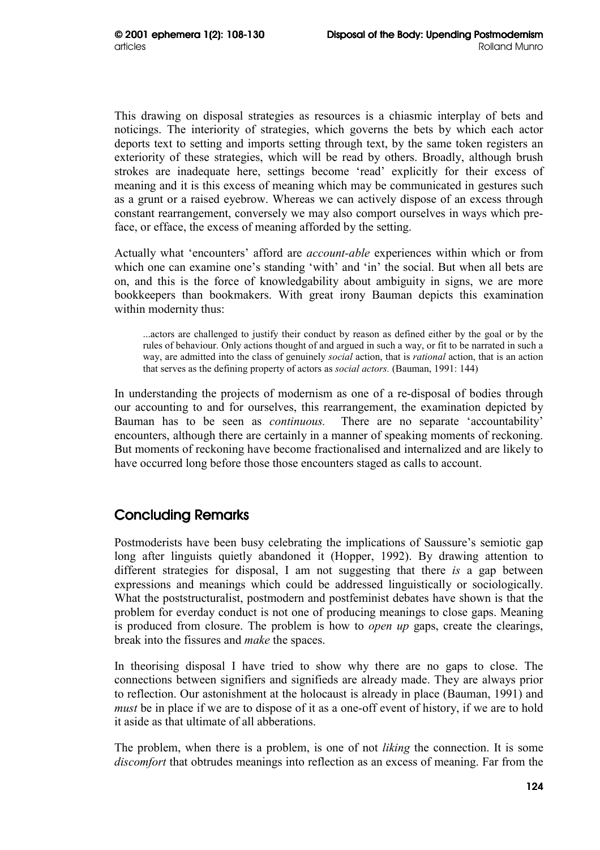This drawing on disposal strategies as resources is a chiasmic interplay of bets and noticings. The interiority of strategies, which governs the bets by which each actor deports text to setting and imports setting through text, by the same token registers an exteriority of these strategies, which will be read by others. Broadly, although brush strokes are inadequate here, settings become 'read' explicitly for their excess of meaning and it is this excess of meaning which may be communicated in gestures such as a grunt or a raised eyebrow. Whereas we can actively dispose of an excess through constant rearrangement, conversely we may also comport ourselves in ways which preface, or efface, the excess of meaning afforded by the setting.

Actually what 'encounters' afford are *account-able* experiences within which or from which one can examine one's standing 'with' and 'in' the social. But when all bets are on, and this is the force of knowledgability about ambiguity in signs, we are more bookkeepers than bookmakers. With great irony Bauman depicts this examination within modernity thus:

...actors are challenged to justify their conduct by reason as defined either by the goal or by the rules of behaviour. Only actions thought of and argued in such a way, or fit to be narrated in such a way, are admitted into the class of genuinely *social* action, that is *rational* action, that is an action that serves as the defining property of actors as *social actors.* (Bauman, 1991: 144)

In understanding the projects of modernism as one of a re-disposal of bodies through our accounting to and for ourselves, this rearrangement, the examination depicted by Bauman has to be seen as *continuous.* There are no separate 'accountability' encounters, although there are certainly in a manner of speaking moments of reckoning. But moments of reckoning have become fractionalised and internalized and are likely to have occurred long before those those encounters staged as calls to account.

# **Concluding Remarks**

Postmoderists have been busy celebrating the implications of Saussure's semiotic gap long after linguists quietly abandoned it (Hopper, 1992). By drawing attention to different strategies for disposal, I am not suggesting that there *is* a gap between expressions and meanings which could be addressed linguistically or sociologically. What the poststructuralist, postmodern and postfeminist debates have shown is that the problem for everday conduct is not one of producing meanings to close gaps. Meaning is produced from closure. The problem is how to *open up* gaps, create the clearings, break into the fissures and *make* the spaces.

In theorising disposal I have tried to show why there are no gaps to close. The connections between signifiers and signifieds are already made. They are always prior to reflection. Our astonishment at the holocaust is already in place (Bauman, 1991) and *must* be in place if we are to dispose of it as a one-off event of history, if we are to hold it aside as that ultimate of all abberations.

The problem, when there is a problem, is one of not *liking* the connection. It is some *discomfort* that obtrudes meanings into reflection as an excess of meaning. Far from the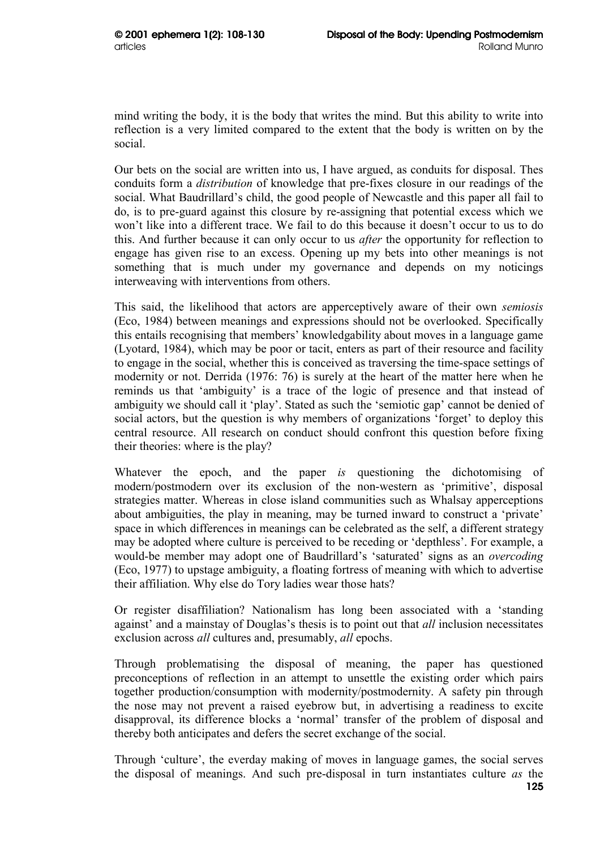mind writing the body, it is the body that writes the mind. But this ability to write into reflection is a very limited compared to the extent that the body is written on by the social.

Our bets on the social are written into us, I have argued, as conduits for disposal. Thes conduits form a *distribution* of knowledge that pre-fixes closure in our readings of the social. What Baudrillard's child, the good people of Newcastle and this paper all fail to do, is to pre-guard against this closure by re-assigning that potential excess which we won't like into a different trace. We fail to do this because it doesn't occur to us to do this. And further because it can only occur to us *after* the opportunity for reflection to engage has given rise to an excess. Opening up my bets into other meanings is not something that is much under my governance and depends on my noticings interweaving with interventions from others.

This said, the likelihood that actors are apperceptively aware of their own *semiosis* (Eco, 1984) between meanings and expressions should not be overlooked. Specifically this entails recognising that members' knowledgability about moves in a language game (Lyotard, 1984), which may be poor or tacit, enters as part of their resource and facility to engage in the social, whether this is conceived as traversing the time-space settings of modernity or not. Derrida (1976: 76) is surely at the heart of the matter here when he reminds us that 'ambiguity' is a trace of the logic of presence and that instead of ambiguity we should call it 'play'. Stated as such the 'semiotic gap' cannot be denied of social actors, but the question is why members of organizations 'forget' to deploy this central resource. All research on conduct should confront this question before fixing their theories: where is the play?

Whatever the epoch, and the paper *is* questioning the dichotomising of modern/postmodern over its exclusion of the non-western as 'primitive', disposal strategies matter. Whereas in close island communities such as Whalsay apperceptions about ambiguities, the play in meaning, may be turned inward to construct a 'private' space in which differences in meanings can be celebrated as the self, a different strategy may be adopted where culture is perceived to be receding or 'depthless'. For example, a would-be member may adopt one of Baudrillard's 'saturated' signs as an *overcoding*  (Eco, 1977) to upstage ambiguity, a floating fortress of meaning with which to advertise their affiliation. Why else do Tory ladies wear those hats?

Or register disaffiliation? Nationalism has long been associated with a 'standing against' and a mainstay of Douglas's thesis is to point out that *all* inclusion necessitates exclusion across *all* cultures and, presumably, *all* epochs.

Through problematising the disposal of meaning, the paper has questioned preconceptions of reflection in an attempt to unsettle the existing order which pairs together production/consumption with modernity/postmodernity. A safety pin through the nose may not prevent a raised eyebrow but, in advertising a readiness to excite disapproval, its difference blocks a 'normal' transfer of the problem of disposal and thereby both anticipates and defers the secret exchange of the social.

Through 'culture', the everday making of moves in language games, the social serves the disposal of meanings. And such pre-disposal in turn instantiates culture *as* the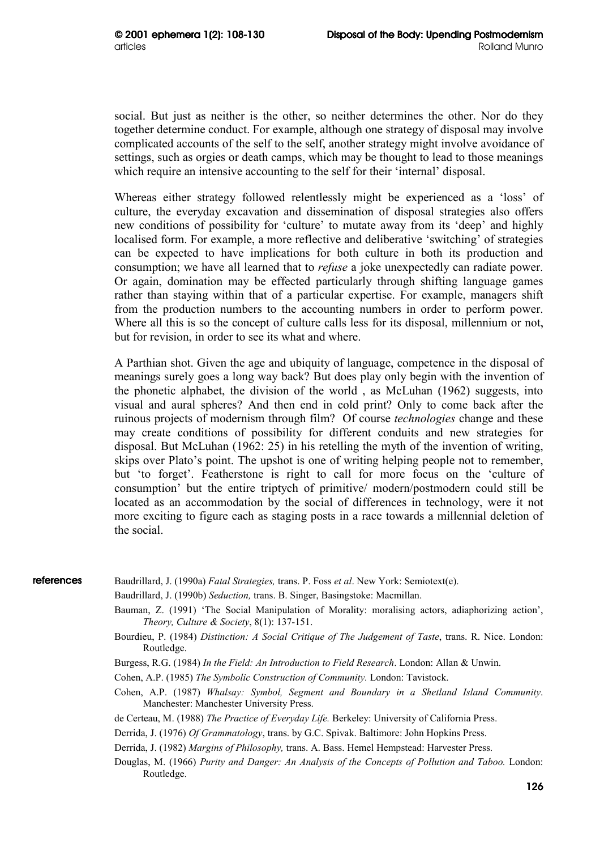social. But just as neither is the other, so neither determines the other. Nor do they together determine conduct. For example, although one strategy of disposal may involve complicated accounts of the self to the self, another strategy might involve avoidance of settings, such as orgies or death camps, which may be thought to lead to those meanings which require an intensive accounting to the self for their 'internal' disposal.

Whereas either strategy followed relentlessly might be experienced as a 'loss' of culture, the everyday excavation and dissemination of disposal strategies also offers new conditions of possibility for 'culture' to mutate away from its 'deep' and highly localised form. For example, a more reflective and deliberative 'switching' of strategies can be expected to have implications for both culture in both its production and consumption; we have all learned that to *refuse* a joke unexpectedly can radiate power. Or again, domination may be effected particularly through shifting language games rather than staying within that of a particular expertise. For example, managers shift from the production numbers to the accounting numbers in order to perform power. Where all this is so the concept of culture calls less for its disposal, millennium or not, but for revision, in order to see its what and where.

A Parthian shot. Given the age and ubiquity of language, competence in the disposal of meanings surely goes a long way back? But does play only begin with the invention of the phonetic alphabet, the division of the world , as McLuhan (1962) suggests, into visual and aural spheres? And then end in cold print? Only to come back after the ruinous projects of modernism through film? Of course *technologies* change and these may create conditions of possibility for different conduits and new strategies for disposal. But McLuhan (1962: 25) in his retelling the myth of the invention of writing, skips over Plato's point. The upshot is one of writing helping people not to remember, but 'to forget'. Featherstone is right to call for more focus on the 'culture of consumption' but the entire triptych of primitive/ modern/postmodern could still be located as an accommodation by the social of differences in technology, were it not more exciting to figure each as staging posts in a race towards a millennial deletion of the social.

#### references references

Baudrillard, J. (1990a) *Fatal Strategies,* trans. P. Foss *et al*. New York: Semiotext(e).

Baudrillard, J. (1990b) *Seduction,* trans. B. Singer, Basingstoke: Macmillan.

- Bauman, Z. (1991) 'The Social Manipulation of Morality: moralising actors, adiaphorizing action', *Theory, Culture & Society*, 8(1): 137-151.
- Bourdieu, P. (1984) *Distinction: A Social Critique of The Judgement of Taste*, trans. R. Nice. London: Routledge.
- Burgess, R.G. (1984) *In the Field: An Introduction to Field Research*. London: Allan & Unwin.
- Cohen, A.P. (1985) *The Symbolic Construction of Community.* London: Tavistock.
- Cohen, A.P. (1987) *Whalsay: Symbol, Segment and Boundary in a Shetland Island Community*. Manchester: Manchester University Press.

de Certeau, M. (1988) *The Practice of Everyday Life.* Berkeley: University of California Press.

- Derrida, J. (1976) *Of Grammatology*, trans. by G.C. Spivak. Baltimore: John Hopkins Press.
- Derrida, J. (1982) *Margins of Philosophy,* trans. A. Bass. Hemel Hempstead: Harvester Press.
- Douglas, M. (1966) *Purity and Danger: An Analysis of the Concepts of Pollution and Taboo.* London: Routledge.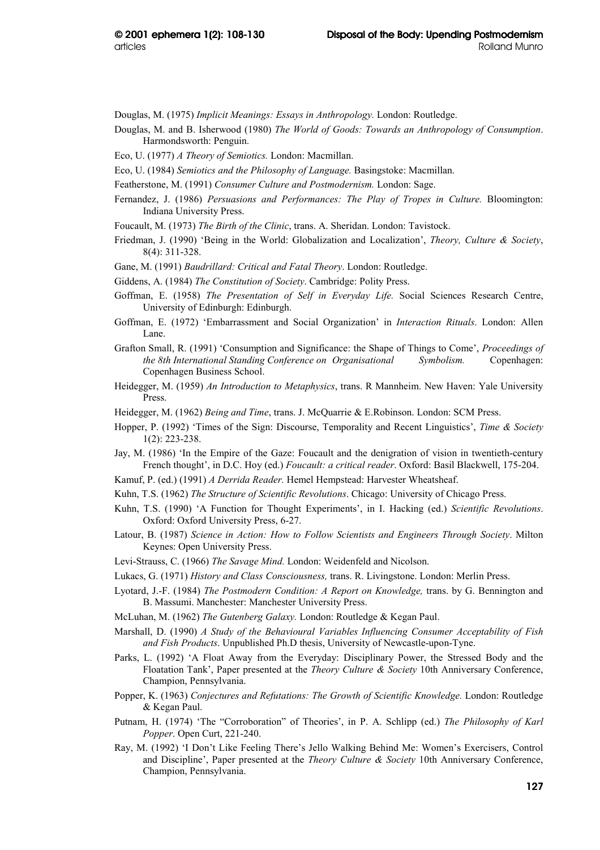Douglas, M. (1975) *Implicit Meanings: Essays in Anthropology.* London: Routledge.

- Douglas, M. and B. Isherwood (1980) *The World of Goods: Towards an Anthropology of Consumption*. Harmondsworth: Penguin.
- Eco, U. (1977) *A Theory of Semiotics.* London: Macmillan.
- Eco, U. (1984) *Semiotics and the Philosophy of Language.* Basingstoke: Macmillan.
- Featherstone, M. (1991) *Consumer Culture and Postmodernism.* London: Sage.
- Fernandez, J. (1986) *Persuasions and Performances: The Play of Tropes in Culture.* Bloomington: Indiana University Press.
- Foucault, M. (1973) *The Birth of the Clinic*, trans. A. Sheridan. London: Tavistock.
- Friedman, J. (1990) 'Being in the World: Globalization and Localization', *Theory, Culture & Society*, 8(4): 311-328.
- Gane, M. (1991) *Baudrillard: Critical and Fatal Theory*. London: Routledge.
- Giddens, A. (1984) *The Constitution of Society*. Cambridge: Polity Press.
- Goffman, E. (1958) *The Presentation of Self in Everyday Life.* Social Sciences Research Centre, University of Edinburgh: Edinburgh.
- Goffman, E. (1972) 'Embarrassment and Social Organization' in *Interaction Rituals*. London: Allen Lane.
- Grafton Small, R. (1991) 'Consumption and Significance: the Shape of Things to Come', *Proceedings of the 8th International Standing Conference on Organisational Symbolism.* Copenhagen: Copenhagen Business School.
- Heidegger, M. (1959) *An Introduction to Metaphysics*, trans. R Mannheim. New Haven: Yale University Press.
- Heidegger, M. (1962) *Being and Time*, trans. J. McQuarrie & E.Robinson. London: SCM Press.
- Hopper, P. (1992) 'Times of the Sign: Discourse, Temporality and Recent Linguistics', *Time & Society* 1(2): 223-238.
- Jay, M. (1986) 'In the Empire of the Gaze: Foucault and the denigration of vision in twentieth-century French thought', in D.C. Hoy (ed.) *Foucault: a critical reader*. Oxford: Basil Blackwell, 175-204.
- Kamuf, P. (ed.) (1991) *A Derrida Reader.* Hemel Hempstead: Harvester Wheatsheaf.
- Kuhn, T.S. (1962) *The Structure of Scientific Revolutions*. Chicago: University of Chicago Press.
- Kuhn, T.S. (1990) 'A Function for Thought Experiments', in I. Hacking (ed.) *Scientific Revolutions*. Oxford: Oxford University Press, 6-27.
- Latour, B. (1987) *Science in Action: How to Follow Scientists and Engineers Through Society*. Milton Keynes: Open University Press.
- Levi-Strauss, C. (1966) *The Savage Mind.* London: Weidenfeld and Nicolson.
- Lukacs, G. (1971) *History and Class Consciousness,* trans. R. Livingstone. London: Merlin Press.
- Lyotard, J.-F. (1984) *The Postmodern Condition: A Report on Knowledge,* trans. by G. Bennington and B. Massumi. Manchester: Manchester University Press.
- McLuhan, M. (1962) *The Gutenberg Galaxy.* London: Routledge & Kegan Paul.
- Marshall, D. (1990) *A Study of the Behavioural Variables Influencing Consumer Acceptability of Fish and Fish Products*. Unpublished Ph.D thesis, University of Newcastle-upon-Tyne.
- Parks, L. (1992) 'A Float Away from the Everyday: Disciplinary Power, the Stressed Body and the Floatation Tank', Paper presented at the *Theory Culture & Society* 10th Anniversary Conference, Champion, Pennsylvania.
- Popper, K. (1963) *Conjectures and Refutations: The Growth of Scientific Knowledge.* London: Routledge & Kegan Paul.
- Putnam, H. (1974) 'The "Corroboration" of Theories', in P. A. Schlipp (ed.) *The Philosophy of Karl Popper*. Open Curt, 221-240.
- Ray, M. (1992) 'I Don't Like Feeling There's Jello Walking Behind Me: Women's Exercisers, Control and Discipline', Paper presented at the *Theory Culture & Society* 10th Anniversary Conference, Champion, Pennsylvania.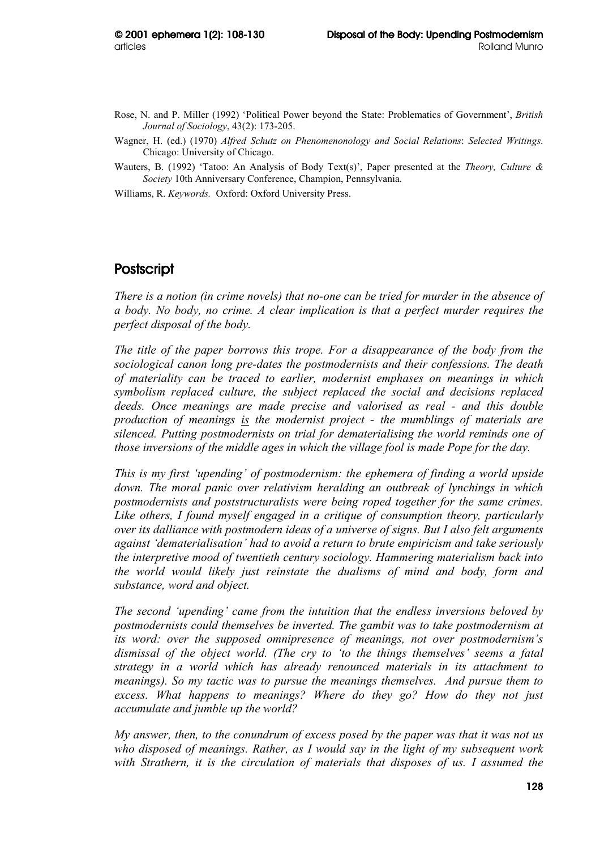- Rose, N. and P. Miller (1992) 'Political Power beyond the State: Problematics of Government', *British Journal of Sociology*, 43(2): 173-205.
- Wagner, H. (ed.) (1970) *Alfred Schutz on Phenomenonology and Social Relations*: *Selected Writings*. Chicago: University of Chicago.
- Wauters, B. (1992) 'Tatoo: An Analysis of Body Text(s)', Paper presented at the *Theory, Culture & Society* 10th Anniversary Conference, Champion, Pennsylvania.

Williams, R. *Keywords.* Oxford: Oxford University Press.

## **Postscript**

*There is a notion (in crime novels) that no-one can be tried for murder in the absence of a body. No body, no crime. A clear implication is that a perfect murder requires the perfect disposal of the body.* 

*The title of the paper borrows this trope. For a disappearance of the body from the sociological canon long pre-dates the postmodernists and their confessions. The death of materiality can be traced to earlier, modernist emphases on meanings in which symbolism replaced culture, the subject replaced the social and decisions replaced deeds. Once meanings are made precise and valorised as real - and this double production of meanings is the modernist project - the mumblings of materials are silenced. Putting postmodernists on trial for dematerialising the world reminds one of those inversions of the middle ages in which the village fool is made Pope for the day.* 

*This is my first 'upending' of postmodernism: the ephemera of finding a world upside down. The moral panic over relativism heralding an outbreak of lynchings in which postmodernists and poststructuralists were being roped together for the same crimes. Like others, I found myself engaged in a critique of consumption theory, particularly over its dalliance with postmodern ideas of a universe of signs. But I also felt arguments against 'dematerialisation' had to avoid a return to brute empiricism and take seriously the interpretive mood of twentieth century sociology. Hammering materialism back into the world would likely just reinstate the dualisms of mind and body, form and substance, word and object.* 

*The second 'upending' came from the intuition that the endless inversions beloved by postmodernists could themselves be inverted. The gambit was to take postmodernism at its word: over the supposed omnipresence of meanings, not over postmodernism's dismissal of the object world. (The cry to 'to the things themselves' seems a fatal strategy in a world which has already renounced materials in its attachment to meanings). So my tactic was to pursue the meanings themselves. And pursue them to excess. What happens to meanings? Where do they go? How do they not just accumulate and jumble up the world?* 

*My answer, then, to the conundrum of excess posed by the paper was that it was not us who disposed of meanings. Rather, as I would say in the light of my subsequent work with Strathern, it is the circulation of materials that disposes of us. I assumed the*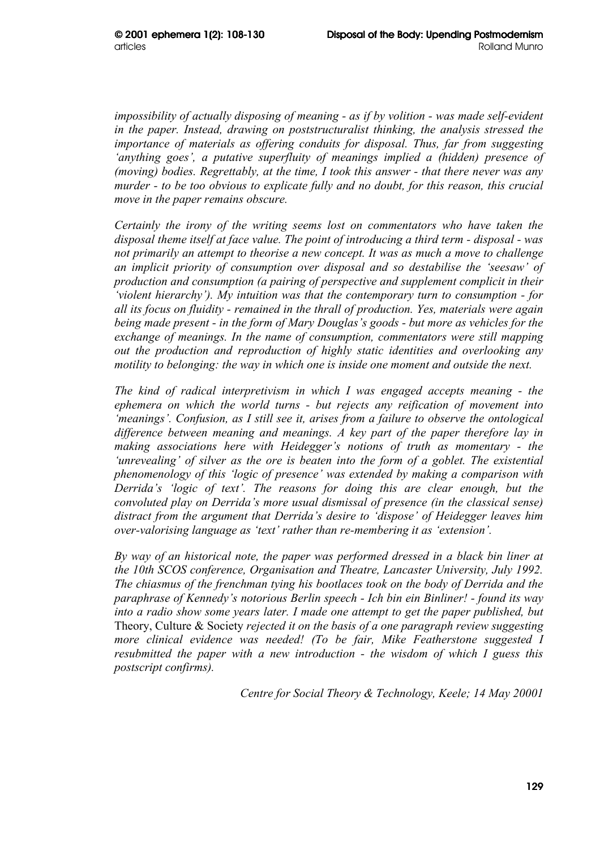*impossibility of actually disposing of meaning - as if by volition - was made self-evident in the paper. Instead, drawing on poststructuralist thinking, the analysis stressed the importance of materials as offering conduits for disposal. Thus, far from suggesting 'anything goes', a putative superfluity of meanings implied a (hidden) presence of (moving) bodies. Regrettably, at the time, I took this answer - that there never was any murder - to be too obvious to explicate fully and no doubt, for this reason, this crucial move in the paper remains obscure.* 

*Certainly the irony of the writing seems lost on commentators who have taken the disposal theme itself at face value. The point of introducing a third term - disposal - was not primarily an attempt to theorise a new concept. It was as much a move to challenge an implicit priority of consumption over disposal and so destabilise the 'seesaw' of production and consumption (a pairing of perspective and supplement complicit in their 'violent hierarchy'). My intuition was that the contemporary turn to consumption - for all its focus on fluidity - remained in the thrall of production. Yes, materials were again being made present - in the form of Mary Douglas's goods - but more as vehicles for the exchange of meanings. In the name of consumption, commentators were still mapping out the production and reproduction of highly static identities and overlooking any motility to belonging: the way in which one is inside one moment and outside the next.* 

*The kind of radical interpretivism in which I was engaged accepts meaning - the ephemera on which the world turns - but rejects any reification of movement into 'meanings'. Confusion, as I still see it, arises from a failure to observe the ontological difference between meaning and meanings. A key part of the paper therefore lay in making associations here with Heidegger's notions of truth as momentary - the 'unrevealing' of silver as the ore is beaten into the form of a goblet. The existential phenomenology of this 'logic of presence' was extended by making a comparison with Derrida's 'logic of text'. The reasons for doing this are clear enough, but the convoluted play on Derrida's more usual dismissal of presence (in the classical sense) distract from the argument that Derrida's desire to 'dispose' of Heidegger leaves him over-valorising language as 'text' rather than re-membering it as 'extension'.* 

*By way of an historical note, the paper was performed dressed in a black bin liner at the 10th SCOS conference, Organisation and Theatre, Lancaster University, July 1992. The chiasmus of the frenchman tying his bootlaces took on the body of Derrida and the paraphrase of Kennedy's notorious Berlin speech - Ich bin ein Binliner! - found its way into a radio show some years later. I made one attempt to get the paper published, but* Theory, Culture & Society *rejected it on the basis of a one paragraph review suggesting more clinical evidence was needed! (To be fair, Mike Featherstone suggested I resubmitted the paper with a new introduction - the wisdom of which I guess this postscript confirms).* 

*Centre for Social Theory & Technology, Keele; 14 May 20001*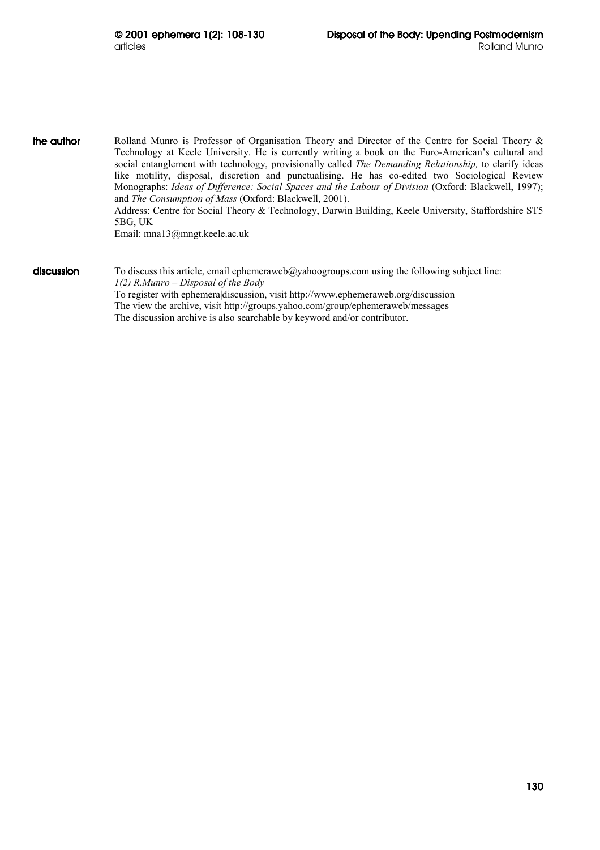| the author | Rolland Munro is Professor of Organisation Theory and Director of the Centre for Social Theory &<br>Technology at Keele University. He is currently writing a book on the Euro-American's cultural and<br>social entanglement with technology, provisionally called <i>The Demanding Relationship</i> , to clarify ideas<br>like motility, disposal, discretion and punctualising. He has co-edited two Sociological Review<br>Monographs: Ideas of Difference: Social Spaces and the Labour of Division (Oxford: Blackwell, 1997);<br>and <i>The Consumption of Mass</i> (Oxford: Blackwell, 2001).<br>Address: Centre for Social Theory & Technology, Darwin Building, Keele University, Staffordshire ST5<br>5BG, UK<br>Email: mna13@mngt.keele.ac.uk |
|------------|----------------------------------------------------------------------------------------------------------------------------------------------------------------------------------------------------------------------------------------------------------------------------------------------------------------------------------------------------------------------------------------------------------------------------------------------------------------------------------------------------------------------------------------------------------------------------------------------------------------------------------------------------------------------------------------------------------------------------------------------------------|
| discussion | To discuss this article, email ephemeraweb@yahoogroups.com using the following subject line:<br>$1(2)$ R.Munro – Disposal of the Body<br>To register with ephemeral discussion, visit http://www.ephemeraweb.org/discussion<br>The view the archive, visit http://groups.yahoo.com/group/ephemeraweb/messages                                                                                                                                                                                                                                                                                                                                                                                                                                            |

The discussion archive is also searchable by keyword and/or contributor.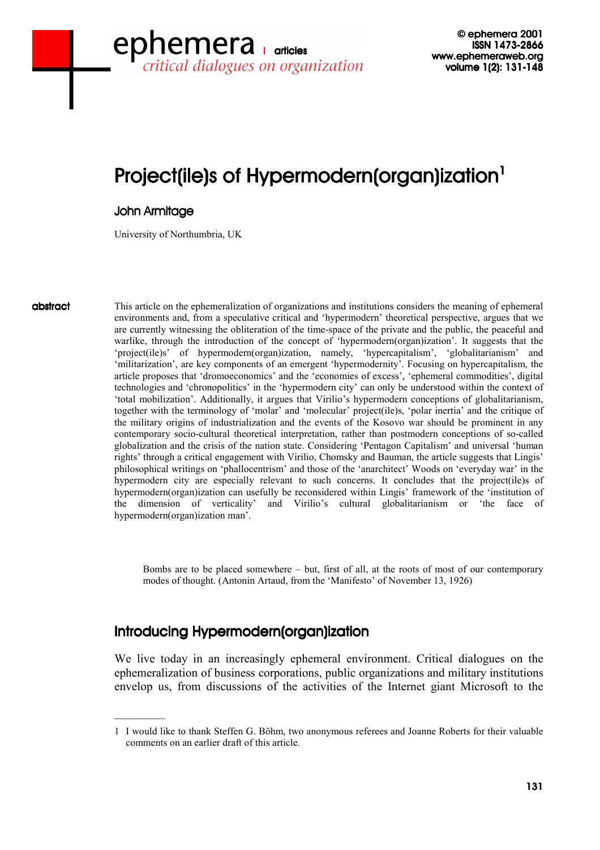# Project(ile)s of Hypermodern(organ)ization<sup>1</sup>

#### John Armitage

 $\frac{1}{2}$ 

University of Northumbria, UK

This article on the ephemeralization of organizations and institutions considers the meaning of ephemeral environments and, from a speculative critical and 'hypermodern' theoretical perspective, argues that we are currently witnessing the obliteration of the time-space of the private and the public, the peaceful and warlike, through the introduction of the concept of 'hypermodern(organ)ization'. It suggests that the 'project(ile)s' of hypermodern(organ)ization, namely, 'hypercapitalism', 'globalitarianism' and 'militarization', are key components of an emergent 'hypermodernity'. Focusing on hypercapitalism, the article proposes that 'dromoeconomics' and the 'economies of excess', 'ephemeral commodities', digital technologies and 'chronopolitics' in the 'hypermodern city' can only be understood within the context of 'total mobilization'. Additionally, it argues that Virilio's hypermodern conceptions of globalitarianism, together with the terminology of 'molar' and 'molecular' project(ile)s, 'polar inertia' and the critique of the military origins of industrialization and the events of the Kosovo war should be prominent in any contemporary socio-cultural theoretical interpretation, rather than postmodern conceptions of so-called globalization and the crisis of the nation state. Considering 'Pentagon Capitalism' and universal 'human rights' through a critical engagement with Virilio, Chomsky and Bauman, the article suggests that Lingis' philosophical writings on 'phallocentrism' and those of the 'anarchitect' Woods on 'everyday war' in the hypermodern city are especially relevant to such concerns. It concludes that the project(ile)s of hypermodern(organ)ization can usefully be reconsidered within Lingis' framework of the 'institution of the dimension of verticality' and Virilio's cultural globalitarianism or 'the face of hypermodern(organ)ization man'. abstract abstract

> Bombs are to be placed somewhere – but, first of all, at the roots of most of our contemporary modes of thought. (Antonin Artaud, from the 'Manifesto' of November 13, 1926)

# Introducing Hypermodern(organ)ization

We live today in an increasingly ephemeral environment. Critical dialogues on the ephemeralization of business corporations, public organizations and military institutions envelop us, from discussions of the activities of the Internet giant Microsoft to the

<sup>1</sup> I would like to thank Steffen G. Böhm, two anonymous referees and Joanne Roberts for their valuable comments on an earlier draft of this article.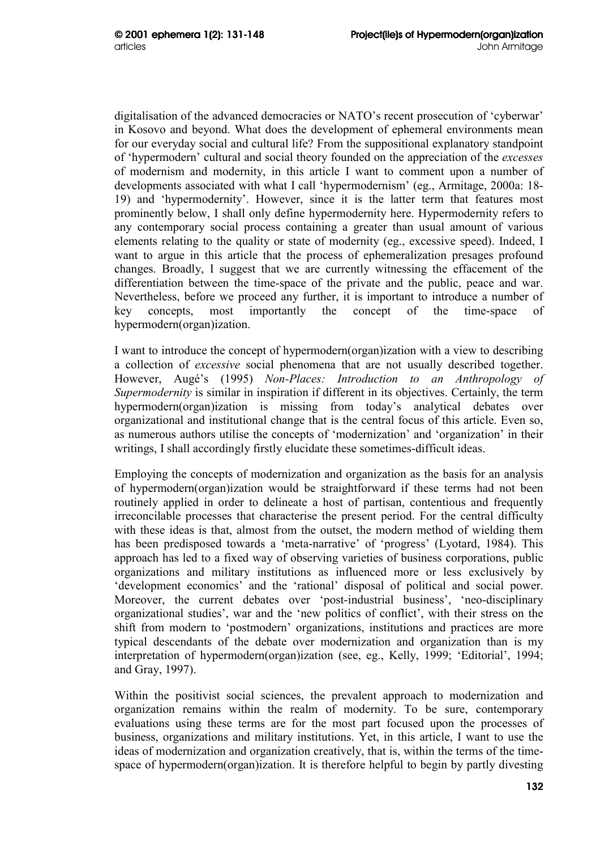digitalisation of the advanced democracies or NATO's recent prosecution of 'cyberwar' in Kosovo and beyond. What does the development of ephemeral environments mean for our everyday social and cultural life? From the suppositional explanatory standpoint of 'hypermodern' cultural and social theory founded on the appreciation of the *excesses* of modernism and modernity, in this article I want to comment upon a number of developments associated with what I call 'hypermodernism' (eg., Armitage, 2000a: 18- 19) and 'hypermodernity'. However, since it is the latter term that features most prominently below, I shall only define hypermodernity here. Hypermodernity refers to any contemporary social process containing a greater than usual amount of various elements relating to the quality or state of modernity (eg., excessive speed). Indeed, I want to argue in this article that the process of ephemeralization presages profound changes. Broadly, I suggest that we are currently witnessing the effacement of the differentiation between the time-space of the private and the public, peace and war. Nevertheless, before we proceed any further, it is important to introduce a number of key concepts, most importantly the concept of the time-space of hypermodern(organ)ization.

I want to introduce the concept of hypermodern(organ)ization with a view to describing a collection of *excessive* social phenomena that are not usually described together. However, Augé's (1995) *Non-Places: Introduction to an Anthropology of Supermodernity* is similar in inspiration if different in its objectives. Certainly, the term hypermodern(organ)ization is missing from today's analytical debates over organizational and institutional change that is the central focus of this article. Even so, as numerous authors utilise the concepts of 'modernization' and 'organization' in their writings, I shall accordingly firstly elucidate these sometimes-difficult ideas.

Employing the concepts of modernization and organization as the basis for an analysis of hypermodern(organ)ization would be straightforward if these terms had not been routinely applied in order to delineate a host of partisan, contentious and frequently irreconcilable processes that characterise the present period. For the central difficulty with these ideas is that, almost from the outset, the modern method of wielding them has been predisposed towards a 'meta-narrative' of 'progress' (Lyotard, 1984). This approach has led to a fixed way of observing varieties of business corporations, public organizations and military institutions as influenced more or less exclusively by 'development economics' and the 'rational' disposal of political and social power. Moreover, the current debates over 'post-industrial business', 'neo-disciplinary organizational studies', war and the 'new politics of conflict', with their stress on the shift from modern to 'postmodern' organizations, institutions and practices are more typical descendants of the debate over modernization and organization than is my interpretation of hypermodern(organ)ization (see, eg., Kelly, 1999; 'Editorial', 1994; and Gray, 1997).

Within the positivist social sciences, the prevalent approach to modernization and organization remains within the realm of modernity. To be sure, contemporary evaluations using these terms are for the most part focused upon the processes of business, organizations and military institutions. Yet, in this article, I want to use the ideas of modernization and organization creatively, that is, within the terms of the timespace of hypermodern(organ)ization. It is therefore helpful to begin by partly divesting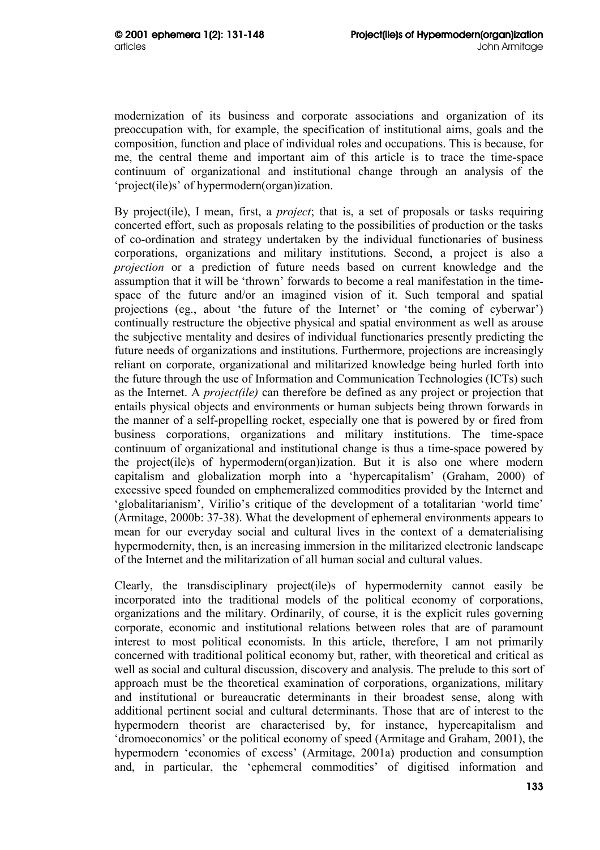modernization of its business and corporate associations and organization of its preoccupation with, for example, the specification of institutional aims, goals and the composition, function and place of individual roles and occupations. This is because, for me, the central theme and important aim of this article is to trace the time-space continuum of organizational and institutional change through an analysis of the 'project(ile)s' of hypermodern(organ)ization.

By project(ile), I mean, first, a *project*; that is, a set of proposals or tasks requiring concerted effort, such as proposals relating to the possibilities of production or the tasks of co-ordination and strategy undertaken by the individual functionaries of business corporations, organizations and military institutions. Second, a project is also a *projection* or a prediction of future needs based on current knowledge and the assumption that it will be 'thrown' forwards to become a real manifestation in the timespace of the future and/or an imagined vision of it. Such temporal and spatial projections (eg., about 'the future of the Internet' or 'the coming of cyberwar') continually restructure the objective physical and spatial environment as well as arouse the subjective mentality and desires of individual functionaries presently predicting the future needs of organizations and institutions. Furthermore, projections are increasingly reliant on corporate, organizational and militarized knowledge being hurled forth into the future through the use of Information and Communication Technologies (ICTs) such as the Internet. A *project(ile)* can therefore be defined as any project or projection that entails physical objects and environments or human subjects being thrown forwards in the manner of a self-propelling rocket, especially one that is powered by or fired from business corporations, organizations and military institutions. The time-space continuum of organizational and institutional change is thus a time-space powered by the project(ile)s of hypermodern(organ)ization. But it is also one where modern capitalism and globalization morph into a 'hypercapitalism' (Graham, 2000) of excessive speed founded on emphemeralized commodities provided by the Internet and 'globalitarianism', Virilio's critique of the development of a totalitarian 'world time' (Armitage, 2000b: 37-38). What the development of ephemeral environments appears to mean for our everyday social and cultural lives in the context of a dematerialising hypermodernity, then, is an increasing immersion in the militarized electronic landscape of the Internet and the militarization of all human social and cultural values.

Clearly, the transdisciplinary project(ile)s of hypermodernity cannot easily be incorporated into the traditional models of the political economy of corporations, organizations and the military. Ordinarily, of course, it is the explicit rules governing corporate, economic and institutional relations between roles that are of paramount interest to most political economists. In this article, therefore, I am not primarily concerned with traditional political economy but, rather, with theoretical and critical as well as social and cultural discussion, discovery and analysis. The prelude to this sort of approach must be the theoretical examination of corporations, organizations, military and institutional or bureaucratic determinants in their broadest sense, along with additional pertinent social and cultural determinants. Those that are of interest to the hypermodern theorist are characterised by, for instance, hypercapitalism and 'dromoeconomics' or the political economy of speed (Armitage and Graham, 2001), the hypermodern 'economies of excess' (Armitage, 2001a) production and consumption and, in particular, the 'ephemeral commodities' of digitised information and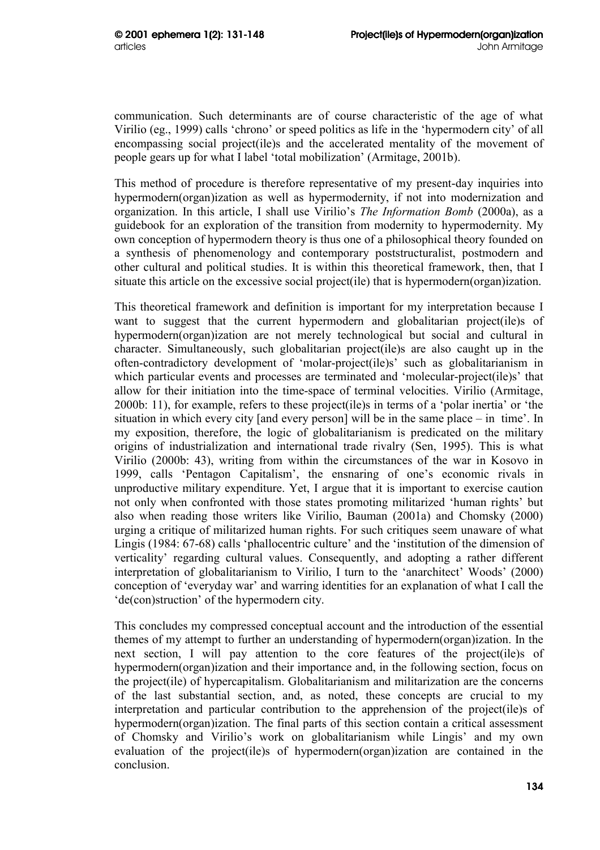communication. Such determinants are of course characteristic of the age of what Virilio (eg., 1999) calls 'chrono' or speed politics as life in the 'hypermodern city' of all encompassing social project(ile)s and the accelerated mentality of the movement of people gears up for what I label 'total mobilization' (Armitage, 2001b).

This method of procedure is therefore representative of my present-day inquiries into hypermodern(organ)ization as well as hypermodernity, if not into modernization and organization. In this article, I shall use Virilio's *The Information Bomb* (2000a), as a guidebook for an exploration of the transition from modernity to hypermodernity. My own conception of hypermodern theory is thus one of a philosophical theory founded on a synthesis of phenomenology and contemporary poststructuralist, postmodern and other cultural and political studies. It is within this theoretical framework, then, that I situate this article on the excessive social project(ile) that is hypermodern(organ)ization.

This theoretical framework and definition is important for my interpretation because I want to suggest that the current hypermodern and globalitarian project(ile)s of hypermodern(organ)ization are not merely technological but social and cultural in character. Simultaneously, such globalitarian project(ile)s are also caught up in the often-contradictory development of 'molar-project(ile)s' such as globalitarianism in which particular events and processes are terminated and 'molecular-project(ile)s' that allow for their initiation into the time-space of terminal velocities. Virilio (Armitage, 2000b: 11), for example, refers to these project(ile)s in terms of a 'polar inertia' or 'the situation in which every city [and every person] will be in the same place – in time'. In my exposition, therefore, the logic of globalitarianism is predicated on the military origins of industrialization and international trade rivalry (Sen, 1995). This is what Virilio (2000b: 43), writing from within the circumstances of the war in Kosovo in 1999, calls 'Pentagon Capitalism', the ensnaring of one's economic rivals in unproductive military expenditure. Yet, I argue that it is important to exercise caution not only when confronted with those states promoting militarized 'human rights' but also when reading those writers like Virilio, Bauman (2001a) and Chomsky (2000) urging a critique of militarized human rights. For such critiques seem unaware of what Lingis (1984: 67-68) calls 'phallocentric culture' and the 'institution of the dimension of verticality' regarding cultural values. Consequently, and adopting a rather different interpretation of globalitarianism to Virilio, I turn to the 'anarchitect' Woods' (2000) conception of 'everyday war' and warring identities for an explanation of what I call the 'de(con)struction' of the hypermodern city.

This concludes my compressed conceptual account and the introduction of the essential themes of my attempt to further an understanding of hypermodern(organ)ization. In the next section, I will pay attention to the core features of the project(ile)s of hypermodern(organ)ization and their importance and, in the following section, focus on the project(ile) of hypercapitalism. Globalitarianism and militarization are the concerns of the last substantial section, and, as noted, these concepts are crucial to my interpretation and particular contribution to the apprehension of the project(ile)s of hypermodern(organ)ization. The final parts of this section contain a critical assessment of Chomsky and Virilio's work on globalitarianism while Lingis' and my own evaluation of the project(ile)s of hypermodern(organ)ization are contained in the conclusion.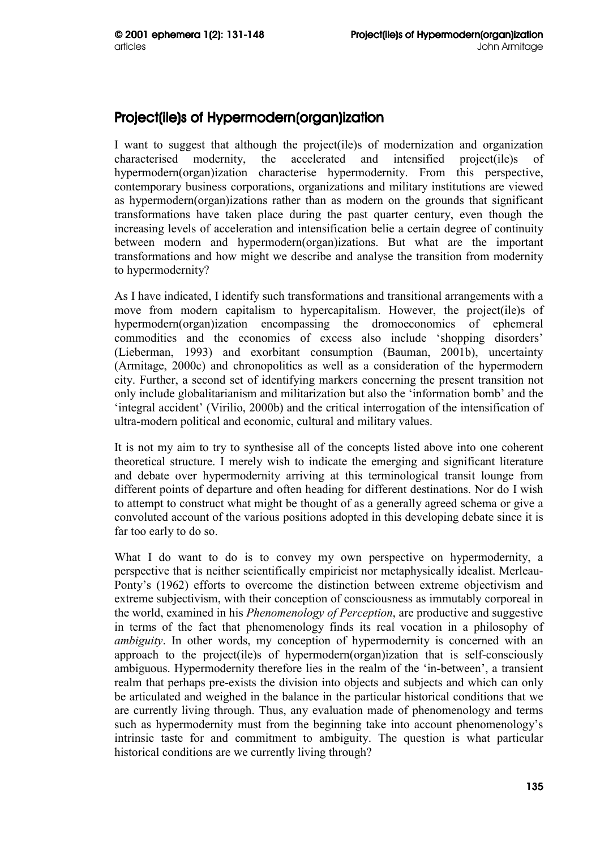# Project(ile)s of Hypermodern(organ)ization

I want to suggest that although the project(ile)s of modernization and organization characterised modernity, the accelerated and intensified project(ile)s of hypermodern(organ)ization characterise hypermodernity. From this perspective, contemporary business corporations, organizations and military institutions are viewed as hypermodern(organ)izations rather than as modern on the grounds that significant transformations have taken place during the past quarter century, even though the increasing levels of acceleration and intensification belie a certain degree of continuity between modern and hypermodern(organ)izations. But what are the important transformations and how might we describe and analyse the transition from modernity to hypermodernity?

As I have indicated, I identify such transformations and transitional arrangements with a move from modern capitalism to hypercapitalism. However, the project(ile)s of hypermodern(organ)ization encompassing the dromoeconomics of ephemeral commodities and the economies of excess also include 'shopping disorders' (Lieberman, 1993) and exorbitant consumption (Bauman, 2001b), uncertainty (Armitage, 2000c) and chronopolitics as well as a consideration of the hypermodern city. Further, a second set of identifying markers concerning the present transition not only include globalitarianism and militarization but also the 'information bomb' and the 'integral accident' (Virilio, 2000b) and the critical interrogation of the intensification of ultra-modern political and economic, cultural and military values.

It is not my aim to try to synthesise all of the concepts listed above into one coherent theoretical structure. I merely wish to indicate the emerging and significant literature and debate over hypermodernity arriving at this terminological transit lounge from different points of departure and often heading for different destinations. Nor do I wish to attempt to construct what might be thought of as a generally agreed schema or give a convoluted account of the various positions adopted in this developing debate since it is far too early to do so.

What I do want to do is to convey my own perspective on hypermodernity, a perspective that is neither scientifically empiricist nor metaphysically idealist. Merleau-Ponty's (1962) efforts to overcome the distinction between extreme objectivism and extreme subjectivism, with their conception of consciousness as immutably corporeal in the world, examined in his *Phenomenology of Perception*, are productive and suggestive in terms of the fact that phenomenology finds its real vocation in a philosophy of *ambiguity*. In other words, my conception of hypermodernity is concerned with an approach to the project(ile)s of hypermodern(organ)ization that is self-consciously ambiguous. Hypermodernity therefore lies in the realm of the 'in-between', a transient realm that perhaps pre-exists the division into objects and subjects and which can only be articulated and weighed in the balance in the particular historical conditions that we are currently living through. Thus, any evaluation made of phenomenology and terms such as hypermodernity must from the beginning take into account phenomenology's intrinsic taste for and commitment to ambiguity. The question is what particular historical conditions are we currently living through?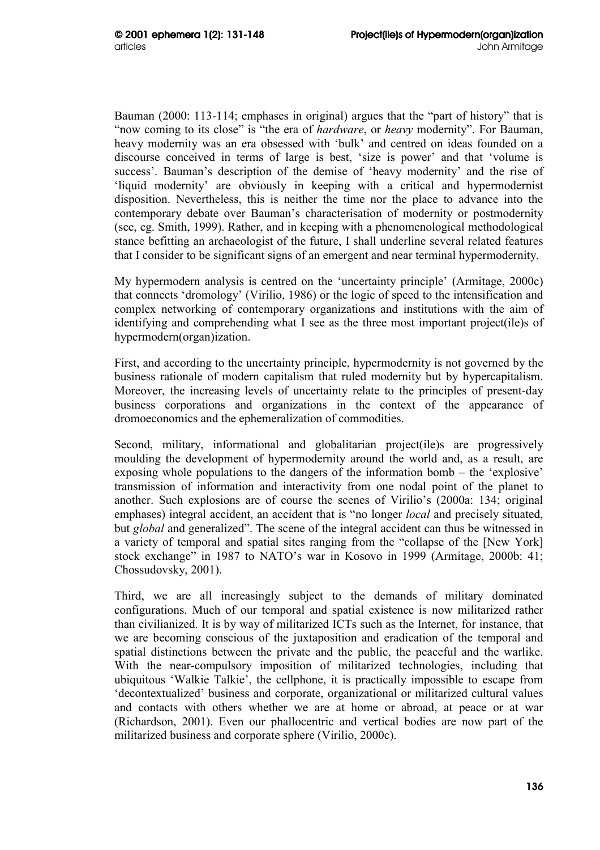Bauman (2000: 113-114; emphases in original) argues that the "part of history" that is "now coming to its close" is "the era of *hardware*, or *heavy* modernity". For Bauman, heavy modernity was an era obsessed with 'bulk' and centred on ideas founded on a discourse conceived in terms of large is best, 'size is power' and that 'volume is success'. Bauman's description of the demise of 'heavy modernity' and the rise of 'liquid modernity' are obviously in keeping with a critical and hypermodernist disposition. Nevertheless, this is neither the time nor the place to advance into the contemporary debate over Bauman's characterisation of modernity or postmodernity (see, eg. Smith, 1999). Rather, and in keeping with a phenomenological methodological stance befitting an archaeologist of the future, I shall underline several related features that I consider to be significant signs of an emergent and near terminal hypermodernity.

My hypermodern analysis is centred on the 'uncertainty principle' (Armitage, 2000c) that connects 'dromology' (Virilio, 1986) or the logic of speed to the intensification and complex networking of contemporary organizations and institutions with the aim of identifying and comprehending what I see as the three most important project(ile)s of hypermodern(organ)ization.

First, and according to the uncertainty principle, hypermodernity is not governed by the business rationale of modern capitalism that ruled modernity but by hypercapitalism. Moreover, the increasing levels of uncertainty relate to the principles of present-day business corporations and organizations in the context of the appearance of dromoeconomics and the ephemeralization of commodities.

Second, military, informational and globalitarian project(ile)s are progressively moulding the development of hypermodernity around the world and, as a result, are exposing whole populations to the dangers of the information bomb – the 'explosive' transmission of information and interactivity from one nodal point of the planet to another. Such explosions are of course the scenes of Virilio's (2000a: 134; original emphases) integral accident, an accident that is "no longer *local* and precisely situated, but *global* and generalized". The scene of the integral accident can thus be witnessed in a variety of temporal and spatial sites ranging from the "collapse of the [New York] stock exchange" in 1987 to NATO's war in Kosovo in 1999 (Armitage, 2000b: 41; Chossudovsky, 2001).

Third, we are all increasingly subject to the demands of military dominated configurations. Much of our temporal and spatial existence is now militarized rather than civilianized. It is by way of militarized ICTs such as the Internet, for instance, that we are becoming conscious of the juxtaposition and eradication of the temporal and spatial distinctions between the private and the public, the peaceful and the warlike. With the near-compulsory imposition of militarized technologies, including that ubiquitous 'Walkie Talkie', the cellphone, it is practically impossible to escape from 'decontextualized' business and corporate, organizational or militarized cultural values and contacts with others whether we are at home or abroad, at peace or at war (Richardson, 2001). Even our phallocentric and vertical bodies are now part of the militarized business and corporate sphere (Virilio, 2000c).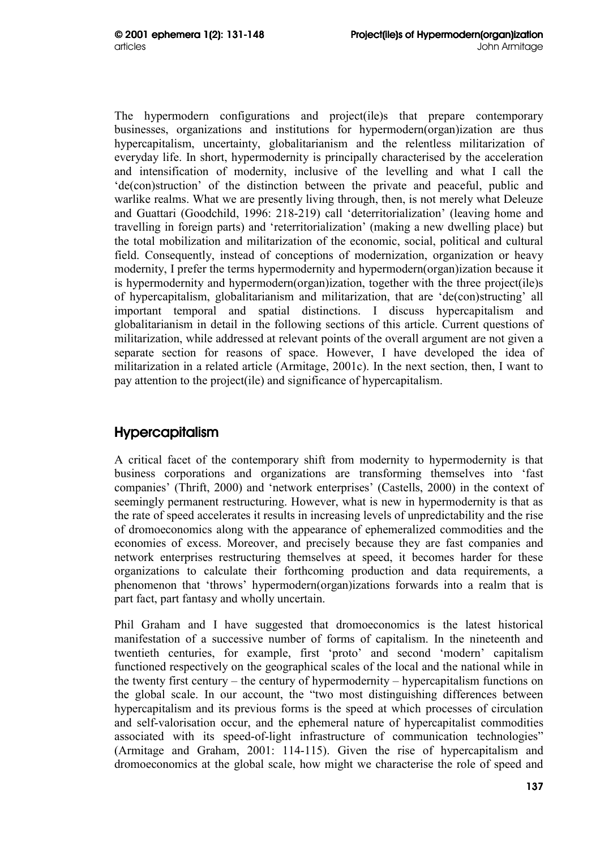The hypermodern configurations and project(ile)s that prepare contemporary businesses, organizations and institutions for hypermodern(organ)ization are thus hypercapitalism, uncertainty, globalitarianism and the relentless militarization of everyday life. In short, hypermodernity is principally characterised by the acceleration and intensification of modernity, inclusive of the levelling and what I call the 'de(con)struction' of the distinction between the private and peaceful, public and warlike realms. What we are presently living through, then, is not merely what Deleuze and Guattari (Goodchild, 1996: 218-219) call 'deterritorialization' (leaving home and travelling in foreign parts) and 'reterritorialization' (making a new dwelling place) but the total mobilization and militarization of the economic, social, political and cultural field. Consequently, instead of conceptions of modernization, organization or heavy modernity, I prefer the terms hypermodernity and hypermodern(organ)ization because it is hypermodernity and hypermodern(organ)ization, together with the three project(ile)s of hypercapitalism, globalitarianism and militarization, that are 'de(con)structing' all important temporal and spatial distinctions. I discuss hypercapitalism and globalitarianism in detail in the following sections of this article. Current questions of militarization, while addressed at relevant points of the overall argument are not given a separate section for reasons of space. However, I have developed the idea of militarization in a related article (Armitage, 2001c). In the next section, then, I want to pay attention to the project(ile) and significance of hypercapitalism.

# Hypercapitalism

A critical facet of the contemporary shift from modernity to hypermodernity is that business corporations and organizations are transforming themselves into 'fast companies' (Thrift, 2000) and 'network enterprises' (Castells, 2000) in the context of seemingly permanent restructuring. However, what is new in hypermodernity is that as the rate of speed accelerates it results in increasing levels of unpredictability and the rise of dromoeconomics along with the appearance of ephemeralized commodities and the economies of excess. Moreover, and precisely because they are fast companies and network enterprises restructuring themselves at speed, it becomes harder for these organizations to calculate their forthcoming production and data requirements, a phenomenon that 'throws' hypermodern(organ)izations forwards into a realm that is part fact, part fantasy and wholly uncertain.

Phil Graham and I have suggested that dromoeconomics is the latest historical manifestation of a successive number of forms of capitalism. In the nineteenth and twentieth centuries, for example, first 'proto' and second 'modern' capitalism functioned respectively on the geographical scales of the local and the national while in the twenty first century – the century of hypermodernity – hypercapitalism functions on the global scale. In our account, the "two most distinguishing differences between hypercapitalism and its previous forms is the speed at which processes of circulation and self-valorisation occur, and the ephemeral nature of hypercapitalist commodities associated with its speed-of-light infrastructure of communication technologies" (Armitage and Graham, 2001: 114-115). Given the rise of hypercapitalism and dromoeconomics at the global scale, how might we characterise the role of speed and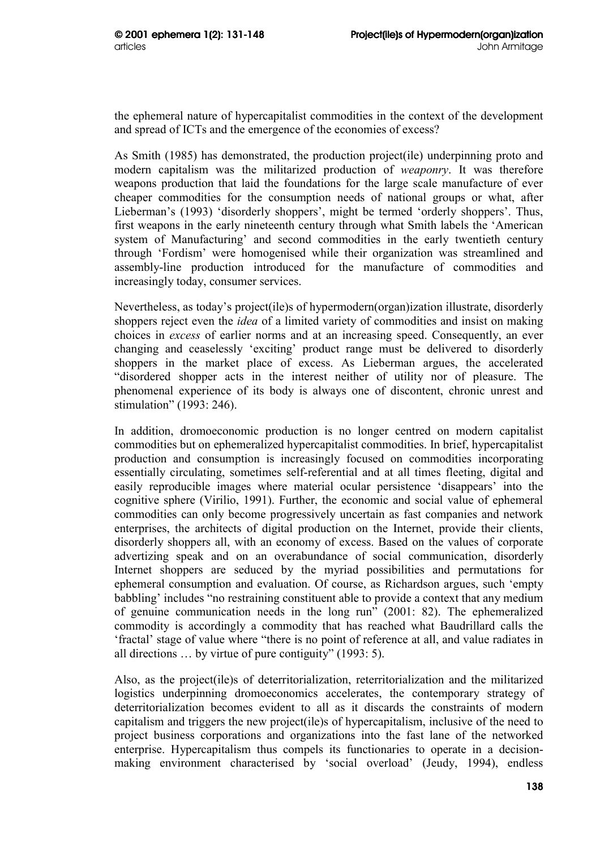the ephemeral nature of hypercapitalist commodities in the context of the development and spread of ICTs and the emergence of the economies of excess?

As Smith (1985) has demonstrated, the production project(ile) underpinning proto and modern capitalism was the militarized production of *weaponry*. It was therefore weapons production that laid the foundations for the large scale manufacture of ever cheaper commodities for the consumption needs of national groups or what, after Lieberman's (1993) 'disorderly shoppers', might be termed 'orderly shoppers'. Thus, first weapons in the early nineteenth century through what Smith labels the 'American system of Manufacturing' and second commodities in the early twentieth century through 'Fordism' were homogenised while their organization was streamlined and assembly-line production introduced for the manufacture of commodities and increasingly today, consumer services.

Nevertheless, as today's project(ile)s of hypermodern(organ)ization illustrate, disorderly shoppers reject even the *idea* of a limited variety of commodities and insist on making choices in *excess* of earlier norms and at an increasing speed. Consequently, an ever changing and ceaselessly 'exciting' product range must be delivered to disorderly shoppers in the market place of excess. As Lieberman argues, the accelerated "disordered shopper acts in the interest neither of utility nor of pleasure. The phenomenal experience of its body is always one of discontent, chronic unrest and stimulation" (1993: 246).

In addition, dromoeconomic production is no longer centred on modern capitalist commodities but on ephemeralized hypercapitalist commodities. In brief, hypercapitalist production and consumption is increasingly focused on commodities incorporating essentially circulating, sometimes self-referential and at all times fleeting, digital and easily reproducible images where material ocular persistence 'disappears' into the cognitive sphere (Virilio, 1991). Further, the economic and social value of ephemeral commodities can only become progressively uncertain as fast companies and network enterprises, the architects of digital production on the Internet, provide their clients, disorderly shoppers all, with an economy of excess. Based on the values of corporate advertizing speak and on an overabundance of social communication, disorderly Internet shoppers are seduced by the myriad possibilities and permutations for ephemeral consumption and evaluation. Of course, as Richardson argues, such 'empty babbling' includes "no restraining constituent able to provide a context that any medium of genuine communication needs in the long run" (2001: 82). The ephemeralized commodity is accordingly a commodity that has reached what Baudrillard calls the 'fractal' stage of value where "there is no point of reference at all, and value radiates in all directions … by virtue of pure contiguity" (1993: 5).

Also, as the project(ile)s of deterritorialization, reterritorialization and the militarized logistics underpinning dromoeconomics accelerates, the contemporary strategy of deterritorialization becomes evident to all as it discards the constraints of modern capitalism and triggers the new project(ile)s of hypercapitalism, inclusive of the need to project business corporations and organizations into the fast lane of the networked enterprise. Hypercapitalism thus compels its functionaries to operate in a decisionmaking environment characterised by 'social overload' (Jeudy, 1994), endless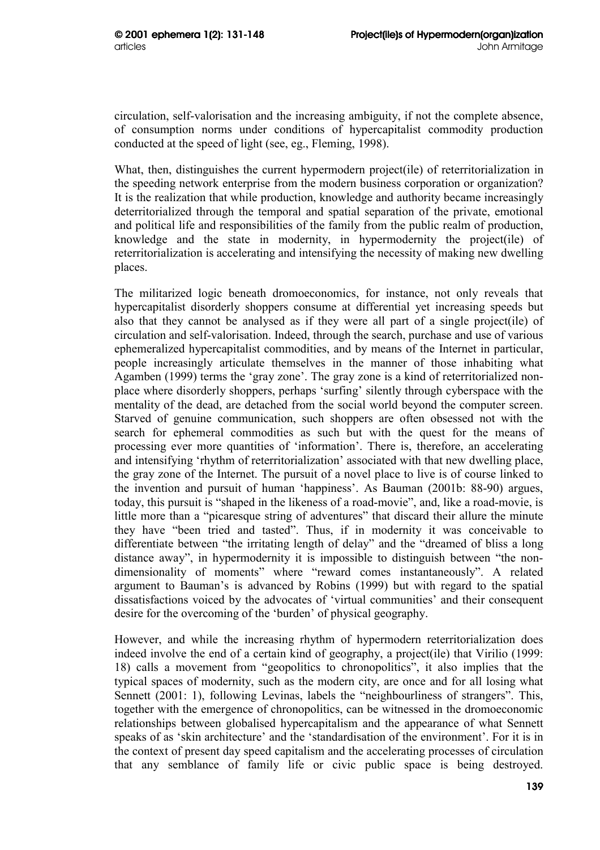circulation, self-valorisation and the increasing ambiguity, if not the complete absence, of consumption norms under conditions of hypercapitalist commodity production conducted at the speed of light (see, eg., Fleming, 1998).

What, then, distinguishes the current hypermodern project(ile) of reterritorialization in the speeding network enterprise from the modern business corporation or organization? It is the realization that while production, knowledge and authority became increasingly deterritorialized through the temporal and spatial separation of the private, emotional and political life and responsibilities of the family from the public realm of production, knowledge and the state in modernity, in hypermodernity the project(ile) of reterritorialization is accelerating and intensifying the necessity of making new dwelling places.

The militarized logic beneath dromoeconomics, for instance, not only reveals that hypercapitalist disorderly shoppers consume at differential yet increasing speeds but also that they cannot be analysed as if they were all part of a single project(ile) of circulation and self-valorisation. Indeed, through the search, purchase and use of various ephemeralized hypercapitalist commodities, and by means of the Internet in particular, people increasingly articulate themselves in the manner of those inhabiting what Agamben (1999) terms the 'gray zone'. The gray zone is a kind of reterritorialized nonplace where disorderly shoppers, perhaps 'surfing' silently through cyberspace with the mentality of the dead, are detached from the social world beyond the computer screen. Starved of genuine communication, such shoppers are often obsessed not with the search for ephemeral commodities as such but with the quest for the means of processing ever more quantities of 'information'. There is, therefore, an accelerating and intensifying 'rhythm of reterritorialization' associated with that new dwelling place, the gray zone of the Internet. The pursuit of a novel place to live is of course linked to the invention and pursuit of human 'happiness'. As Bauman (2001b: 88-90) argues, today, this pursuit is "shaped in the likeness of a road-movie", and, like a road-movie, is little more than a "picaresque string of adventures" that discard their allure the minute they have "been tried and tasted". Thus, if in modernity it was conceivable to differentiate between "the irritating length of delay" and the "dreamed of bliss a long distance away", in hypermodernity it is impossible to distinguish between "the nondimensionality of moments" where "reward comes instantaneously". A related argument to Bauman's is advanced by Robins (1999) but with regard to the spatial dissatisfactions voiced by the advocates of 'virtual communities' and their consequent desire for the overcoming of the 'burden' of physical geography.

However, and while the increasing rhythm of hypermodern reterritorialization does indeed involve the end of a certain kind of geography, a project(ile) that Virilio (1999: 18) calls a movement from "geopolitics to chronopolitics", it also implies that the typical spaces of modernity, such as the modern city, are once and for all losing what Sennett (2001: 1), following Levinas, labels the "neighbourliness of strangers". This, together with the emergence of chronopolitics, can be witnessed in the dromoeconomic relationships between globalised hypercapitalism and the appearance of what Sennett speaks of as 'skin architecture' and the 'standardisation of the environment'. For it is in the context of present day speed capitalism and the accelerating processes of circulation that any semblance of family life or civic public space is being destroyed.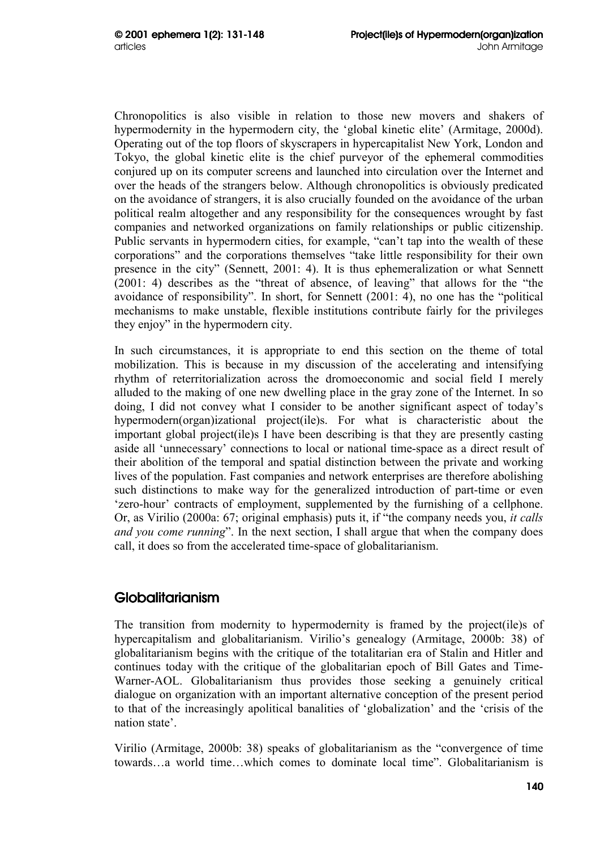Chronopolitics is also visible in relation to those new movers and shakers of hypermodernity in the hypermodern city, the 'global kinetic elite' (Armitage, 2000d). Operating out of the top floors of skyscrapers in hypercapitalist New York, London and Tokyo, the global kinetic elite is the chief purveyor of the ephemeral commodities conjured up on its computer screens and launched into circulation over the Internet and over the heads of the strangers below. Although chronopolitics is obviously predicated on the avoidance of strangers, it is also crucially founded on the avoidance of the urban political realm altogether and any responsibility for the consequences wrought by fast companies and networked organizations on family relationships or public citizenship. Public servants in hypermodern cities, for example, "can't tap into the wealth of these corporations" and the corporations themselves "take little responsibility for their own presence in the city" (Sennett, 2001: 4). It is thus ephemeralization or what Sennett (2001: 4) describes as the "threat of absence, of leaving" that allows for the "the avoidance of responsibility". In short, for Sennett (2001: 4), no one has the "political mechanisms to make unstable, flexible institutions contribute fairly for the privileges they enjoy" in the hypermodern city.

In such circumstances, it is appropriate to end this section on the theme of total mobilization. This is because in my discussion of the accelerating and intensifying rhythm of reterritorialization across the dromoeconomic and social field I merely alluded to the making of one new dwelling place in the gray zone of the Internet. In so doing, I did not convey what I consider to be another significant aspect of today's hypermodern(organ)izational project(ile)s. For what is characteristic about the important global project(ile)s I have been describing is that they are presently casting aside all 'unnecessary' connections to local or national time-space as a direct result of their abolition of the temporal and spatial distinction between the private and working lives of the population. Fast companies and network enterprises are therefore abolishing such distinctions to make way for the generalized introduction of part-time or even 'zero-hour' contracts of employment, supplemented by the furnishing of a cellphone. Or, as Virilio (2000a: 67; original emphasis) puts it, if "the company needs you, *it calls and you come running*". In the next section, I shall argue that when the company does call, it does so from the accelerated time-space of globalitarianism.

#### **Globalitarianism**

The transition from modernity to hypermodernity is framed by the project(ile)s of hypercapitalism and globalitarianism. Virilio's genealogy (Armitage, 2000b: 38) of globalitarianism begins with the critique of the totalitarian era of Stalin and Hitler and continues today with the critique of the globalitarian epoch of Bill Gates and Time-Warner-AOL. Globalitarianism thus provides those seeking a genuinely critical dialogue on organization with an important alternative conception of the present period to that of the increasingly apolitical banalities of 'globalization' and the 'crisis of the nation state'.

Virilio (Armitage, 2000b: 38) speaks of globalitarianism as the "convergence of time towards…a world time…which comes to dominate local time". Globalitarianism is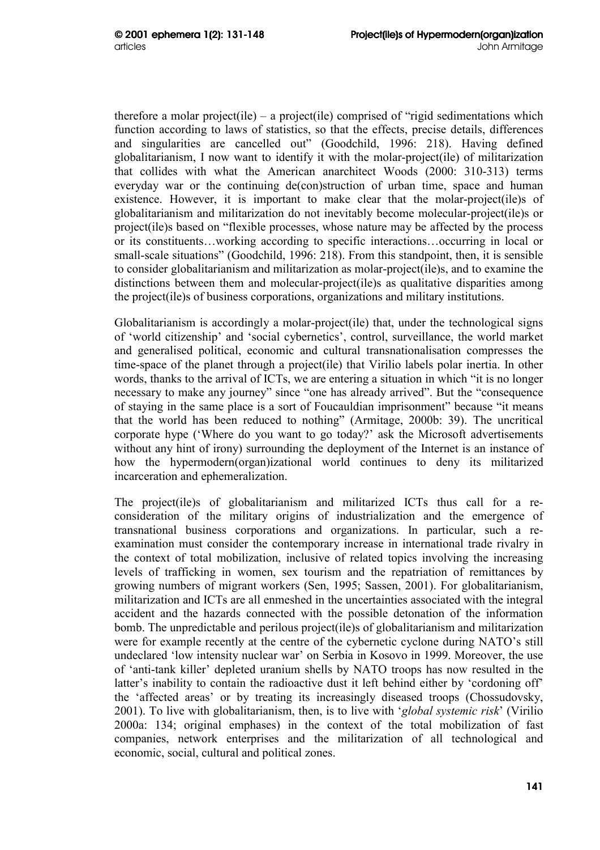therefore a molar project(ile) – a project(ile) comprised of "rigid sedimentations which function according to laws of statistics, so that the effects, precise details, differences and singularities are cancelled out" (Goodchild, 1996: 218). Having defined globalitarianism, I now want to identify it with the molar-project(ile) of militarization that collides with what the American anarchitect Woods (2000: 310-313) terms everyday war or the continuing de(con)struction of urban time, space and human existence. However, it is important to make clear that the molar-project(ile)s of globalitarianism and militarization do not inevitably become molecular-project(ile)s or project(ile)s based on "flexible processes, whose nature may be affected by the process or its constituents…working according to specific interactions…occurring in local or small-scale situations" (Goodchild, 1996: 218). From this standpoint, then, it is sensible to consider globalitarianism and militarization as molar-project(ile)s, and to examine the distinctions between them and molecular-project(ile)s as qualitative disparities among the project(ile)s of business corporations, organizations and military institutions.

Globalitarianism is accordingly a molar-project(ile) that, under the technological signs of 'world citizenship' and 'social cybernetics', control, surveillance, the world market and generalised political, economic and cultural transnationalisation compresses the time-space of the planet through a project(ile) that Virilio labels polar inertia. In other words, thanks to the arrival of ICTs, we are entering a situation in which "it is no longer necessary to make any journey" since "one has already arrived". But the "consequence of staying in the same place is a sort of Foucauldian imprisonment" because "it means that the world has been reduced to nothing" (Armitage, 2000b: 39). The uncritical corporate hype ('Where do you want to go today?' ask the Microsoft advertisements without any hint of irony) surrounding the deployment of the Internet is an instance of how the hypermodern(organ)izational world continues to deny its militarized incarceration and ephemeralization.

The project(ile)s of globalitarianism and militarized ICTs thus call for a reconsideration of the military origins of industrialization and the emergence of transnational business corporations and organizations. In particular, such a reexamination must consider the contemporary increase in international trade rivalry in the context of total mobilization, inclusive of related topics involving the increasing levels of trafficking in women, sex tourism and the repatriation of remittances by growing numbers of migrant workers (Sen, 1995; Sassen, 2001). For globalitarianism, militarization and ICTs are all enmeshed in the uncertainties associated with the integral accident and the hazards connected with the possible detonation of the information bomb. The unpredictable and perilous project(ile)s of globalitarianism and militarization were for example recently at the centre of the cybernetic cyclone during NATO's still undeclared 'low intensity nuclear war' on Serbia in Kosovo in 1999. Moreover, the use of 'anti-tank killer' depleted uranium shells by NATO troops has now resulted in the latter's inability to contain the radioactive dust it left behind either by 'cordoning off' the 'affected areas' or by treating its increasingly diseased troops (Chossudovsky, 2001). To live with globalitarianism, then, is to live with '*global systemic risk*' (Virilio 2000a: 134; original emphases) in the context of the total mobilization of fast companies, network enterprises and the militarization of all technological and economic, social, cultural and political zones.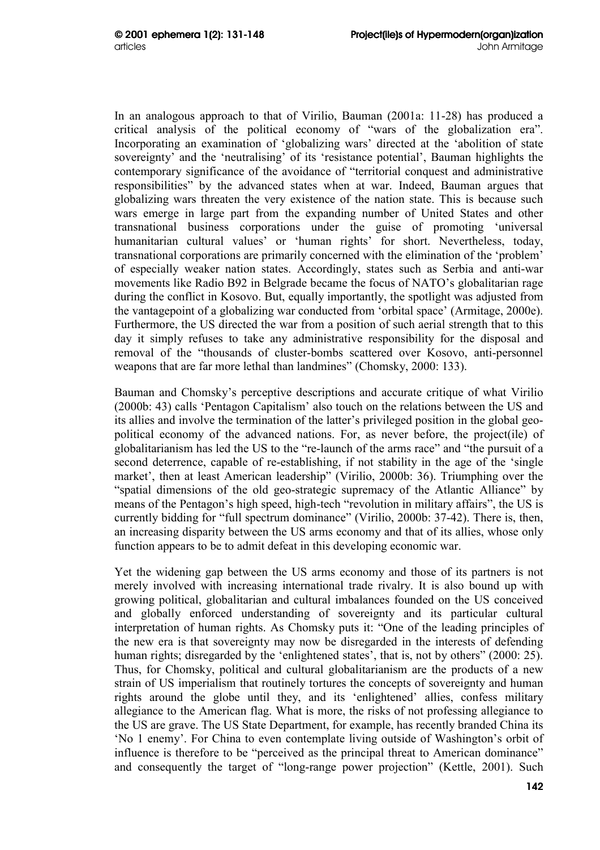In an analogous approach to that of Virilio, Bauman (2001a: 11-28) has produced a critical analysis of the political economy of "wars of the globalization era". Incorporating an examination of 'globalizing wars' directed at the 'abolition of state sovereignty' and the 'neutralising' of its 'resistance potential', Bauman highlights the contemporary significance of the avoidance of "territorial conquest and administrative responsibilities" by the advanced states when at war. Indeed, Bauman argues that globalizing wars threaten the very existence of the nation state. This is because such wars emerge in large part from the expanding number of United States and other transnational business corporations under the guise of promoting 'universal humanitarian cultural values' or 'human rights' for short. Nevertheless, today, transnational corporations are primarily concerned with the elimination of the 'problem' of especially weaker nation states. Accordingly, states such as Serbia and anti-war movements like Radio B92 in Belgrade became the focus of NATO's globalitarian rage during the conflict in Kosovo. But, equally importantly, the spotlight was adjusted from the vantagepoint of a globalizing war conducted from 'orbital space' (Armitage, 2000e). Furthermore, the US directed the war from a position of such aerial strength that to this day it simply refuses to take any administrative responsibility for the disposal and removal of the "thousands of cluster-bombs scattered over Kosovo, anti-personnel weapons that are far more lethal than landmines" (Chomsky, 2000: 133).

Bauman and Chomsky's perceptive descriptions and accurate critique of what Virilio (2000b: 43) calls 'Pentagon Capitalism' also touch on the relations between the US and its allies and involve the termination of the latter's privileged position in the global geopolitical economy of the advanced nations. For, as never before, the project(ile) of globalitarianism has led the US to the "re-launch of the arms race" and "the pursuit of a second deterrence, capable of re-establishing, if not stability in the age of the 'single market', then at least American leadership" (Virilio, 2000b: 36). Triumphing over the "spatial dimensions of the old geo-strategic supremacy of the Atlantic Alliance" by means of the Pentagon's high speed, high-tech "revolution in military affairs", the US is currently bidding for "full spectrum dominance" (Virilio, 2000b: 37-42). There is, then, an increasing disparity between the US arms economy and that of its allies, whose only function appears to be to admit defeat in this developing economic war.

Yet the widening gap between the US arms economy and those of its partners is not merely involved with increasing international trade rivalry. It is also bound up with growing political, globalitarian and cultural imbalances founded on the US conceived and globally enforced understanding of sovereignty and its particular cultural interpretation of human rights. As Chomsky puts it: "One of the leading principles of the new era is that sovereignty may now be disregarded in the interests of defending human rights; disregarded by the 'enlightened states', that is, not by others'' (2000: 25). Thus, for Chomsky, political and cultural globalitarianism are the products of a new strain of US imperialism that routinely tortures the concepts of sovereignty and human rights around the globe until they, and its 'enlightened' allies, confess military allegiance to the American flag. What is more, the risks of not professing allegiance to the US are grave. The US State Department, for example, has recently branded China its 'No 1 enemy'. For China to even contemplate living outside of Washington's orbit of influence is therefore to be "perceived as the principal threat to American dominance" and consequently the target of "long-range power projection" (Kettle, 2001). Such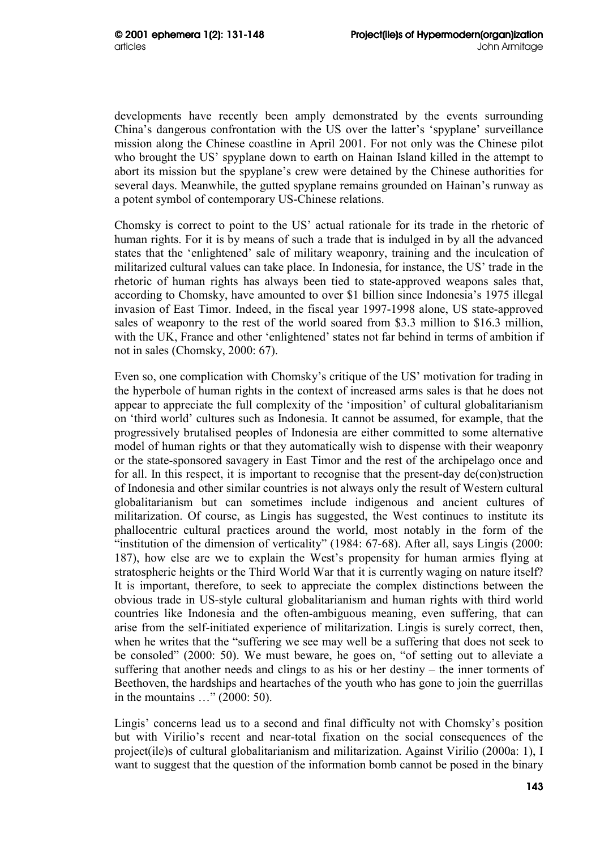developments have recently been amply demonstrated by the events surrounding China's dangerous confrontation with the US over the latter's 'spyplane' surveillance mission along the Chinese coastline in April 2001. For not only was the Chinese pilot who brought the US' spyplane down to earth on Hainan Island killed in the attempt to abort its mission but the spyplane's crew were detained by the Chinese authorities for several days. Meanwhile, the gutted spyplane remains grounded on Hainan's runway as a potent symbol of contemporary US-Chinese relations.

Chomsky is correct to point to the US' actual rationale for its trade in the rhetoric of human rights. For it is by means of such a trade that is indulged in by all the advanced states that the 'enlightened' sale of military weaponry, training and the inculcation of militarized cultural values can take place. In Indonesia, for instance, the US' trade in the rhetoric of human rights has always been tied to state-approved weapons sales that, according to Chomsky, have amounted to over \$1 billion since Indonesia's 1975 illegal invasion of East Timor. Indeed, in the fiscal year 1997-1998 alone, US state-approved sales of weaponry to the rest of the world soared from \$3.3 million to \$16.3 million, with the UK, France and other 'enlightened' states not far behind in terms of ambition if not in sales (Chomsky, 2000: 67).

Even so, one complication with Chomsky's critique of the US' motivation for trading in the hyperbole of human rights in the context of increased arms sales is that he does not appear to appreciate the full complexity of the 'imposition' of cultural globalitarianism on 'third world' cultures such as Indonesia. It cannot be assumed, for example, that the progressively brutalised peoples of Indonesia are either committed to some alternative model of human rights or that they automatically wish to dispense with their weaponry or the state-sponsored savagery in East Timor and the rest of the archipelago once and for all. In this respect, it is important to recognise that the present-day de(con)struction of Indonesia and other similar countries is not always only the result of Western cultural globalitarianism but can sometimes include indigenous and ancient cultures of militarization. Of course, as Lingis has suggested, the West continues to institute its phallocentric cultural practices around the world, most notably in the form of the "institution of the dimension of verticality" (1984: 67-68). After all, says Lingis (2000: 187), how else are we to explain the West's propensity for human armies flying at stratospheric heights or the Third World War that it is currently waging on nature itself? It is important, therefore, to seek to appreciate the complex distinctions between the obvious trade in US-style cultural globalitarianism and human rights with third world countries like Indonesia and the often-ambiguous meaning, even suffering, that can arise from the self-initiated experience of militarization. Lingis is surely correct, then, when he writes that the "suffering we see may well be a suffering that does not seek to be consoled" (2000: 50). We must beware, he goes on, "of setting out to alleviate a suffering that another needs and clings to as his or her destiny – the inner torments of Beethoven, the hardships and heartaches of the youth who has gone to join the guerrillas in the mountains …" (2000: 50).

Lingis' concerns lead us to a second and final difficulty not with Chomsky's position but with Virilio's recent and near-total fixation on the social consequences of the project(ile)s of cultural globalitarianism and militarization. Against Virilio (2000a: 1), I want to suggest that the question of the information bomb cannot be posed in the binary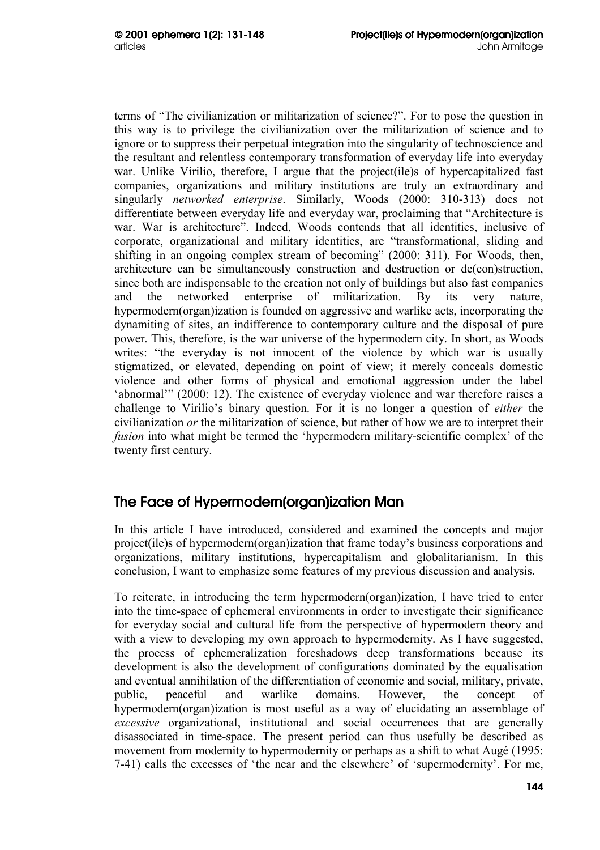terms of "The civilianization or militarization of science?". For to pose the question in this way is to privilege the civilianization over the militarization of science and to ignore or to suppress their perpetual integration into the singularity of technoscience and the resultant and relentless contemporary transformation of everyday life into everyday war. Unlike Virilio, therefore, I argue that the project(ile)s of hypercapitalized fast companies, organizations and military institutions are truly an extraordinary and singularly *networked enterprise*. Similarly, Woods (2000: 310-313) does not differentiate between everyday life and everyday war, proclaiming that "Architecture is war. War is architecture". Indeed, Woods contends that all identities, inclusive of corporate, organizational and military identities, are "transformational, sliding and shifting in an ongoing complex stream of becoming" (2000: 311). For Woods, then, architecture can be simultaneously construction and destruction or de(con)struction, since both are indispensable to the creation not only of buildings but also fast companies and the networked enterprise of militarization. By its very nature, hypermodern(organ)ization is founded on aggressive and warlike acts, incorporating the dynamiting of sites, an indifference to contemporary culture and the disposal of pure power. This, therefore, is the war universe of the hypermodern city. In short, as Woods writes: "the everyday is not innocent of the violence by which war is usually stigmatized, or elevated, depending on point of view; it merely conceals domestic violence and other forms of physical and emotional aggression under the label 'abnormal'" (2000: 12). The existence of everyday violence and war therefore raises a challenge to Virilio's binary question. For it is no longer a question of *either* the civilianization *or* the militarization of science, but rather of how we are to interpret their *fusion* into what might be termed the 'hypermodern military-scientific complex' of the twenty first century.

#### The Face of Hypermodern(organ)ization Man

In this article I have introduced, considered and examined the concepts and major project(ile)s of hypermodern(organ)ization that frame today's business corporations and organizations, military institutions, hypercapitalism and globalitarianism. In this conclusion, I want to emphasize some features of my previous discussion and analysis.

To reiterate, in introducing the term hypermodern(organ)ization, I have tried to enter into the time-space of ephemeral environments in order to investigate their significance for everyday social and cultural life from the perspective of hypermodern theory and with a view to developing my own approach to hypermodernity. As I have suggested, the process of ephemeralization foreshadows deep transformations because its development is also the development of configurations dominated by the equalisation and eventual annihilation of the differentiation of economic and social, military, private, public, peaceful and warlike domains. However, the concept of hypermodern(organ)ization is most useful as a way of elucidating an assemblage of *excessive* organizational, institutional and social occurrences that are generally disassociated in time-space. The present period can thus usefully be described as movement from modernity to hypermodernity or perhaps as a shift to what Augé (1995: 7-41) calls the excesses of 'the near and the elsewhere' of 'supermodernity'. For me,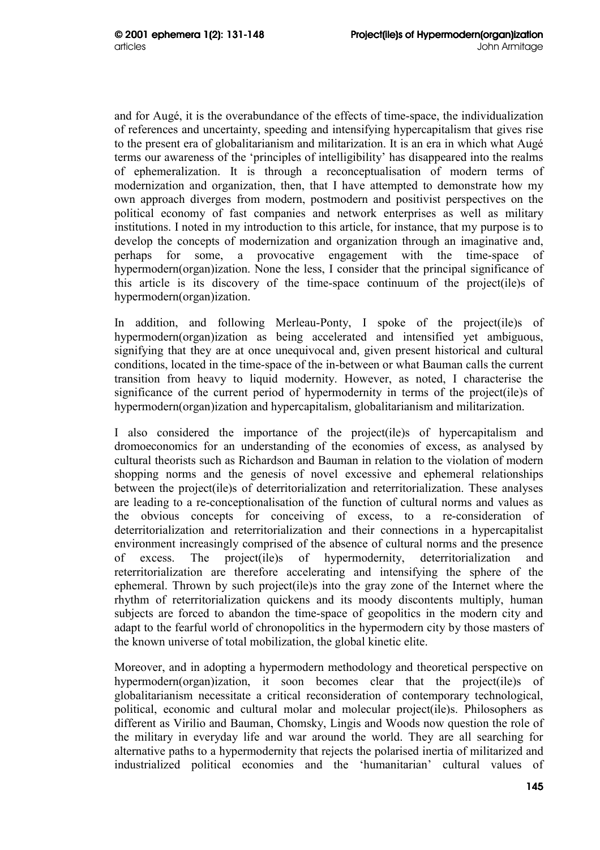and for Augé, it is the overabundance of the effects of time-space, the individualization of references and uncertainty, speeding and intensifying hypercapitalism that gives rise to the present era of globalitarianism and militarization. It is an era in which what Augé terms our awareness of the 'principles of intelligibility' has disappeared into the realms of ephemeralization. It is through a reconceptualisation of modern terms of modernization and organization, then, that I have attempted to demonstrate how my own approach diverges from modern, postmodern and positivist perspectives on the political economy of fast companies and network enterprises as well as military institutions. I noted in my introduction to this article, for instance, that my purpose is to develop the concepts of modernization and organization through an imaginative and, perhaps for some, a provocative engagement with the time-space of hypermodern(organ)ization. None the less, I consider that the principal significance of this article is its discovery of the time-space continuum of the project(ile)s of hypermodern(organ)ization.

In addition, and following Merleau-Ponty, I spoke of the project(ile)s of hypermodern(organ)ization as being accelerated and intensified yet ambiguous, signifying that they are at once unequivocal and, given present historical and cultural conditions, located in the time-space of the in-between or what Bauman calls the current transition from heavy to liquid modernity. However, as noted, I characterise the significance of the current period of hypermodernity in terms of the project(ile)s of hypermodern(organ)ization and hypercapitalism, globalitarianism and militarization.

I also considered the importance of the project(ile)s of hypercapitalism and dromoeconomics for an understanding of the economies of excess, as analysed by cultural theorists such as Richardson and Bauman in relation to the violation of modern shopping norms and the genesis of novel excessive and ephemeral relationships between the project(ile)s of deterritorialization and reterritorialization. These analyses are leading to a re-conceptionalisation of the function of cultural norms and values as the obvious concepts for conceiving of excess, to a re-consideration of deterritorialization and reterritorialization and their connections in a hypercapitalist environment increasingly comprised of the absence of cultural norms and the presence of excess. The project(ile)s of hypermodernity, deterritorialization and reterritorialization are therefore accelerating and intensifying the sphere of the ephemeral. Thrown by such project(ile)s into the gray zone of the Internet where the rhythm of reterritorialization quickens and its moody discontents multiply, human subjects are forced to abandon the time-space of geopolitics in the modern city and adapt to the fearful world of chronopolitics in the hypermodern city by those masters of the known universe of total mobilization, the global kinetic elite.

Moreover, and in adopting a hypermodern methodology and theoretical perspective on hypermodern(organ)ization, it soon becomes clear that the project(ile)s of globalitarianism necessitate a critical reconsideration of contemporary technological, political, economic and cultural molar and molecular project(ile)s. Philosophers as different as Virilio and Bauman, Chomsky, Lingis and Woods now question the role of the military in everyday life and war around the world. They are all searching for alternative paths to a hypermodernity that rejects the polarised inertia of militarized and industrialized political economies and the 'humanitarian' cultural values of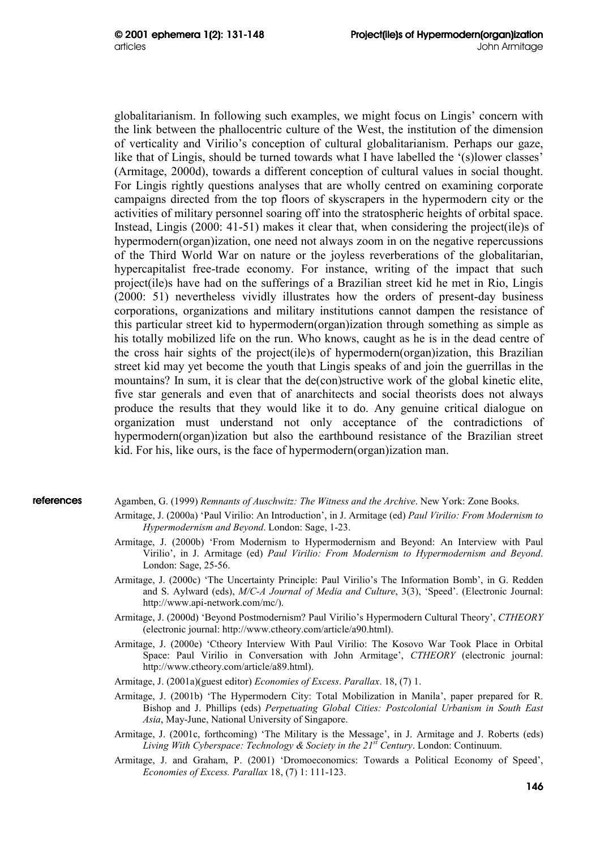globalitarianism. In following such examples, we might focus on Lingis' concern with the link between the phallocentric culture of the West, the institution of the dimension of verticality and Virilio's conception of cultural globalitarianism. Perhaps our gaze, like that of Lingis, should be turned towards what I have labelled the '(s)lower classes' (Armitage, 2000d), towards a different conception of cultural values in social thought. For Lingis rightly questions analyses that are wholly centred on examining corporate campaigns directed from the top floors of skyscrapers in the hypermodern city or the activities of military personnel soaring off into the stratospheric heights of orbital space. Instead, Lingis (2000: 41-51) makes it clear that, when considering the project(ile)s of hypermodern(organ)ization, one need not always zoom in on the negative repercussions of the Third World War on nature or the joyless reverberations of the globalitarian, hypercapitalist free-trade economy. For instance, writing of the impact that such project(ile)s have had on the sufferings of a Brazilian street kid he met in Rio, Lingis (2000: 51) nevertheless vividly illustrates how the orders of present-day business corporations, organizations and military institutions cannot dampen the resistance of this particular street kid to hypermodern(organ)ization through something as simple as his totally mobilized life on the run. Who knows, caught as he is in the dead centre of the cross hair sights of the project(ile)s of hypermodern(organ)ization, this Brazilian street kid may yet become the youth that Lingis speaks of and join the guerrillas in the mountains? In sum, it is clear that the de(con)structive work of the global kinetic elite, five star generals and even that of anarchitects and social theorists does not always produce the results that they would like it to do. Any genuine critical dialogue on organization must understand not only acceptance of the contradictions of hypermodern(organ)ization but also the earthbound resistance of the Brazilian street kid. For his, like ours, is the face of hypermodern(organ)ization man.

#### references references

Agamben, G. (1999) *Remnants of Auschwitz: The Witness and the Archive*. New York: Zone Books.

- Armitage, J. (2000a) 'Paul Virilio: An Introduction', in J. Armitage (ed) *Paul Virilio: From Modernism to Hypermodernism and Beyond*. London: Sage, 1-23.
- Armitage, J. (2000b) 'From Modernism to Hypermodernism and Beyond: An Interview with Paul Virilio', in J. Armitage (ed) *Paul Virilio: From Modernism to Hypermodernism and Beyond*. London: Sage, 25-56.
- Armitage, J. (2000c) 'The Uncertainty Principle: Paul Virilio's The Information Bomb', in G. Redden and S. Aylward (eds), *M/C-A Journal of Media and Culture*, 3(3), 'Speed'. (Electronic Journal: http://www.api-network.com/mc/).
- Armitage, J. (2000d) 'Beyond Postmodernism? Paul Virilio's Hypermodern Cultural Theory', *CTHEORY* (electronic journal: http://www.ctheory.com/article/a90.html).
- Armitage, J. (2000e) 'Ctheory Interview With Paul Virilio: The Kosovo War Took Place in Orbital Space: Paul Virilio in Conversation with John Armitage', *CTHEORY* (electronic journal: http://www.ctheory.com/article/a89.html).
- Armitage, J. (2001a)(guest editor) *Economies of Excess*. *Parallax*. 18, (7) 1.
- Armitage, J. (2001b) 'The Hypermodern City: Total Mobilization in Manila', paper prepared for R. Bishop and J. Phillips (eds) *Perpetuating Global Cities: Postcolonial Urbanism in South East Asia*, May-June, National University of Singapore.
- Armitage, J. (2001c, forthcoming) 'The Military is the Message', in J. Armitage and J. Roberts (eds) *Living With Cyberspace: Technology & Society in the 21st Century*. London: Continuum.
- Armitage, J. and Graham, P. (2001) 'Dromoeconomics: Towards a Political Economy of Speed', *Economies of Excess. Parallax* 18, (7) 1: 111-123.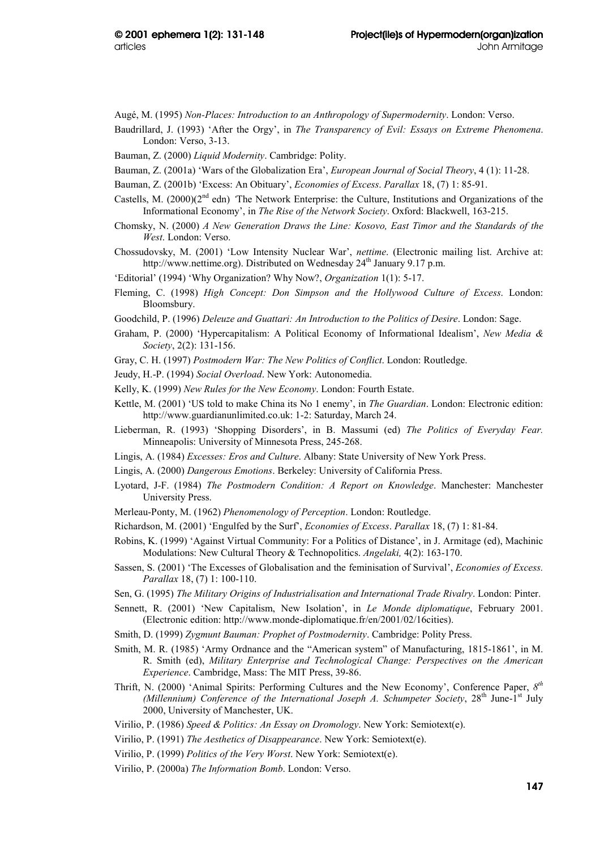- Augé, M. (1995) *Non-Places: Introduction to an Anthropology of Supermodernity*. London: Verso.
- Baudrillard, J. (1993) 'After the Orgy', in *The Transparency of Evil: Essays on Extreme Phenomena*. London: Verso, 3-13.
- Bauman, Z. (2000) *Liquid Modernity*. Cambridge: Polity.
- Bauman, Z. (2001a) 'Wars of the Globalization Era', *European Journal of Social Theory*, 4 (1): 11-28.
- Bauman, Z. (2001b) 'Excess: An Obituary', *Economies of Excess*. *Parallax* 18, (7) 1: 85-91.
- Castells, M.  $(2000)(2<sup>nd</sup> edn)$  <sup>The</sup> Network Enterprise: the Culture, Institutions and Organizations of the Informational Economy', in *The Rise of the Network Society*. Oxford: Blackwell, 163-215.
- Chomsky, N. (2000) *A New Generation Draws the Line: Kosovo, East Timor and the Standards of the West*. London: Verso.
- Chossudovsky, M. (2001) 'Low Intensity Nuclear War', *nettime*. (Electronic mailing list. Archive at: http://www.nettime.org). Distributed on Wednesday 24<sup>th</sup> January 9.17 p.m.
- 'Editorial' (1994) 'Why Organization? Why Now?, *Organization* 1(1): 5-17.
- Fleming, C. (1998) *High Concept: Don Simpson and the Hollywood Culture of Excess*. London: Bloomsbury.
- Goodchild, P. (1996) *Deleuze and Guattari: An Introduction to the Politics of Desire*. London: Sage.
- Graham, P. (2000) 'Hypercapitalism: A Political Economy of Informational Idealism', *New Media & Society*, 2(2): 131-156.
- Gray, C. H. (1997) *Postmodern War: The New Politics of Conflict*. London: Routledge.
- Jeudy, H.-P. (1994) *Social Overload*. New York: Autonomedia.
- Kelly, K. (1999) *New Rules for the New Economy*. London: Fourth Estate.
- Kettle, M. (2001) 'US told to make China its No 1 enemy', in *The Guardian*. London: Electronic edition: http://www.guardianunlimited.co.uk: 1-2: Saturday, March 24.
- Lieberman, R. (1993) 'Shopping Disorders', in B. Massumi (ed) *The Politics of Everyday Fear.* Minneapolis: University of Minnesota Press, 245-268.
- Lingis, A. (1984) *Excesses: Eros and Culture*. Albany: State University of New York Press.
- Lingis, A. (2000) *Dangerous Emotions*. Berkeley: University of California Press.
- Lyotard, J-F. (1984) *The Postmodern Condition: A Report on Knowledge*. Manchester: Manchester University Press.
- Merleau-Ponty, M. (1962) *Phenomenology of Perception*. London: Routledge.
- Richardson, M. (2001) 'Engulfed by the Surf', *Economies of Excess*. *Parallax* 18, (7) 1: 81-84.
- Robins, K. (1999) 'Against Virtual Community: For a Politics of Distance', in J. Armitage (ed), Machinic Modulations: New Cultural Theory & Technopolitics. *Angelaki,* 4(2): 163-170.
- Sassen, S. (2001) 'The Excesses of Globalisation and the feminisation of Survival', *Economies of Excess. Parallax* 18, (7) 1: 100-110.
- Sen, G. (1995) *The Military Origins of Industrialisation and International Trade Rivalry*. London: Pinter.
- Sennett, R. (2001) 'New Capitalism, New Isolation', in *Le Monde diplomatique*, February 2001. (Electronic edition: http://www.monde-diplomatique.fr/en/2001/02/16cities).
- Smith, D. (1999) *Zygmunt Bauman: Prophet of Postmodernity*. Cambridge: Polity Press.
- Smith, M. R. (1985) 'Army Ordnance and the "American system" of Manufacturing, 1815-1861', in M. R. Smith (ed), *Military Enterprise and Technological Change: Perspectives on the American Experience*. Cambridge, Mass: The MIT Press, 39-86.
- Thrift, N. (2000) 'Animal Spirits: Performing Cultures and the New Economy', Conference Paper, *8th (Millennium) Conference of the International Joseph A. Schumpeter Society*,  $28<sup>th</sup>$  June-1<sup>st</sup> July 2000, University of Manchester, UK.
- Virilio, P. (1986) *Speed & Politics: An Essay on Dromology*. New York: Semiotext(e).
- Virilio, P. (1991) *The Aesthetics of Disappearance*. New York: Semiotext(e).
- Virilio, P. (1999) *Politics of the Very Worst*. New York: Semiotext(e).
- Virilio, P. (2000a) *The Information Bomb*. London: Verso.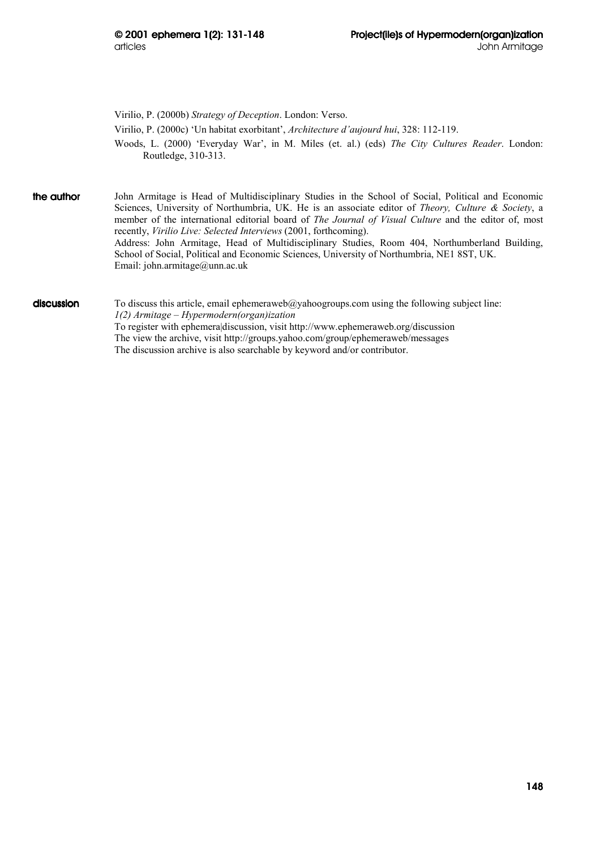|            | Virilio, P. (2000b) Strategy of Deception. London: Verso.<br>Virilio, P. (2000c) 'Un habitat exorbitant', <i>Architecture d'aujourd hui</i> , 328: 112-119.<br>Woods, L. (2000) 'Everyday War', in M. Miles (et. al.) (eds) The City Cultures Reader. London:<br>Routledge, 310-313.                                                                                                                                                                                                                                                                                                                                         |
|------------|------------------------------------------------------------------------------------------------------------------------------------------------------------------------------------------------------------------------------------------------------------------------------------------------------------------------------------------------------------------------------------------------------------------------------------------------------------------------------------------------------------------------------------------------------------------------------------------------------------------------------|
| the author | John Armitage is Head of Multidisciplinary Studies in the School of Social, Political and Economic<br>Sciences, University of Northumbria, UK. He is an associate editor of Theory, Culture & Society, a<br>member of the international editorial board of The Journal of Visual Culture and the editor of, most<br>recently, <i>Virilio Live: Selected Interviews</i> (2001, forthcoming).<br>Address: John Armitage, Head of Multidisciplinary Studies, Room 404, Northumberland Building,<br>School of Social, Political and Economic Sciences, University of Northumbria, NE1 8ST, UK.<br>Email: john.armitage@unn.ac.uk |
| discussion | To discuss this article, email ephemeraweb $\omega$ yahoogroups.com using the following subject line:<br>$1(2)$ Armitage – Hypermodern(organ)ization<br>To register with ephemeral discussion, visit http://www.ephemeraweb.org/discussion<br>The view the archive, visit http://groups.yahoo.com/group/ephemeraweb/messages<br>The discussion archive is also searchable by keyword and/or contributor.                                                                                                                                                                                                                     |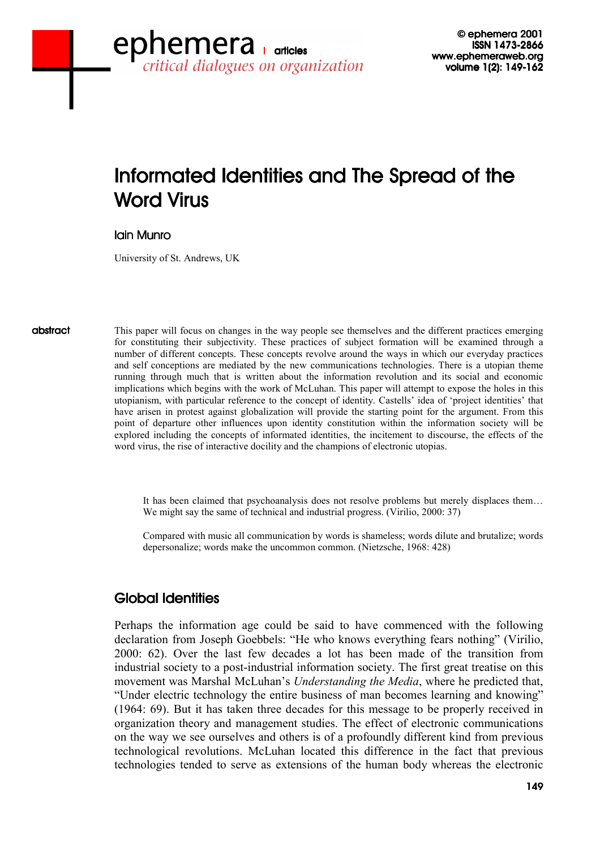## Informated Identities and The Spread of the **Word Virus**

Iain Munro

University of St. Andrews, UK

abstract abstract

This paper will focus on changes in the way people see themselves and the different practices emerging for constituting their subjectivity. These practices of subject formation will be examined through a number of different concepts. These concepts revolve around the ways in which our everyday practices and self conceptions are mediated by the new communications technologies. There is a utopian theme running through much that is written about the information revolution and its social and economic implications which begins with the work of McLuhan. This paper will attempt to expose the holes in this utopianism, with particular reference to the concept of identity. Castells' idea of 'project identities' that have arisen in protest against globalization will provide the starting point for the argument. From this point of departure other influences upon identity constitution within the information society will be explored including the concepts of informated identities, the incitement to discourse, the effects of the word virus, the rise of interactive docility and the champions of electronic utopias.

It has been claimed that psychoanalysis does not resolve problems but merely displaces them… We might say the same of technical and industrial progress. (Virilio, 2000: 37)

Compared with music all communication by words is shameless; words dilute and brutalize; words depersonalize; words make the uncommon common. (Nietzsche, 1968: 428)

#### Global Identities Global Identities

Perhaps the information age could be said to have commenced with the following declaration from Joseph Goebbels: "He who knows everything fears nothing" (Virilio, 2000: 62). Over the last few decades a lot has been made of the transition from industrial society to a post-industrial information society. The first great treatise on this movement was Marshal McLuhan's *Understanding the Media*, where he predicted that, "Under electric technology the entire business of man becomes learning and knowing" (1964: 69). But it has taken three decades for this message to be properly received in organization theory and management studies. The effect of electronic communications on the way we see ourselves and others is of a profoundly different kind from previous technological revolutions. McLuhan located this difference in the fact that previous technologies tended to serve as extensions of the human body whereas the electronic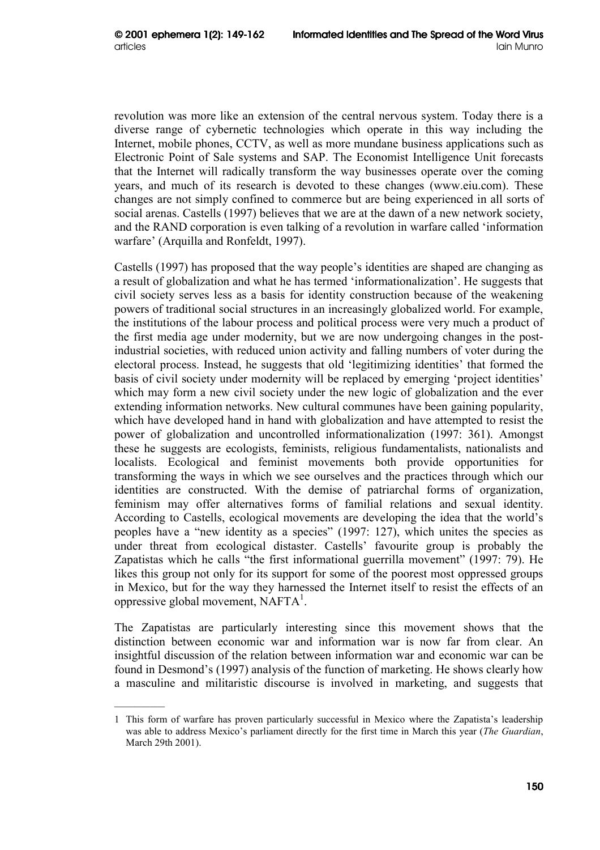revolution was more like an extension of the central nervous system. Today there is a diverse range of cybernetic technologies which operate in this way including the Internet, mobile phones, CCTV, as well as more mundane business applications such as Electronic Point of Sale systems and SAP. The Economist Intelligence Unit forecasts that the Internet will radically transform the way businesses operate over the coming years, and much of its research is devoted to these changes (www.eiu.com). These changes are not simply confined to commerce but are being experienced in all sorts of social arenas. Castells (1997) believes that we are at the dawn of a new network society, and the RAND corporation is even talking of a revolution in warfare called 'information warfare' (Arquilla and Ronfeldt, 1997).

Castells (1997) has proposed that the way people's identities are shaped are changing as a result of globalization and what he has termed 'informationalization'. He suggests that civil society serves less as a basis for identity construction because of the weakening powers of traditional social structures in an increasingly globalized world. For example, the institutions of the labour process and political process were very much a product of the first media age under modernity, but we are now undergoing changes in the postindustrial societies, with reduced union activity and falling numbers of voter during the electoral process. Instead, he suggests that old 'legitimizing identities' that formed the basis of civil society under modernity will be replaced by emerging 'project identities' which may form a new civil society under the new logic of globalization and the ever extending information networks. New cultural communes have been gaining popularity, which have developed hand in hand with globalization and have attempted to resist the power of globalization and uncontrolled informationalization (1997: 361). Amongst these he suggests are ecologists, feminists, religious fundamentalists, nationalists and localists. Ecological and feminist movements both provide opportunities for transforming the ways in which we see ourselves and the practices through which our identities are constructed. With the demise of patriarchal forms of organization, feminism may offer alternatives forms of familial relations and sexual identity. According to Castells, ecological movements are developing the idea that the world's peoples have a "new identity as a species" (1997: 127), which unites the species as under threat from ecological distaster. Castells' favourite group is probably the Zapatistas which he calls "the first informational guerrilla movement" (1997: 79). He likes this group not only for its support for some of the poorest most oppressed groups in Mexico, but for the way they harnessed the Internet itself to resist the effects of an oppressive global movement, NAFTA<sup>1</sup>.

The Zapatistas are particularly interesting since this movement shows that the distinction between economic war and information war is now far from clear. An insightful discussion of the relation between information war and economic war can be found in Desmond's (1997) analysis of the function of marketing. He shows clearly how a masculine and militaristic discourse is involved in marketing, and suggests that

<sup>1</sup> This form of warfare has proven particularly successful in Mexico where the Zapatista's leadership was able to address Mexico's parliament directly for the first time in March this year (*The Guardian*, March 29th 2001).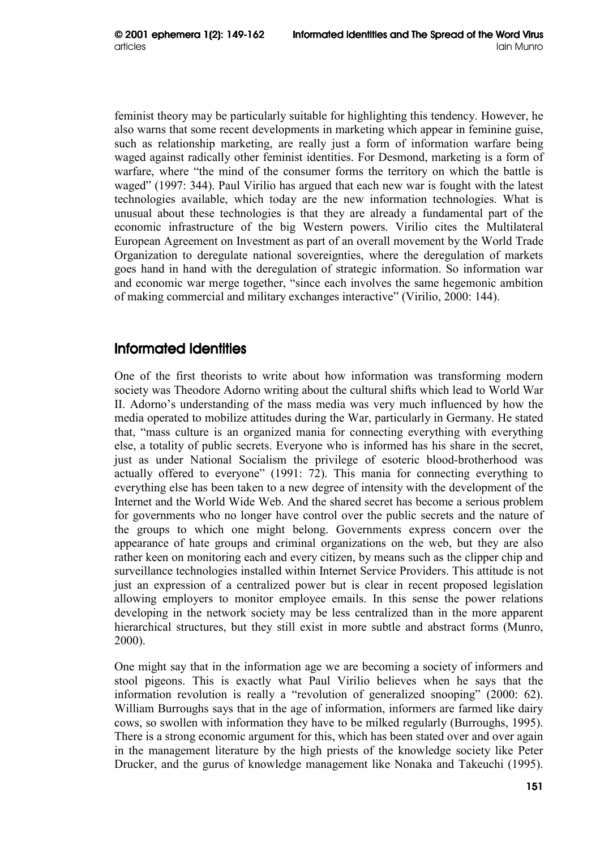feminist theory may be particularly suitable for highlighting this tendency. However, he also warns that some recent developments in marketing which appear in feminine guise, such as relationship marketing, are really just a form of information warfare being waged against radically other feminist identities. For Desmond, marketing is a form of warfare, where "the mind of the consumer forms the territory on which the battle is waged" (1997: 344). Paul Virilio has argued that each new war is fought with the latest technologies available, which today are the new information technologies. What is unusual about these technologies is that they are already a fundamental part of the economic infrastructure of the big Western powers. Virilio cites the Multilateral European Agreement on Investment as part of an overall movement by the World Trade Organization to deregulate national sovereignties, where the deregulation of markets goes hand in hand with the deregulation of strategic information. So information war and economic war merge together, "since each involves the same hegemonic ambition of making commercial and military exchanges interactive" (Virilio, 2000: 144).

#### Informated Identities

One of the first theorists to write about how information was transforming modern society was Theodore Adorno writing about the cultural shifts which lead to World War II. Adorno's understanding of the mass media was very much influenced by how the media operated to mobilize attitudes during the War, particularly in Germany. He stated that, "mass culture is an organized mania for connecting everything with everything else, a totality of public secrets. Everyone who is informed has his share in the secret, just as under National Socialism the privilege of esoteric blood-brotherhood was actually offered to everyone" (1991: 72). This mania for connecting everything to everything else has been taken to a new degree of intensity with the development of the Internet and the World Wide Web. And the shared secret has become a serious problem for governments who no longer have control over the public secrets and the nature of the groups to which one might belong. Governments express concern over the appearance of hate groups and criminal organizations on the web, but they are also rather keen on monitoring each and every citizen, by means such as the clipper chip and surveillance technologies installed within Internet Service Providers. This attitude is not just an expression of a centralized power but is clear in recent proposed legislation allowing employers to monitor employee emails. In this sense the power relations developing in the network society may be less centralized than in the more apparent hierarchical structures, but they still exist in more subtle and abstract forms (Munro, 2000).

One might say that in the information age we are becoming a society of informers and stool pigeons. This is exactly what Paul Virilio believes when he says that the information revolution is really a "revolution of generalized snooping" (2000: 62). William Burroughs says that in the age of information, informers are farmed like dairy cows, so swollen with information they have to be milked regularly (Burroughs, 1995). There is a strong economic argument for this, which has been stated over and over again in the management literature by the high priests of the knowledge society like Peter Drucker, and the gurus of knowledge management like Nonaka and Takeuchi (1995).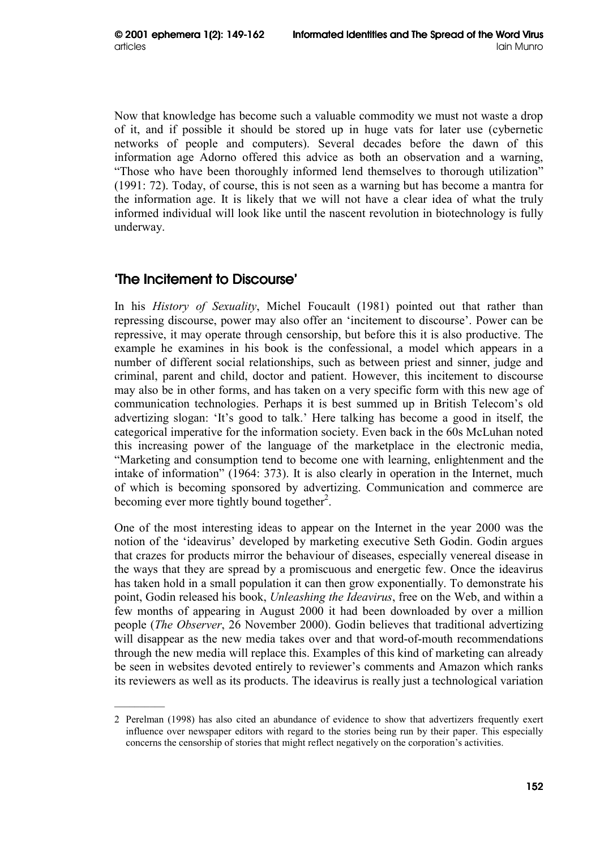Now that knowledge has become such a valuable commodity we must not waste a drop of it, and if possible it should be stored up in huge vats for later use (cybernetic networks of people and computers). Several decades before the dawn of this information age Adorno offered this advice as both an observation and a warning, "Those who have been thoroughly informed lend themselves to thorough utilization" (1991: 72). Today, of course, this is not seen as a warning but has become a mantra for the information age. It is likely that we will not have a clear idea of what the truly informed individual will look like until the nascent revolution in biotechnology is fully underway.

#### 'The Incitement to Discourse'

In his *History of Sexuality*, Michel Foucault (1981) pointed out that rather than repressing discourse, power may also offer an 'incitement to discourse'. Power can be repressive, it may operate through censorship, but before this it is also productive. The example he examines in his book is the confessional, a model which appears in a number of different social relationships, such as between priest and sinner, judge and criminal, parent and child, doctor and patient. However, this incitement to discourse may also be in other forms, and has taken on a very specific form with this new age of communication technologies. Perhaps it is best summed up in British Telecom's old advertizing slogan: 'It's good to talk.' Here talking has become a good in itself, the categorical imperative for the information society. Even back in the 60s McLuhan noted this increasing power of the language of the marketplace in the electronic media, "Marketing and consumption tend to become one with learning, enlightenment and the intake of information" (1964: 373). It is also clearly in operation in the Internet, much of which is becoming sponsored by advertizing. Communication and commerce are becoming ever more tightly bound together<sup>2</sup>.

One of the most interesting ideas to appear on the Internet in the year 2000 was the notion of the 'ideavirus' developed by marketing executive Seth Godin. Godin argues that crazes for products mirror the behaviour of diseases, especially venereal disease in the ways that they are spread by a promiscuous and energetic few. Once the ideavirus has taken hold in a small population it can then grow exponentially. To demonstrate his point, Godin released his book, *Unleashing the Ideavirus*, free on the Web, and within a few months of appearing in August 2000 it had been downloaded by over a million people (*The Observer*, 26 November 2000). Godin believes that traditional advertizing will disappear as the new media takes over and that word-of-mouth recommendations through the new media will replace this. Examples of this kind of marketing can already be seen in websites devoted entirely to reviewer's comments and Amazon which ranks its reviewers as well as its products. The ideavirus is really just a technological variation

<sup>2</sup> Perelman (1998) has also cited an abundance of evidence to show that advertizers frequently exert influence over newspaper editors with regard to the stories being run by their paper. This especially concerns the censorship of stories that might reflect negatively on the corporation's activities.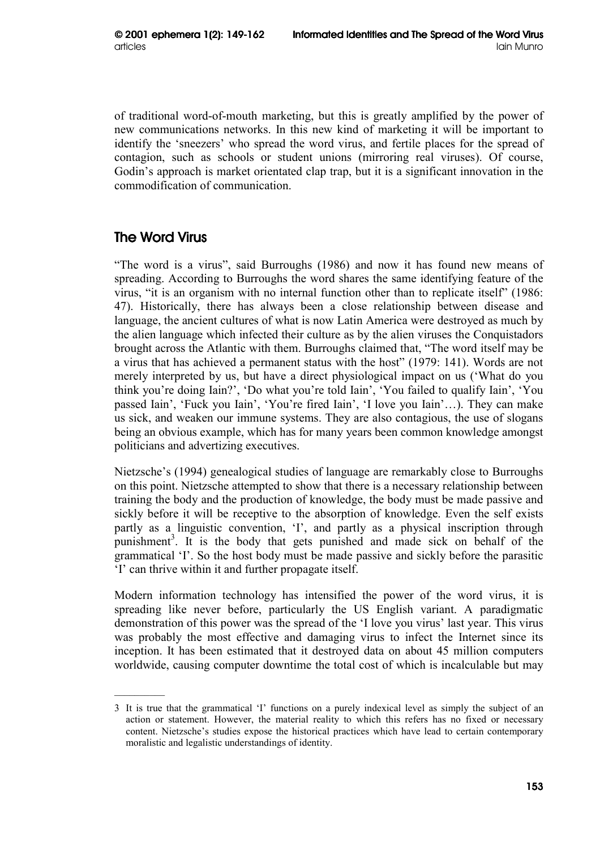of traditional word-of-mouth marketing, but this is greatly amplified by the power of new communications networks. In this new kind of marketing it will be important to identify the 'sneezers' who spread the word virus, and fertile places for the spread of contagion, such as schools or student unions (mirroring real viruses). Of course, Godin's approach is market orientated clap trap, but it is a significant innovation in the commodification of communication.

#### **The Word Virus**

 $\mathcal{L}_\text{max}$ 

"The word is a virus", said Burroughs (1986) and now it has found new means of spreading. According to Burroughs the word shares the same identifying feature of the virus, "it is an organism with no internal function other than to replicate itself" (1986: 47). Historically, there has always been a close relationship between disease and language, the ancient cultures of what is now Latin America were destroyed as much by the alien language which infected their culture as by the alien viruses the Conquistadors brought across the Atlantic with them. Burroughs claimed that, "The word itself may be a virus that has achieved a permanent status with the host" (1979: 141). Words are not merely interpreted by us, but have a direct physiological impact on us ('What do you think you're doing Iain?', 'Do what you're told Iain', 'You failed to qualify Iain', 'You passed Iain', 'Fuck you Iain', 'You're fired Iain', 'I love you Iain'…). They can make us sick, and weaken our immune systems. They are also contagious, the use of slogans being an obvious example, which has for many years been common knowledge amongst politicians and advertizing executives.

Nietzsche's (1994) genealogical studies of language are remarkably close to Burroughs on this point. Nietzsche attempted to show that there is a necessary relationship between training the body and the production of knowledge, the body must be made passive and sickly before it will be receptive to the absorption of knowledge. Even the self exists partly as a linguistic convention, 'I', and partly as a physical inscription through punishment<sup>3</sup>. It is the body that gets punished and made sick on behalf of the grammatical 'I'. So the host body must be made passive and sickly before the parasitic 'I' can thrive within it and further propagate itself.

Modern information technology has intensified the power of the word virus, it is spreading like never before, particularly the US English variant. A paradigmatic demonstration of this power was the spread of the 'I love you virus' last year. This virus was probably the most effective and damaging virus to infect the Internet since its inception. It has been estimated that it destroyed data on about 45 million computers worldwide, causing computer downtime the total cost of which is incalculable but may

<sup>3</sup> It is true that the grammatical 'I' functions on a purely indexical level as simply the subject of an action or statement. However, the material reality to which this refers has no fixed or necessary content. Nietzsche's studies expose the historical practices which have lead to certain contemporary moralistic and legalistic understandings of identity.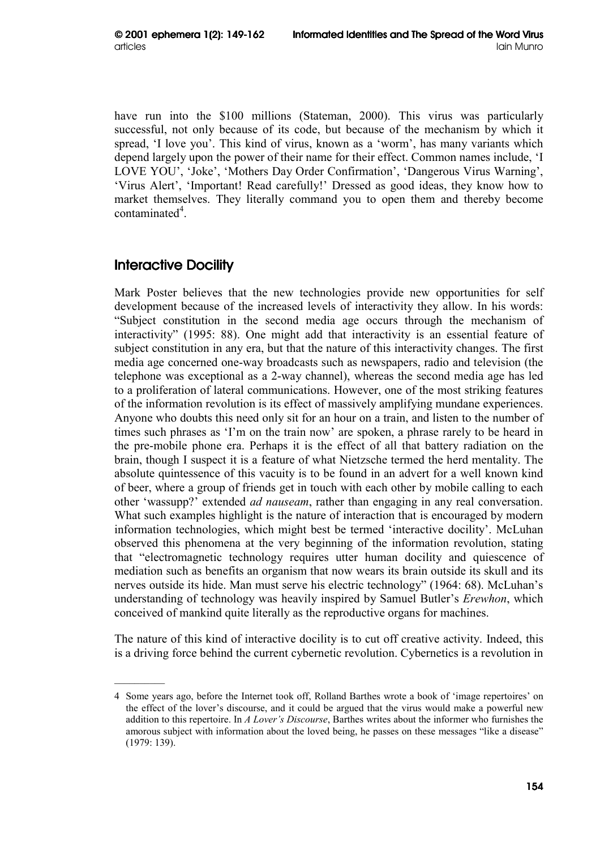have run into the \$100 millions (Stateman, 2000). This virus was particularly successful, not only because of its code, but because of the mechanism by which it spread, 'I love you'. This kind of virus, known as a 'worm', has many variants which depend largely upon the power of their name for their effect. Common names include, 'I LOVE YOU', 'Joke', 'Mothers Day Order Confirmation', 'Dangerous Virus Warning', 'Virus Alert', 'Important! Read carefully!' Dressed as good ideas, they know how to market themselves. They literally command you to open them and thereby become contaminated<sup>4</sup>.

#### **Interactive Docility**

 $\frac{1}{2}$ 

Mark Poster believes that the new technologies provide new opportunities for self development because of the increased levels of interactivity they allow. In his words: "Subject constitution in the second media age occurs through the mechanism of interactivity" (1995: 88). One might add that interactivity is an essential feature of subject constitution in any era, but that the nature of this interactivity changes. The first media age concerned one-way broadcasts such as newspapers, radio and television (the telephone was exceptional as a 2-way channel), whereas the second media age has led to a proliferation of lateral communications. However, one of the most striking features of the information revolution is its effect of massively amplifying mundane experiences. Anyone who doubts this need only sit for an hour on a train, and listen to the number of times such phrases as 'I'm on the train now' are spoken, a phrase rarely to be heard in the pre-mobile phone era. Perhaps it is the effect of all that battery radiation on the brain, though I suspect it is a feature of what Nietzsche termed the herd mentality. The absolute quintessence of this vacuity is to be found in an advert for a well known kind of beer, where a group of friends get in touch with each other by mobile calling to each other 'wassupp?' extended *ad nauseam*, rather than engaging in any real conversation. What such examples highlight is the nature of interaction that is encouraged by modern information technologies, which might best be termed 'interactive docility'. McLuhan observed this phenomena at the very beginning of the information revolution, stating that "electromagnetic technology requires utter human docility and quiescence of mediation such as benefits an organism that now wears its brain outside its skull and its nerves outside its hide. Man must serve his electric technology" (1964: 68). McLuhan's understanding of technology was heavily inspired by Samuel Butler's *Erewhon*, which conceived of mankind quite literally as the reproductive organs for machines.

The nature of this kind of interactive docility is to cut off creative activity. Indeed, this is a driving force behind the current cybernetic revolution. Cybernetics is a revolution in

<sup>4</sup> Some years ago, before the Internet took off, Rolland Barthes wrote a book of 'image repertoires' on the effect of the lover's discourse, and it could be argued that the virus would make a powerful new addition to this repertoire. In *A Lover's Discourse*, Barthes writes about the informer who furnishes the amorous subject with information about the loved being, he passes on these messages "like a disease" (1979: 139).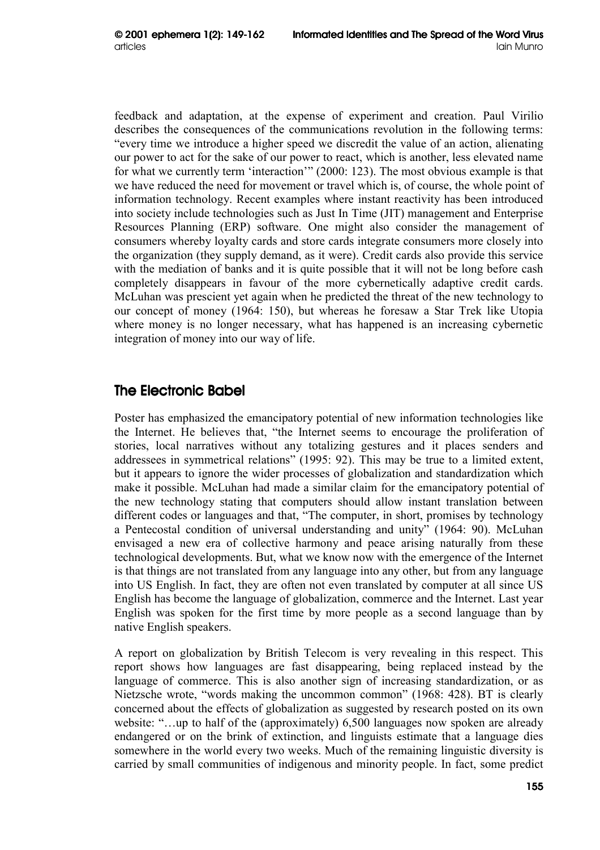feedback and adaptation, at the expense of experiment and creation. Paul Virilio describes the consequences of the communications revolution in the following terms: "every time we introduce a higher speed we discredit the value of an action, alienating our power to act for the sake of our power to react, which is another, less elevated name for what we currently term 'interaction'" (2000: 123). The most obvious example is that we have reduced the need for movement or travel which is, of course, the whole point of information technology. Recent examples where instant reactivity has been introduced into society include technologies such as Just In Time (JIT) management and Enterprise Resources Planning (ERP) software. One might also consider the management of consumers whereby loyalty cards and store cards integrate consumers more closely into the organization (they supply demand, as it were). Credit cards also provide this service with the mediation of banks and it is quite possible that it will not be long before cash completely disappears in favour of the more cybernetically adaptive credit cards. McLuhan was prescient yet again when he predicted the threat of the new technology to our concept of money (1964: 150), but whereas he foresaw a Star Trek like Utopia where money is no longer necessary, what has happened is an increasing cybernetic integration of money into our way of life.

### The Electronic Babel

Poster has emphasized the emancipatory potential of new information technologies like the Internet. He believes that, "the Internet seems to encourage the proliferation of stories, local narratives without any totalizing gestures and it places senders and addressees in symmetrical relations" (1995: 92). This may be true to a limited extent, but it appears to ignore the wider processes of globalization and standardization which make it possible. McLuhan had made a similar claim for the emancipatory potential of the new technology stating that computers should allow instant translation between different codes or languages and that, "The computer, in short, promises by technology a Pentecostal condition of universal understanding and unity" (1964: 90). McLuhan envisaged a new era of collective harmony and peace arising naturally from these technological developments. But, what we know now with the emergence of the Internet is that things are not translated from any language into any other, but from any language into US English. In fact, they are often not even translated by computer at all since US English has become the language of globalization, commerce and the Internet. Last year English was spoken for the first time by more people as a second language than by native English speakers.

A report on globalization by British Telecom is very revealing in this respect. This report shows how languages are fast disappearing, being replaced instead by the language of commerce. This is also another sign of increasing standardization, or as Nietzsche wrote, "words making the uncommon common" (1968: 428). BT is clearly concerned about the effects of globalization as suggested by research posted on its own website: "…up to half of the (approximately) 6,500 languages now spoken are already endangered or on the brink of extinction, and linguists estimate that a language dies somewhere in the world every two weeks. Much of the remaining linguistic diversity is carried by small communities of indigenous and minority people. In fact, some predict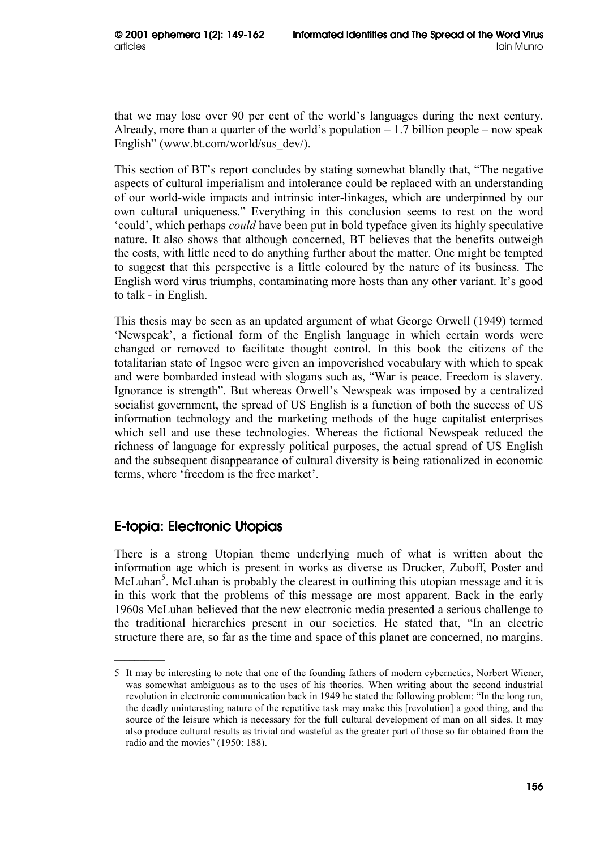that we may lose over 90 per cent of the world's languages during the next century. Already, more than a quarter of the world's population  $-1.7$  billion people – now speak English" (www.bt.com/world/sus\_dev/).

This section of BT's report concludes by stating somewhat blandly that, "The negative aspects of cultural imperialism and intolerance could be replaced with an understanding of our world-wide impacts and intrinsic inter-linkages, which are underpinned by our own cultural uniqueness." Everything in this conclusion seems to rest on the word 'could', which perhaps *could* have been put in bold typeface given its highly speculative nature. It also shows that although concerned, BT believes that the benefits outweigh the costs, with little need to do anything further about the matter. One might be tempted to suggest that this perspective is a little coloured by the nature of its business. The English word virus triumphs, contaminating more hosts than any other variant. It's good to talk - in English.

This thesis may be seen as an updated argument of what George Orwell (1949) termed 'Newspeak', a fictional form of the English language in which certain words were changed or removed to facilitate thought control. In this book the citizens of the totalitarian state of Ingsoc were given an impoverished vocabulary with which to speak and were bombarded instead with slogans such as, "War is peace. Freedom is slavery. Ignorance is strength". But whereas Orwell's Newspeak was imposed by a centralized socialist government, the spread of US English is a function of both the success of US information technology and the marketing methods of the huge capitalist enterprises which sell and use these technologies. Whereas the fictional Newspeak reduced the richness of language for expressly political purposes, the actual spread of US English and the subsequent disappearance of cultural diversity is being rationalized in economic terms, where 'freedom is the free market'.

#### E-topia: Electronic Utopias

 $\frac{1}{2}$ 

There is a strong Utopian theme underlying much of what is written about the information age which is present in works as diverse as Drucker, Zuboff, Poster and  $McLuhan<sup>5</sup>$ . McLuhan is probably the clearest in outlining this utopian message and it is in this work that the problems of this message are most apparent. Back in the early 1960s McLuhan believed that the new electronic media presented a serious challenge to the traditional hierarchies present in our societies. He stated that, "In an electric structure there are, so far as the time and space of this planet are concerned, no margins.

<sup>5</sup> It may be interesting to note that one of the founding fathers of modern cybernetics, Norbert Wiener, was somewhat ambiguous as to the uses of his theories. When writing about the second industrial revolution in electronic communication back in 1949 he stated the following problem: "In the long run, the deadly uninteresting nature of the repetitive task may make this [revolution] a good thing, and the source of the leisure which is necessary for the full cultural development of man on all sides. It may also produce cultural results as trivial and wasteful as the greater part of those so far obtained from the radio and the movies" (1950: 188).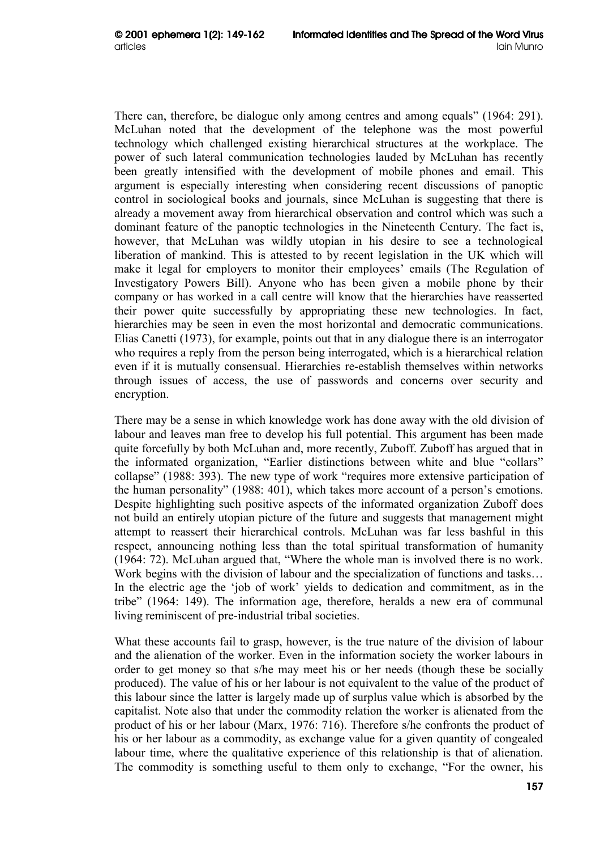There can, therefore, be dialogue only among centres and among equals" (1964: 291). McLuhan noted that the development of the telephone was the most powerful technology which challenged existing hierarchical structures at the workplace. The power of such lateral communication technologies lauded by McLuhan has recently been greatly intensified with the development of mobile phones and email. This argument is especially interesting when considering recent discussions of panoptic control in sociological books and journals, since McLuhan is suggesting that there is already a movement away from hierarchical observation and control which was such a dominant feature of the panoptic technologies in the Nineteenth Century. The fact is, however, that McLuhan was wildly utopian in his desire to see a technological liberation of mankind. This is attested to by recent legislation in the UK which will make it legal for employers to monitor their employees' emails (The Regulation of Investigatory Powers Bill). Anyone who has been given a mobile phone by their company or has worked in a call centre will know that the hierarchies have reasserted their power quite successfully by appropriating these new technologies. In fact, hierarchies may be seen in even the most horizontal and democratic communications. Elias Canetti (1973), for example, points out that in any dialogue there is an interrogator who requires a reply from the person being interrogated, which is a hierarchical relation even if it is mutually consensual. Hierarchies re-establish themselves within networks through issues of access, the use of passwords and concerns over security and encryption.

There may be a sense in which knowledge work has done away with the old division of labour and leaves man free to develop his full potential. This argument has been made quite forcefully by both McLuhan and, more recently, Zuboff. Zuboff has argued that in the informated organization, "Earlier distinctions between white and blue "collars" collapse" (1988: 393). The new type of work "requires more extensive participation of the human personality" (1988: 401), which takes more account of a person's emotions. Despite highlighting such positive aspects of the informated organization Zuboff does not build an entirely utopian picture of the future and suggests that management might attempt to reassert their hierarchical controls. McLuhan was far less bashful in this respect, announcing nothing less than the total spiritual transformation of humanity (1964: 72). McLuhan argued that, "Where the whole man is involved there is no work. Work begins with the division of labour and the specialization of functions and tasks... In the electric age the 'job of work' yields to dedication and commitment, as in the tribe" (1964: 149). The information age, therefore, heralds a new era of communal living reminiscent of pre-industrial tribal societies.

What these accounts fail to grasp, however, is the true nature of the division of labour and the alienation of the worker. Even in the information society the worker labours in order to get money so that s/he may meet his or her needs (though these be socially produced). The value of his or her labour is not equivalent to the value of the product of this labour since the latter is largely made up of surplus value which is absorbed by the capitalist. Note also that under the commodity relation the worker is alienated from the product of his or her labour (Marx, 1976: 716). Therefore s/he confronts the product of his or her labour as a commodity, as exchange value for a given quantity of congealed labour time, where the qualitative experience of this relationship is that of alienation. The commodity is something useful to them only to exchange, "For the owner, his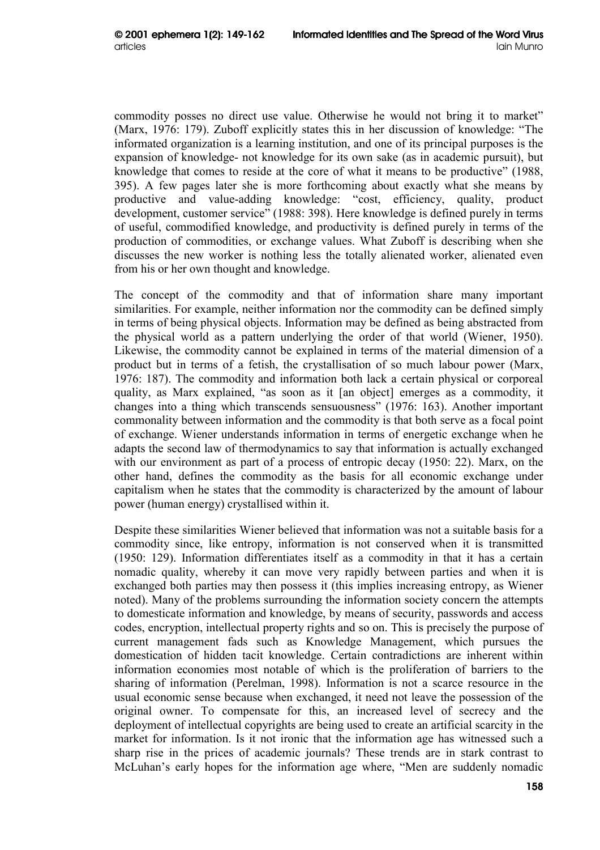commodity posses no direct use value. Otherwise he would not bring it to market" (Marx, 1976: 179). Zuboff explicitly states this in her discussion of knowledge: "The informated organization is a learning institution, and one of its principal purposes is the expansion of knowledge- not knowledge for its own sake (as in academic pursuit), but knowledge that comes to reside at the core of what it means to be productive" (1988, 395). A few pages later she is more forthcoming about exactly what she means by productive and value-adding knowledge: "cost, efficiency, quality, product development, customer service" (1988: 398). Here knowledge is defined purely in terms of useful, commodified knowledge, and productivity is defined purely in terms of the production of commodities, or exchange values. What Zuboff is describing when she discusses the new worker is nothing less the totally alienated worker, alienated even from his or her own thought and knowledge.

The concept of the commodity and that of information share many important similarities. For example, neither information nor the commodity can be defined simply in terms of being physical objects. Information may be defined as being abstracted from the physical world as a pattern underlying the order of that world (Wiener, 1950). Likewise, the commodity cannot be explained in terms of the material dimension of a product but in terms of a fetish, the crystallisation of so much labour power (Marx, 1976: 187). The commodity and information both lack a certain physical or corporeal quality, as Marx explained, "as soon as it [an object] emerges as a commodity, it changes into a thing which transcends sensuousness" (1976: 163). Another important commonality between information and the commodity is that both serve as a focal point of exchange. Wiener understands information in terms of energetic exchange when he adapts the second law of thermodynamics to say that information is actually exchanged with our environment as part of a process of entropic decay (1950: 22). Marx, on the other hand, defines the commodity as the basis for all economic exchange under capitalism when he states that the commodity is characterized by the amount of labour power (human energy) crystallised within it.

Despite these similarities Wiener believed that information was not a suitable basis for a commodity since, like entropy, information is not conserved when it is transmitted (1950: 129). Information differentiates itself as a commodity in that it has a certain nomadic quality, whereby it can move very rapidly between parties and when it is exchanged both parties may then possess it (this implies increasing entropy, as Wiener noted). Many of the problems surrounding the information society concern the attempts to domesticate information and knowledge, by means of security, passwords and access codes, encryption, intellectual property rights and so on. This is precisely the purpose of current management fads such as Knowledge Management, which pursues the domestication of hidden tacit knowledge. Certain contradictions are inherent within information economies most notable of which is the proliferation of barriers to the sharing of information (Perelman, 1998). Information is not a scarce resource in the usual economic sense because when exchanged, it need not leave the possession of the original owner. To compensate for this, an increased level of secrecy and the deployment of intellectual copyrights are being used to create an artificial scarcity in the market for information. Is it not ironic that the information age has witnessed such a sharp rise in the prices of academic journals? These trends are in stark contrast to McLuhan's early hopes for the information age where, "Men are suddenly nomadic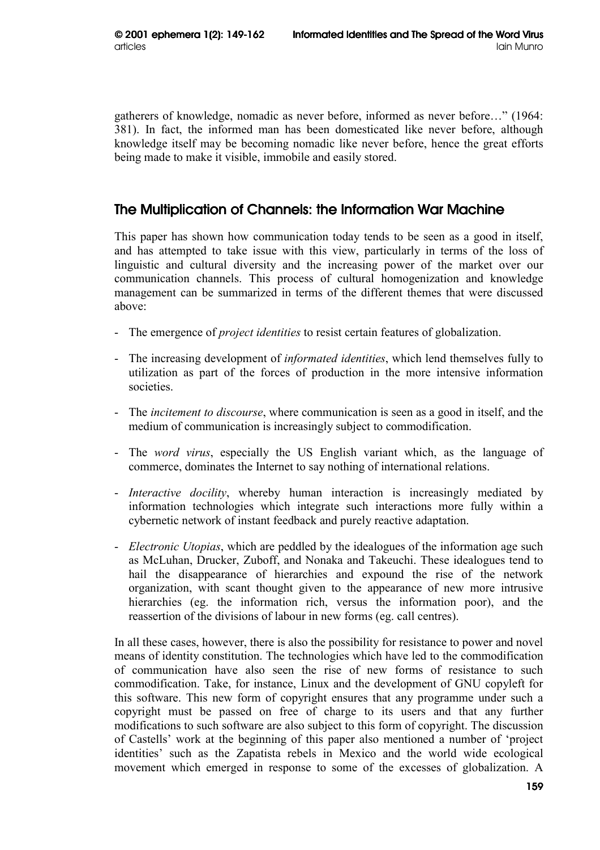gatherers of knowledge, nomadic as never before, informed as never before…" (1964: 381). In fact, the informed man has been domesticated like never before, although knowledge itself may be becoming nomadic like never before, hence the great efforts being made to make it visible, immobile and easily stored.

#### The Multiplication of Channels: the Information War Machine

This paper has shown how communication today tends to be seen as a good in itself, and has attempted to take issue with this view, particularly in terms of the loss of linguistic and cultural diversity and the increasing power of the market over our communication channels. This process of cultural homogenization and knowledge management can be summarized in terms of the different themes that were discussed above:

- The emergence of *project identities* to resist certain features of globalization.
- The increasing development of *informated identities*, which lend themselves fully to utilization as part of the forces of production in the more intensive information societies.
- The *incitement to discourse*, where communication is seen as a good in itself, and the medium of communication is increasingly subject to commodification.
- The *word virus*, especially the US English variant which, as the language of commerce, dominates the Internet to say nothing of international relations.
- *Interactive docility*, whereby human interaction is increasingly mediated by information technologies which integrate such interactions more fully within a cybernetic network of instant feedback and purely reactive adaptation.
- *Electronic Utopias*, which are peddled by the idealogues of the information age such as McLuhan, Drucker, Zuboff, and Nonaka and Takeuchi. These idealogues tend to hail the disappearance of hierarchies and expound the rise of the network organization, with scant thought given to the appearance of new more intrusive hierarchies (eg. the information rich, versus the information poor), and the reassertion of the divisions of labour in new forms (eg. call centres).

In all these cases, however, there is also the possibility for resistance to power and novel means of identity constitution. The technologies which have led to the commodification of communication have also seen the rise of new forms of resistance to such commodification. Take, for instance, Linux and the development of GNU copyleft for this software. This new form of copyright ensures that any programme under such a copyright must be passed on free of charge to its users and that any further modifications to such software are also subject to this form of copyright. The discussion of Castells' work at the beginning of this paper also mentioned a number of 'project identities' such as the Zapatista rebels in Mexico and the world wide ecological movement which emerged in response to some of the excesses of globalization. A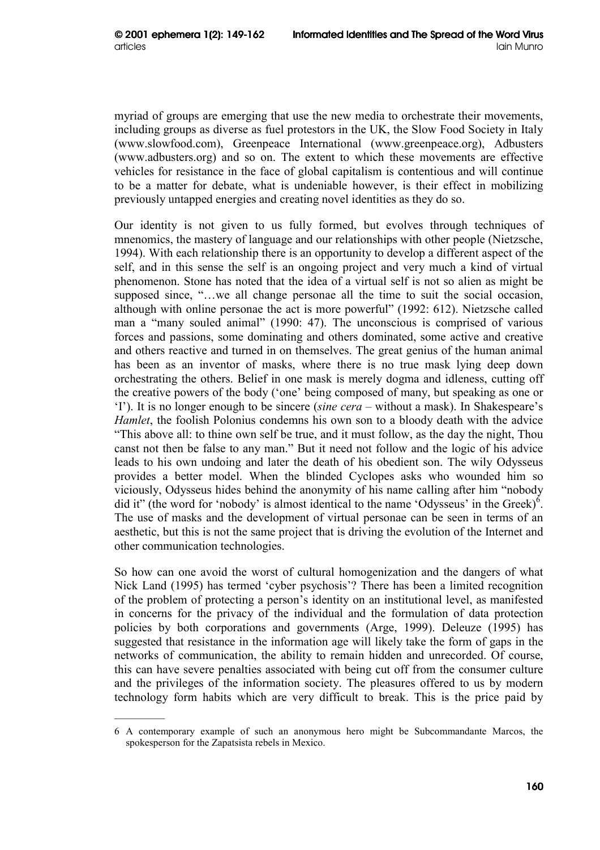$\frac{1}{2}$ 

myriad of groups are emerging that use the new media to orchestrate their movements, including groups as diverse as fuel protestors in the UK, the Slow Food Society in Italy (www.slowfood.com), Greenpeace International (www.greenpeace.org), Adbusters (www.adbusters.org) and so on. The extent to which these movements are effective vehicles for resistance in the face of global capitalism is contentious and will continue to be a matter for debate, what is undeniable however, is their effect in mobilizing previously untapped energies and creating novel identities as they do so.

Our identity is not given to us fully formed, but evolves through techniques of mnenomics, the mastery of language and our relationships with other people (Nietzsche, 1994). With each relationship there is an opportunity to develop a different aspect of the self, and in this sense the self is an ongoing project and very much a kind of virtual phenomenon. Stone has noted that the idea of a virtual self is not so alien as might be supposed since, "…we all change personae all the time to suit the social occasion, although with online personae the act is more powerful" (1992: 612). Nietzsche called man a "many souled animal" (1990: 47). The unconscious is comprised of various forces and passions, some dominating and others dominated, some active and creative and others reactive and turned in on themselves. The great genius of the human animal has been as an inventor of masks, where there is no true mask lying deep down orchestrating the others. Belief in one mask is merely dogma and idleness, cutting off the creative powers of the body ('one' being composed of many, but speaking as one or 'I'). It is no longer enough to be sincere (*sine cera* – without a mask). In Shakespeare's *Hamlet*, the foolish Polonius condemns his own son to a bloody death with the advice "This above all: to thine own self be true, and it must follow, as the day the night, Thou canst not then be false to any man." But it need not follow and the logic of his advice leads to his own undoing and later the death of his obedient son. The wily Odysseus provides a better model. When the blinded Cyclopes asks who wounded him so viciously, Odysseus hides behind the anonymity of his name calling after him "nobody did it" (the word for 'nobody' is almost identical to the name 'Odysseus' in the Greek)<sup> $\delta$ </sup>. The use of masks and the development of virtual personae can be seen in terms of an aesthetic, but this is not the same project that is driving the evolution of the Internet and other communication technologies.

So how can one avoid the worst of cultural homogenization and the dangers of what Nick Land (1995) has termed 'cyber psychosis'? There has been a limited recognition of the problem of protecting a person's identity on an institutional level, as manifested in concerns for the privacy of the individual and the formulation of data protection policies by both corporations and governments (Arge, 1999). Deleuze (1995) has suggested that resistance in the information age will likely take the form of gaps in the networks of communication, the ability to remain hidden and unrecorded. Of course, this can have severe penalties associated with being cut off from the consumer culture and the privileges of the information society. The pleasures offered to us by modern technology form habits which are very difficult to break. This is the price paid by

<sup>6</sup> A contemporary example of such an anonymous hero might be Subcommandante Marcos, the spokesperson for the Zapatsista rebels in Mexico.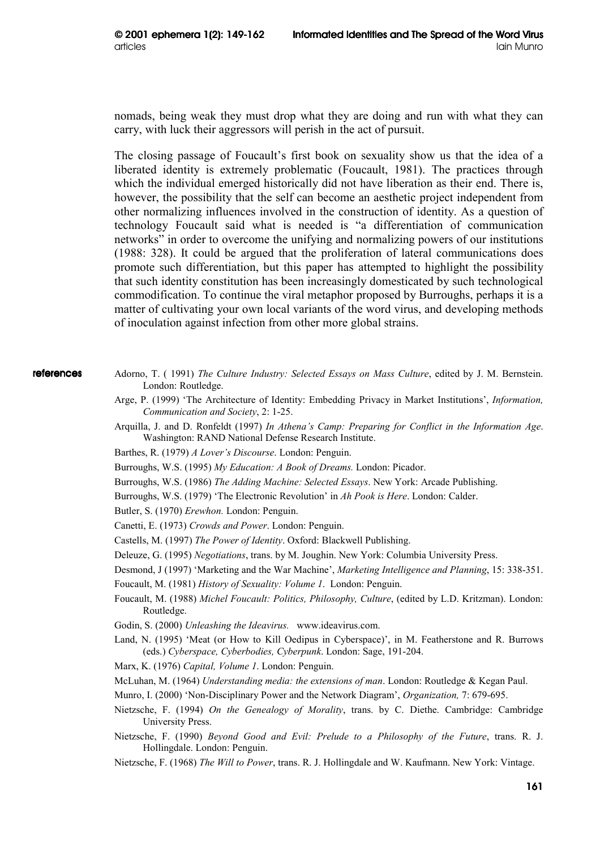nomads, being weak they must drop what they are doing and run with what they can carry, with luck their aggressors will perish in the act of pursuit.

The closing passage of Foucault's first book on sexuality show us that the idea of a liberated identity is extremely problematic (Foucault, 1981). The practices through which the individual emerged historically did not have liberation as their end. There is, however, the possibility that the self can become an aesthetic project independent from other normalizing influences involved in the construction of identity. As a question of technology Foucault said what is needed is "a differentiation of communication networks" in order to overcome the unifying and normalizing powers of our institutions (1988: 328). It could be argued that the proliferation of lateral communications does promote such differentiation, but this paper has attempted to highlight the possibility that such identity constitution has been increasingly domesticated by such technological commodification. To continue the viral metaphor proposed by Burroughs, perhaps it is a matter of cultivating your own local variants of the word virus, and developing methods of inoculation against infection from other more global strains.

- Adorno, T. ( 1991) *The Culture Industry: Selected Essays on Mass Culture*, edited by J. M. Bernstein. London: Routledge. references references
	- Arge, P. (1999) 'The Architecture of Identity: Embedding Privacy in Market Institutions', *Information, Communication and Society*, 2: 1-25.
	- Arquilla, J. and D. Ronfeldt (1997) *In Athena's Camp: Preparing for Conflict in the Information Age*. Washington: RAND National Defense Research Institute.
	- Barthes, R. (1979) *A Lover's Discourse*. London: Penguin.
	- Burroughs, W.S. (1995) *My Education: A Book of Dreams.* London: Picador.
	- Burroughs, W.S. (1986) *The Adding Machine: Selected Essays*. New York: Arcade Publishing.
	- Burroughs, W.S. (1979) 'The Electronic Revolution' in *Ah Pook is Here*. London: Calder.

Butler, S. (1970) *Erewhon.* London: Penguin.

- Canetti, E. (1973) *Crowds and Power*. London: Penguin.
- Castells, M. (1997) *The Power of Identity*. Oxford: Blackwell Publishing.
- Deleuze, G. (1995) *Negotiations*, trans. by M. Joughin. New York: Columbia University Press.
- Desmond, J (1997) 'Marketing and the War Machine', *Marketing Intelligence and Planning*, 15: 338-351.
- Foucault, M. (1981) *History of Sexuality: Volume 1*. London: Penguin.
- Foucault, M. (1988) *Michel Foucault: Politics, Philosophy, Culture*, (edited by L.D. Kritzman). London: Routledge.
- Godin, S. (2000) *Unleashing the Ideavirus.* www.ideavirus.com.
- Land, N. (1995) 'Meat (or How to Kill Oedipus in Cyberspace)', in M. Featherstone and R. Burrows (eds.) *Cyberspace, Cyberbodies, Cyberpunk*. London: Sage, 191-204.
- Marx, K. (1976) *Capital, Volume 1*. London: Penguin.
- McLuhan, M. (1964) *Understanding media: the extensions of man*. London: Routledge & Kegan Paul.
- Munro, I. (2000) 'Non-Disciplinary Power and the Network Diagram', *Organization,* 7: 679-695.
- Nietzsche, F. (1994) *On the Genealogy of Morality*, trans. by C. Diethe. Cambridge: Cambridge University Press.
- Nietzsche, F. (1990) *Beyond Good and Evil: Prelude to a Philosophy of the Future*, trans. R. J. Hollingdale. London: Penguin.
- Nietzsche, F. (1968) *The Will to Power*, trans. R. J. Hollingdale and W. Kaufmann. New York: Vintage.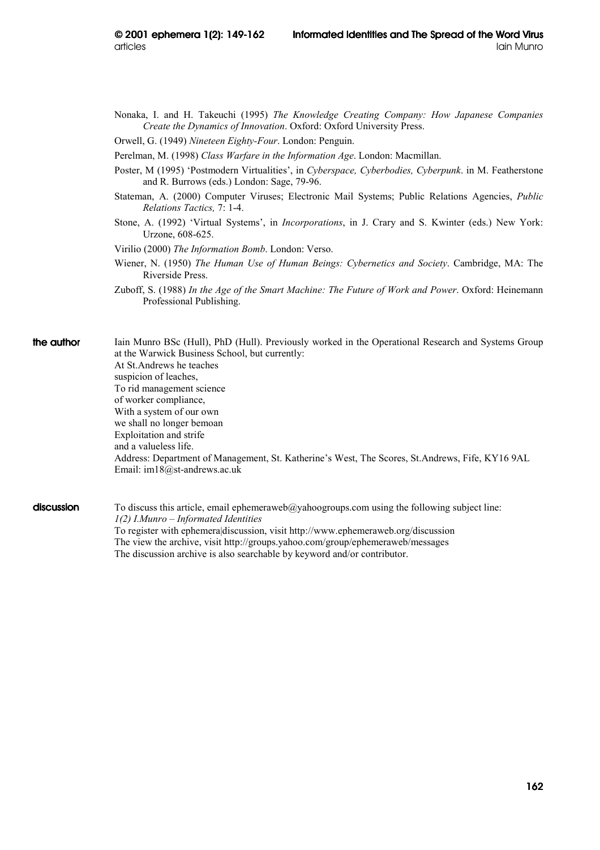- Nonaka, I. and H. Takeuchi (1995) *The Knowledge Creating Company: How Japanese Companies Create the Dynamics of Innovation*. Oxford: Oxford University Press.
- Orwell, G. (1949) *Nineteen Eighty-Four*. London: Penguin.
- Perelman, M. (1998) *Class Warfare in the Information Age*. London: Macmillan.
- Poster, M (1995) 'Postmodern Virtualities', in *Cyberspace, Cyberbodies, Cyberpunk*. in M. Featherstone and R. Burrows (eds.) London: Sage, 79-96.
- Stateman, A. (2000) Computer Viruses; Electronic Mail Systems; Public Relations Agencies, *Public Relations Tactics,* 7: 1-4.
- Stone, A. (1992) 'Virtual Systems', in *Incorporations*, in J. Crary and S. Kwinter (eds.) New York: Urzone, 608-625.
- Virilio (2000) *The Information Bomb*. London: Verso.

Exploitation and strife

- Wiener, N. (1950) *The Human Use of Human Beings: Cybernetics and Society*. Cambridge, MA: The Riverside Press.
- Zuboff, S. (1988) *In the Age of the Smart Machine: The Future of Work and Power*. Oxford: Heinemann Professional Publishing.

Iain Munro BSc (Hull), PhD (Hull). Previously worked in the Operational Research and Systems Group at the Warwick Business School, but currently: At St.Andrews he teaches suspicion of leaches, To rid management science of worker compliance, With a system of our own we shall no longer bemoan the author

> and a valueless life. Address: Department of Management, St. Katherine's West, The Scores, St.Andrews, Fife, KY16 9AL Email: im18@st-andrews.ac.uk

To discuss this article, email ephemeraweb@yahoogroups.com using the following subject line: *1(2) I.Munro – Informated Identities*  To register with ephemera|discussion, visit http://www.ephemeraweb.org/discussion The view the archive, visit http://groups.yahoo.com/group/ephemeraweb/messages The discussion archive is also searchable by keyword and/or contributor. discussion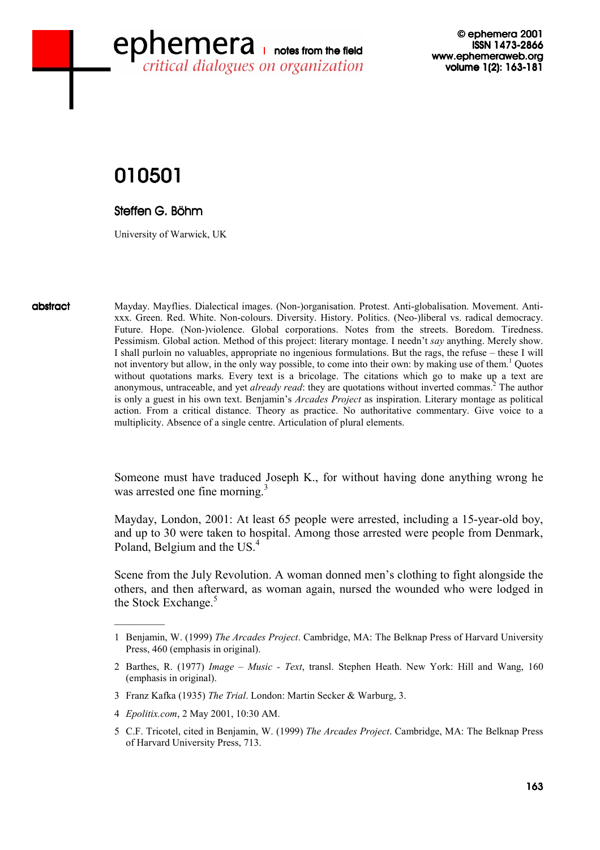$CDIICIICI$  and in notes from the field www.ephemeraweb.org

© ephemera 2001 © 2001 2001 ISSN 1473-2866 volume 1(2): 163-181

# 010501

Steffen G. Böhm

University of Warwick, UK

Mayday. Mayflies. Dialectical images. (Non-)organisation. Protest. Anti-globalisation. Movement. Antixxx. Green. Red. White. Non-colours. Diversity. History. Politics. (Neo-)liberal vs. radical democracy. Future. Hope. (Non-)violence. Global corporations. Notes from the streets. Boredom. Tiredness. Pessimism. Global action. Method of this project: literary montage. I needn't *say* anything. Merely show. I shall purloin no valuables, appropriate no ingenious formulations. But the rags, the refuse – these I will not inventory but allow, in the only way possible, to come into their own: by making use of them.<sup>1</sup> Quotes without quotations marks. Every text is a bricolage. The citations which go to make up a text are anonymous, untraceable, and yet *already read*: they are quotations without inverted commas.<sup>2</sup> The author is only a guest in his own text. Benjamin's *Arcades Project* as inspiration. Literary montage as political action. From a critical distance. Theory as practice. No authoritative commentary. Give voice to a multiplicity. Absence of a single centre. Articulation of plural elements. abstract abstract

> Someone must have traduced Joseph K., for without having done anything wrong he was arrested one fine morning.<sup>3</sup>

> Mayday, London, 2001: At least 65 people were arrested, including a 15-year-old boy, and up to 30 were taken to hospital. Among those arrested were people from Denmark, Poland, Belgium and the US.<sup>4</sup>

> Scene from the July Revolution. A woman donned men's clothing to fight alongside the others, and then afterward, as woman again, nursed the wounded who were lodged in the Stock Exchange.<sup>5</sup>

 $\frac{1}{2}$ 

<sup>1</sup> Benjamin, W. (1999) *The Arcades Project*. Cambridge, MA: The Belknap Press of Harvard University Press, 460 (emphasis in original).

<sup>2</sup> Barthes, R. (1977) *Image – Music - Text*, transl. Stephen Heath. New York: Hill and Wang, 160 (emphasis in original).

<sup>3</sup> Franz Kafka (1935) *The Trial*. London: Martin Secker & Warburg, 3.

<sup>4</sup> *Epolitix.com*, 2 May 2001, 10:30 AM.

<sup>5</sup> C.F. Tricotel, cited in Benjamin, W. (1999) *The Arcades Project*. Cambridge, MA: The Belknap Press of Harvard University Press, 713.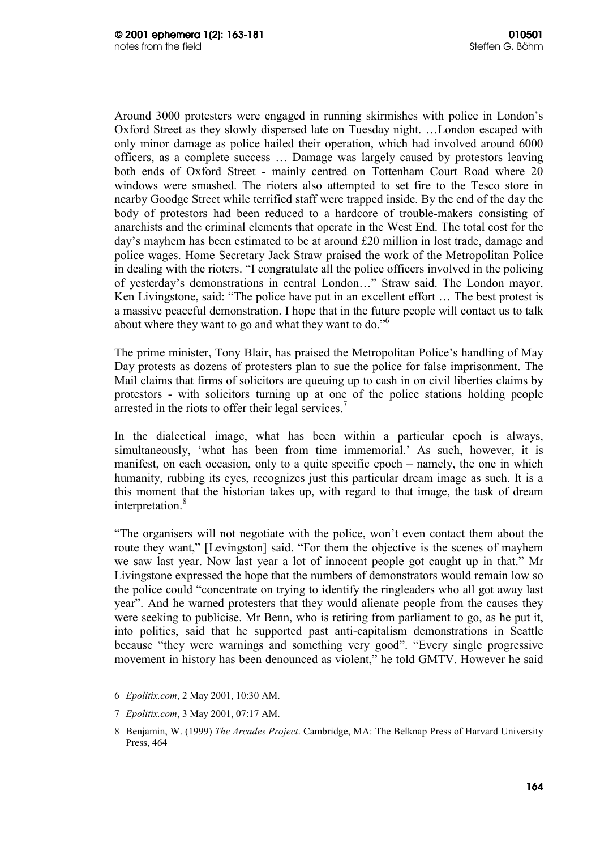Around 3000 protesters were engaged in running skirmishes with police in London's Oxford Street as they slowly dispersed late on Tuesday night. …London escaped with only minor damage as police hailed their operation, which had involved around 6000 officers, as a complete success … Damage was largely caused by protestors leaving both ends of Oxford Street - mainly centred on Tottenham Court Road where 20 windows were smashed. The rioters also attempted to set fire to the Tesco store in nearby Goodge Street while terrified staff were trapped inside. By the end of the day the body of protestors had been reduced to a hardcore of trouble-makers consisting of anarchists and the criminal elements that operate in the West End. The total cost for the day's mayhem has been estimated to be at around £20 million in lost trade, damage and police wages. Home Secretary Jack Straw praised the work of the Metropolitan Police in dealing with the rioters. "I congratulate all the police officers involved in the policing of yesterday's demonstrations in central London…" Straw said. The London mayor, Ken Livingstone, said: "The police have put in an excellent effort … The best protest is a massive peaceful demonstration. I hope that in the future people will contact us to talk about where they want to go and what they want to do."6

The prime minister, Tony Blair, has praised the Metropolitan Police's handling of May Day protests as dozens of protesters plan to sue the police for false imprisonment. The Mail claims that firms of solicitors are queuing up to cash in on civil liberties claims by protestors - with solicitors turning up at one of the police stations holding people arrested in the riots to offer their legal services.<sup>7</sup>

In the dialectical image, what has been within a particular epoch is always, simultaneously, 'what has been from time immemorial.' As such, however, it is manifest, on each occasion, only to a quite specific epoch – namely, the one in which humanity, rubbing its eyes, recognizes just this particular dream image as such. It is a this moment that the historian takes up, with regard to that image, the task of dream interpretation.<sup>8</sup>

"The organisers will not negotiate with the police, won't even contact them about the route they want," [Levingston] said. "For them the objective is the scenes of mayhem we saw last year. Now last year a lot of innocent people got caught up in that." Mr Livingstone expressed the hope that the numbers of demonstrators would remain low so the police could "concentrate on trying to identify the ringleaders who all got away last year". And he warned protesters that they would alienate people from the causes they were seeking to publicise. Mr Benn, who is retiring from parliament to go, as he put it, into politics, said that he supported past anti-capitalism demonstrations in Seattle because "they were warnings and something very good". "Every single progressive movement in history has been denounced as violent," he told GMTV. However he said

 $\mathcal{L}_\text{max}$ 

<sup>6</sup> *Epolitix.com*, 2 May 2001, 10:30 AM.

<sup>7</sup> *Epolitix.com*, 3 May 2001, 07:17 AM.

<sup>8</sup> Benjamin, W. (1999) *The Arcades Project*. Cambridge, MA: The Belknap Press of Harvard University Press, 464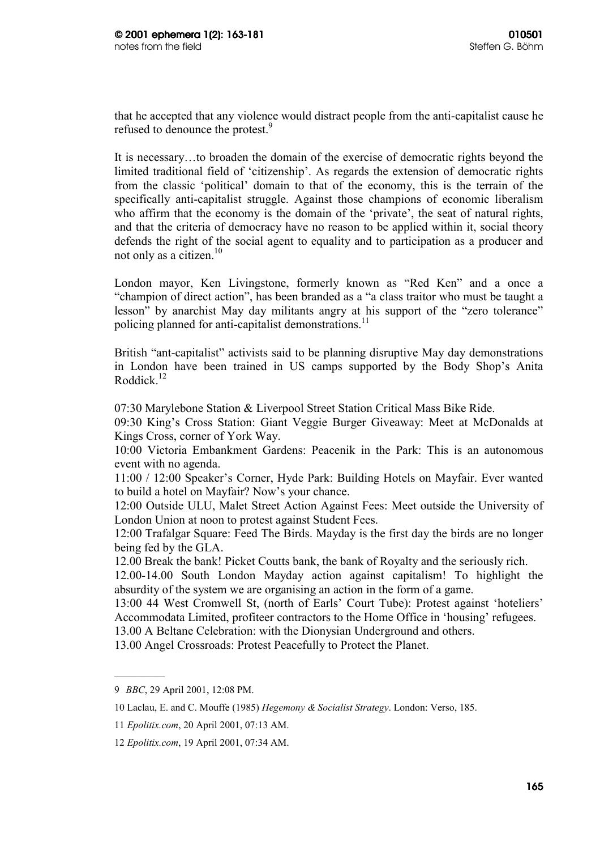that he accepted that any violence would distract people from the anti-capitalist cause he refused to denounce the protest.<sup>9</sup>

It is necessary…to broaden the domain of the exercise of democratic rights beyond the limited traditional field of 'citizenship'. As regards the extension of democratic rights from the classic 'political' domain to that of the economy, this is the terrain of the specifically anti-capitalist struggle. Against those champions of economic liberalism who affirm that the economy is the domain of the 'private', the seat of natural rights, and that the criteria of democracy have no reason to be applied within it, social theory defends the right of the social agent to equality and to participation as a producer and not only as a citizen.<sup>10</sup>

London mayor, Ken Livingstone, formerly known as "Red Ken" and a once a "champion of direct action", has been branded as a "a class traitor who must be taught a lesson" by anarchist May day militants angry at his support of the "zero tolerance" policing planned for anti-capitalist demonstrations.<sup>11</sup>

British "ant-capitalist" activists said to be planning disruptive May day demonstrations in London have been trained in US camps supported by the Body Shop's Anita Roddick<sup>12</sup>

07:30 Marylebone Station & Liverpool Street Station Critical Mass Bike Ride.

09:30 King's Cross Station: Giant Veggie Burger Giveaway: Meet at McDonalds at Kings Cross, corner of York Way.

10:00 Victoria Embankment Gardens: Peacenik in the Park: This is an autonomous event with no agenda.

11:00 / 12:00 Speaker's Corner, Hyde Park: Building Hotels on Mayfair. Ever wanted to build a hotel on Mayfair? Now's your chance.

12:00 Trafalgar Square: Feed The Birds. Mayday is the first day the birds are no longer being fed by the GLA.

12.00 Break the bank! Picket Coutts bank, the bank of Royalty and the seriously rich.

12.00-14.00 South London Mayday action against capitalism! To highlight the absurdity of the system we are organising an action in the form of a game.

13:00 44 West Cromwell St, (north of Earls' Court Tube): Protest against 'hoteliers' Accommodata Limited, profiteer contractors to the Home Office in 'housing' refugees.

13.00 A Beltane Celebration: with the Dionysian Underground and others.

13.00 Angel Crossroads: Protest Peacefully to Protect the Planet.

 $\mathcal{L}_\text{max}$ 

<sup>12:00</sup> Outside ULU, Malet Street Action Against Fees: Meet outside the University of London Union at noon to protest against Student Fees.

<sup>9</sup> *BBC*, 29 April 2001, 12:08 PM.

<sup>10</sup> Laclau, E. and C. Mouffe (1985) *Hegemony & Socialist Strategy*. London: Verso, 185.

<sup>11</sup> *Epolitix.com*, 20 April 2001, 07:13 AM.

<sup>12</sup> *Epolitix.com*, 19 April 2001, 07:34 AM.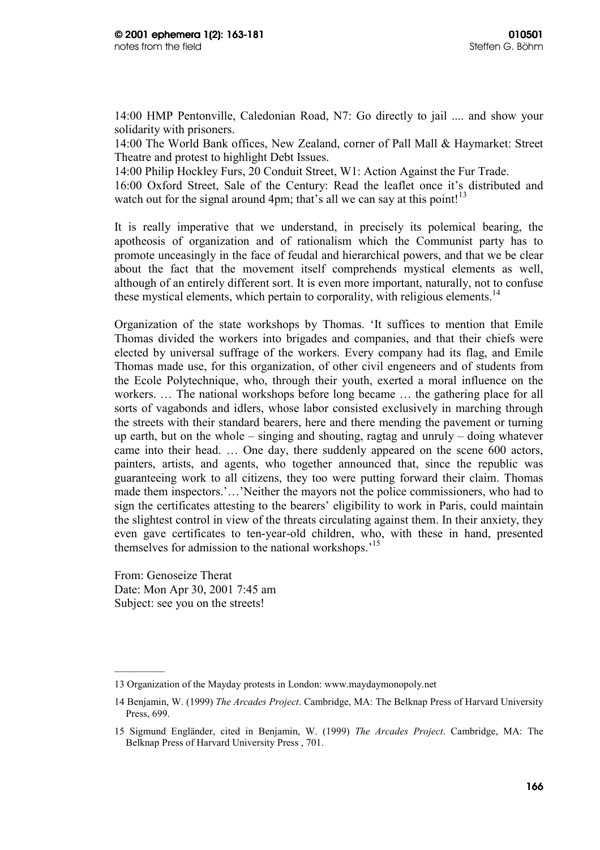14:00 HMP Pentonville, Caledonian Road, N7: Go directly to jail .... and show your solidarity with prisoners.

14:00 The World Bank offices, New Zealand, corner of Pall Mall & Haymarket: Street Theatre and protest to highlight Debt Issues.

14:00 Philip Hockley Furs, 20 Conduit Street, W1: Action Against the Fur Trade.

16:00 Oxford Street, Sale of the Century: Read the leaflet once it's distributed and watch out for the signal around 4pm; that's all we can say at this point!<sup>13</sup>

It is really imperative that we understand, in precisely its polemical bearing, the apotheosis of organization and of rationalism which the Communist party has to promote unceasingly in the face of feudal and hierarchical powers, and that we be clear about the fact that the movement itself comprehends mystical elements as well, although of an entirely different sort. It is even more important, naturally, not to confuse these mystical elements, which pertain to corporality, with religious elements.<sup>14</sup>

Organization of the state workshops by Thomas. 'It suffices to mention that Emile Thomas divided the workers into brigades and companies, and that their chiefs were elected by universal suffrage of the workers. Every company had its flag, and Emile Thomas made use, for this organization, of other civil engeneers and of students from the Ecole Polytechnique, who, through their youth, exerted a moral influence on the workers. … The national workshops before long became … the gathering place for all sorts of vagabonds and idlers, whose labor consisted exclusively in marching through the streets with their standard bearers, here and there mending the pavement or turning up earth, but on the whole – singing and shouting, ragtag and unruly – doing whatever came into their head. … One day, there suddenly appeared on the scene 600 actors, painters, artists, and agents, who together announced that, since the republic was guaranteeing work to all citizens, they too were putting forward their claim. Thomas made them inspectors.'…'Neither the mayors not the police commissioners, who had to sign the certificates attesting to the bearers' eligibility to work in Paris, could maintain the slightest control in view of the threats circulating against them. In their anxiety, they even gave certificates to ten-year-old children, who, with these in hand, presented themselves for admission to the national workshops.<sup>'15</sup>

From: Genoseize Therat Date: Mon Apr 30, 2001 7:45 am Subject: see you on the streets!

 $\frac{1}{2}$ 

<sup>13</sup> Organization of the Mayday protests in London: www.maydaymonopoly.net

<sup>14</sup> Benjamin, W. (1999) *The Arcades Project*. Cambridge, MA: The Belknap Press of Harvard University Press, 699.

<sup>15</sup> Sigmund Engländer, cited in Benjamin, W. (1999) *The Arcades Project*. Cambridge, MA: The Belknap Press of Harvard University Press , 701.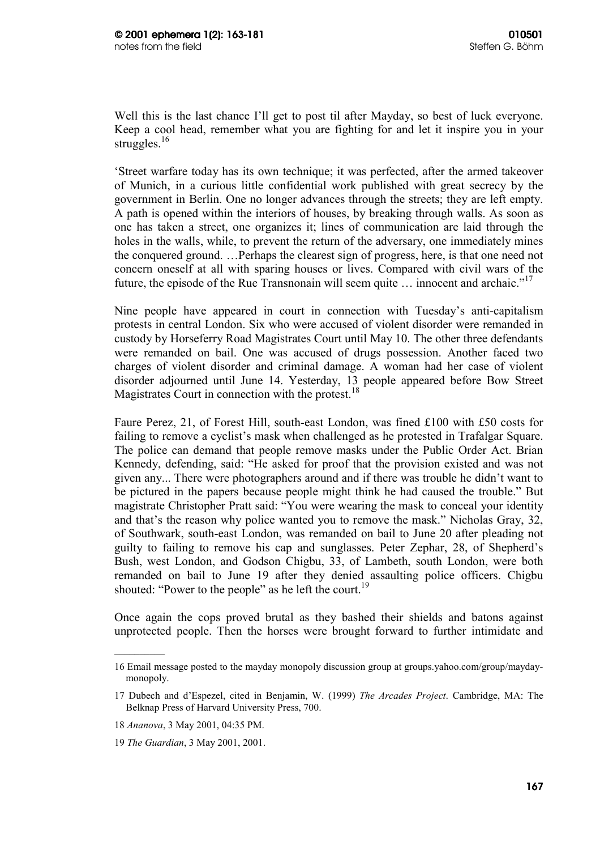Well this is the last chance I'll get to post til after Mayday, so best of luck everyone. Keep a cool head, remember what you are fighting for and let it inspire you in your struggles. $16$ 

'Street warfare today has its own technique; it was perfected, after the armed takeover of Munich, in a curious little confidential work published with great secrecy by the government in Berlin. One no longer advances through the streets; they are left empty. A path is opened within the interiors of houses, by breaking through walls. As soon as one has taken a street, one organizes it; lines of communication are laid through the holes in the walls, while, to prevent the return of the adversary, one immediately mines the conquered ground. …Perhaps the clearest sign of progress, here, is that one need not concern oneself at all with sparing houses or lives. Compared with civil wars of the future, the episode of the Rue Transnonain will seem quite  $\ldots$  innocent and archaic."<sup>17</sup>

Nine people have appeared in court in connection with Tuesday's anti-capitalism protests in central London. Six who were accused of violent disorder were remanded in custody by Horseferry Road Magistrates Court until May 10. The other three defendants were remanded on bail. One was accused of drugs possession. Another faced two charges of violent disorder and criminal damage. A woman had her case of violent disorder adjourned until June 14. Yesterday, 13 people appeared before Bow Street Magistrates Court in connection with the protest.<sup>18</sup>

Faure Perez, 21, of Forest Hill, south-east London, was fined £100 with £50 costs for failing to remove a cyclist's mask when challenged as he protested in Trafalgar Square. The police can demand that people remove masks under the Public Order Act. Brian Kennedy, defending, said: "He asked for proof that the provision existed and was not given any... There were photographers around and if there was trouble he didn't want to be pictured in the papers because people might think he had caused the trouble." But magistrate Christopher Pratt said: "You were wearing the mask to conceal your identity and that's the reason why police wanted you to remove the mask." Nicholas Gray, 32, of Southwark, south-east London, was remanded on bail to June 20 after pleading not guilty to failing to remove his cap and sunglasses. Peter Zephar, 28, of Shepherd's Bush, west London, and Godson Chigbu, 33, of Lambeth, south London, were both remanded on bail to June 19 after they denied assaulting police officers. Chigbu shouted: "Power to the people" as he left the court.<sup>19</sup>

Once again the cops proved brutal as they bashed their shields and batons against unprotected people. Then the horses were brought forward to further intimidate and

<sup>16</sup> Email message posted to the mayday monopoly discussion group at groups.yahoo.com/group/maydaymonopoly.

<sup>17</sup> Dubech and d'Espezel, cited in Benjamin, W. (1999) *The Arcades Project*. Cambridge, MA: The Belknap Press of Harvard University Press, 700.

<sup>18</sup> *Ananova*, 3 May 2001, 04:35 PM.

<sup>19</sup> *The Guardian*, 3 May 2001, 2001.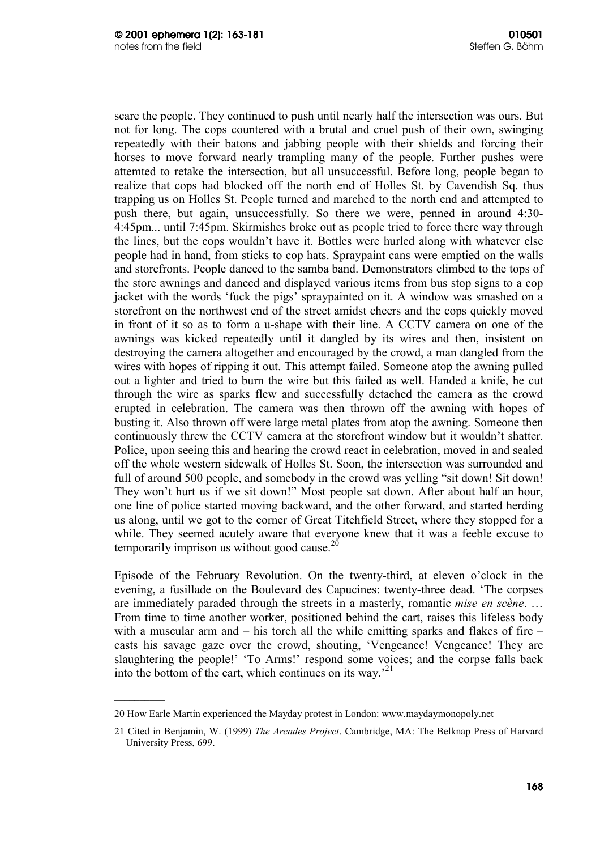scare the people. They continued to push until nearly half the intersection was ours. But not for long. The cops countered with a brutal and cruel push of their own, swinging repeatedly with their batons and jabbing people with their shields and forcing their horses to move forward nearly trampling many of the people. Further pushes were attemted to retake the intersection, but all unsuccessful. Before long, people began to realize that cops had blocked off the north end of Holles St. by Cavendish Sq. thus trapping us on Holles St. People turned and marched to the north end and attempted to push there, but again, unsuccessfully. So there we were, penned in around 4:30- 4:45pm... until 7:45pm. Skirmishes broke out as people tried to force there way through the lines, but the cops wouldn't have it. Bottles were hurled along with whatever else people had in hand, from sticks to cop hats. Spraypaint cans were emptied on the walls and storefronts. People danced to the samba band. Demonstrators climbed to the tops of the store awnings and danced and displayed various items from bus stop signs to a cop jacket with the words 'fuck the pigs' spraypainted on it. A window was smashed on a storefront on the northwest end of the street amidst cheers and the cops quickly moved in front of it so as to form a u-shape with their line. A CCTV camera on one of the awnings was kicked repeatedly until it dangled by its wires and then, insistent on destroying the camera altogether and encouraged by the crowd, a man dangled from the wires with hopes of ripping it out. This attempt failed. Someone atop the awning pulled out a lighter and tried to burn the wire but this failed as well. Handed a knife, he cut through the wire as sparks flew and successfully detached the camera as the crowd erupted in celebration. The camera was then thrown off the awning with hopes of busting it. Also thrown off were large metal plates from atop the awning. Someone then continuously threw the CCTV camera at the storefront window but it wouldn't shatter. Police, upon seeing this and hearing the crowd react in celebration, moved in and sealed off the whole western sidewalk of Holles St. Soon, the intersection was surrounded and full of around 500 people, and somebody in the crowd was yelling "sit down! Sit down! They won't hurt us if we sit down!" Most people sat down. After about half an hour, one line of police started moving backward, and the other forward, and started herding us along, until we got to the corner of Great Titchfield Street, where they stopped for a while. They seemed acutely aware that everyone knew that it was a feeble excuse to temporarily imprison us without good cause. $20$ 

Episode of the February Revolution. On the twenty-third, at eleven o'clock in the evening, a fusillade on the Boulevard des Capucines: twenty-three dead. 'The corpses are immediately paraded through the streets in a masterly, romantic *mise en scène*. … From time to time another worker, positioned behind the cart, raises this lifeless body with a muscular arm and  $-$  his torch all the while emitting sparks and flakes of fire  $$ casts his savage gaze over the crowd, shouting, 'Vengeance! Vengeance! They are slaughtering the people!' 'To Arms!' respond some voices; and the corpse falls back into the bottom of the cart, which continues on its way.'<sup>21</sup>

<sup>20</sup> How Earle Martin experienced the Mayday protest in London: www.maydaymonopoly.net

<sup>21</sup> Cited in Benjamin, W. (1999) *The Arcades Project*. Cambridge, MA: The Belknap Press of Harvard University Press, 699.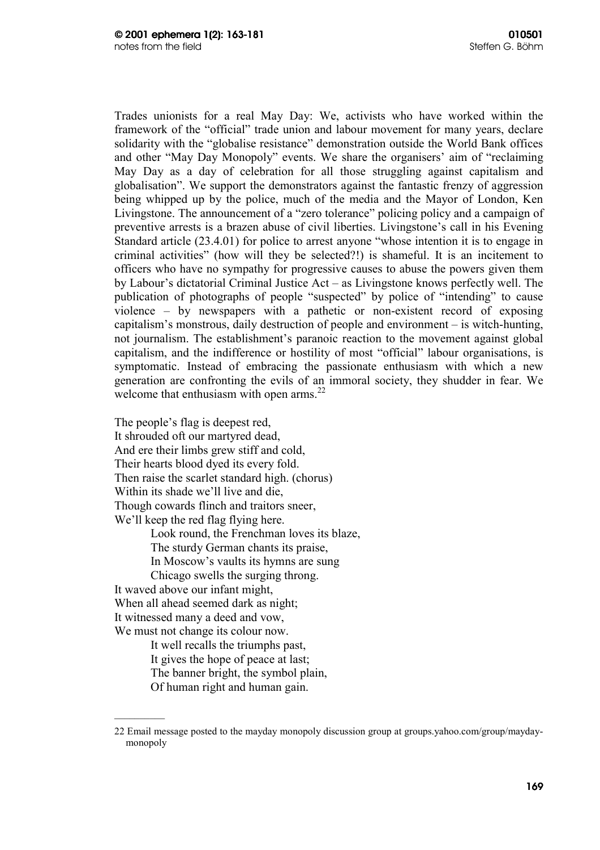Trades unionists for a real May Day: We, activists who have worked within the framework of the "official" trade union and labour movement for many years, declare solidarity with the "globalise resistance" demonstration outside the World Bank offices and other "May Day Monopoly" events. We share the organisers' aim of "reclaiming May Day as a day of celebration for all those struggling against capitalism and globalisation". We support the demonstrators against the fantastic frenzy of aggression being whipped up by the police, much of the media and the Mayor of London, Ken Livingstone. The announcement of a "zero tolerance" policing policy and a campaign of preventive arrests is a brazen abuse of civil liberties. Livingstone's call in his Evening Standard article (23.4.01) for police to arrest anyone "whose intention it is to engage in criminal activities" (how will they be selected?!) is shameful. It is an incitement to officers who have no sympathy for progressive causes to abuse the powers given them by Labour's dictatorial Criminal Justice Act – as Livingstone knows perfectly well. The publication of photographs of people "suspected" by police of "intending" to cause violence – by newspapers with a pathetic or non-existent record of exposing capitalism's monstrous, daily destruction of people and environment – is witch-hunting, not journalism. The establishment's paranoic reaction to the movement against global capitalism, and the indifference or hostility of most "official" labour organisations, is symptomatic. Instead of embracing the passionate enthusiasm with which a new generation are confronting the evils of an immoral society, they shudder in fear. We welcome that enthusiasm with open  $\text{arms}$ .<sup>22</sup>

The people's flag is deepest red, It shrouded oft our martyred dead, And ere their limbs grew stiff and cold, Their hearts blood dyed its every fold. Then raise the scarlet standard high. (chorus) Within its shade we'll live and die, Though cowards flinch and traitors sneer, We'll keep the red flag flying here.

Look round, the Frenchman loves its blaze,

The sturdy German chants its praise,

In Moscow's vaults its hymns are sung

Chicago swells the surging throng.

It waved above our infant might,

 $\frac{1}{2}$ 

When all ahead seemed dark as night:

It witnessed many a deed and vow,

We must not change its colour now.

It well recalls the triumphs past, It gives the hope of peace at last; The banner bright, the symbol plain, Of human right and human gain.

<sup>22</sup> Email message posted to the mayday monopoly discussion group at groups.yahoo.com/group/maydaymonopoly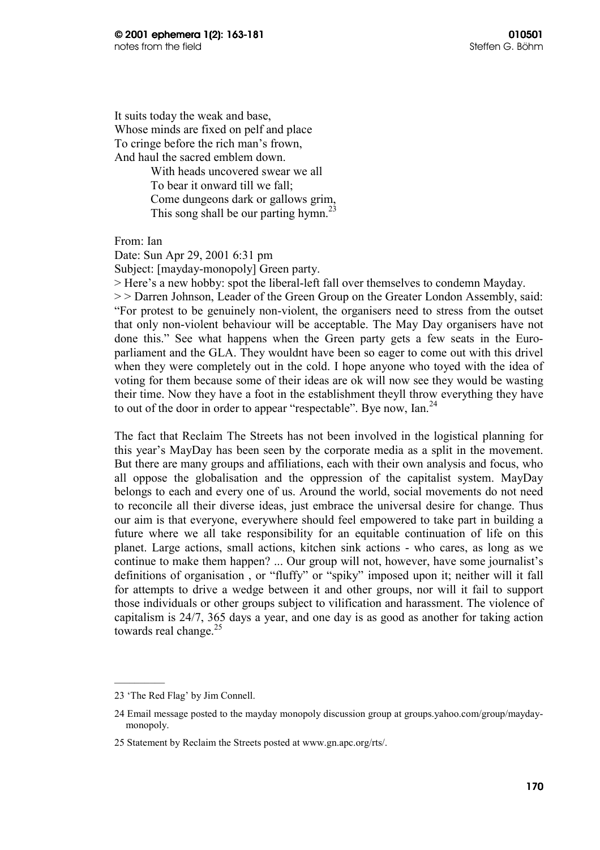It suits today the weak and base, Whose minds are fixed on pelf and place To cringe before the rich man's frown, And haul the sacred emblem down.

> With heads uncovered swear we all To bear it onward till we fall; Come dungeons dark or gallows grim, This song shall be our parting hymn.<sup>23</sup>

From: Ian

Date: Sun Apr 29, 2001 6:31 pm

Subject: [mayday-monopoly] Green party.

> Here's a new hobby: spot the liberal-left fall over themselves to condemn Mayday.

> > Darren Johnson, Leader of the Green Group on the Greater London Assembly, said: "For protest to be genuinely non-violent, the organisers need to stress from the outset that only non-violent behaviour will be acceptable. The May Day organisers have not done this." See what happens when the Green party gets a few seats in the Europarliament and the GLA. They wouldnt have been so eager to come out with this drivel when they were completely out in the cold. I hope anyone who toyed with the idea of voting for them because some of their ideas are ok will now see they would be wasting their time. Now they have a foot in the establishment theyll throw everything they have to out of the door in order to appear "respectable". Bye now, Ian.<sup>24</sup>

The fact that Reclaim The Streets has not been involved in the logistical planning for this year's MayDay has been seen by the corporate media as a split in the movement. But there are many groups and affiliations, each with their own analysis and focus, who all oppose the globalisation and the oppression of the capitalist system. MayDay belongs to each and every one of us. Around the world, social movements do not need to reconcile all their diverse ideas, just embrace the universal desire for change. Thus our aim is that everyone, everywhere should feel empowered to take part in building a future where we all take responsibility for an equitable continuation of life on this planet. Large actions, small actions, kitchen sink actions - who cares, as long as we continue to make them happen? ... Our group will not, however, have some journalist's definitions of organisation , or "fluffy" or "spiky" imposed upon it; neither will it fall for attempts to drive a wedge between it and other groups, nor will it fail to support those individuals or other groups subject to vilification and harassment. The violence of capitalism is 24/7, 365 days a year, and one day is as good as another for taking action towards real change. $25$ 

 $\mathcal{L}_\text{max}$ 

<sup>23 &#</sup>x27;The Red Flag' by Jim Connell.

<sup>24</sup> Email message posted to the mayday monopoly discussion group at groups.yahoo.com/group/maydaymonopoly.

<sup>25</sup> Statement by Reclaim the Streets posted at www.gn.apc.org/rts/.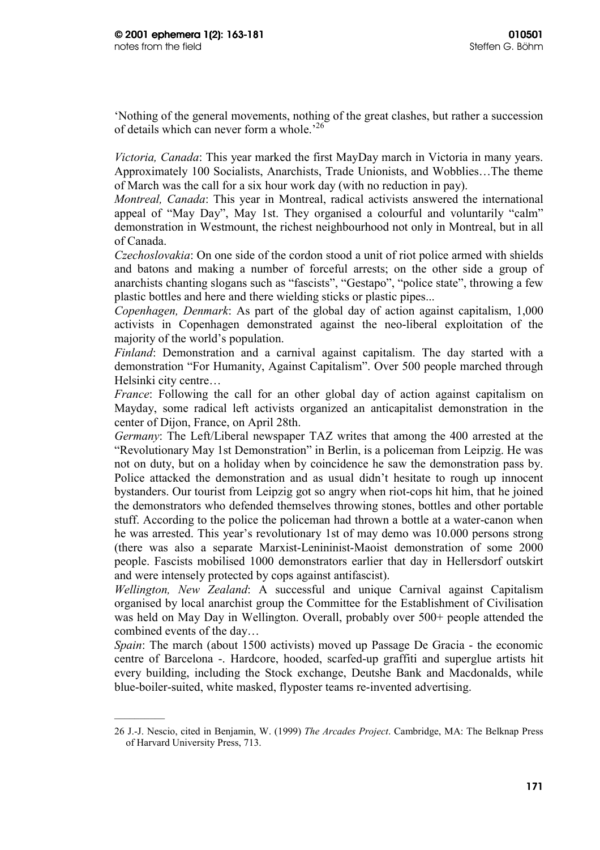$\frac{1}{2}$ 

'Nothing of the general movements, nothing of the great clashes, but rather a succession of details which can never form a whole.<sup>26</sup>

*Victoria, Canada*: This year marked the first MayDay march in Victoria in many years. Approximately 100 Socialists, Anarchists, Trade Unionists, and Wobblies…The theme of March was the call for a six hour work day (with no reduction in pay).

*Montreal, Canada*: This year in Montreal, radical activists answered the international appeal of "May Day", May 1st. They organised a colourful and voluntarily "calm" demonstration in Westmount, the richest neighbourhood not only in Montreal, but in all of Canada.

*Czechoslovakia*: On one side of the cordon stood a unit of riot police armed with shields and batons and making a number of forceful arrests; on the other side a group of anarchists chanting slogans such as "fascists", "Gestapo", "police state", throwing a few plastic bottles and here and there wielding sticks or plastic pipes...

*Copenhagen, Denmark*: As part of the global day of action against capitalism, 1,000 activists in Copenhagen demonstrated against the neo-liberal exploitation of the majority of the world's population.

*Finland*: Demonstration and a carnival against capitalism. The day started with a demonstration "For Humanity, Against Capitalism". Over 500 people marched through Helsinki city centre…

*France*: Following the call for an other global day of action against capitalism on Mayday, some radical left activists organized an anticapitalist demonstration in the center of Dijon, France, on April 28th.

*Germany*: The Left/Liberal newspaper TAZ writes that among the 400 arrested at the "Revolutionary May 1st Demonstration" in Berlin, is a policeman from Leipzig. He was not on duty, but on a holiday when by coincidence he saw the demonstration pass by. Police attacked the demonstration and as usual didn't hesitate to rough up innocent bystanders. Our tourist from Leipzig got so angry when riot-cops hit him, that he joined the demonstrators who defended themselves throwing stones, bottles and other portable stuff. According to the police the policeman had thrown a bottle at a water-canon when he was arrested. This year's revolutionary 1st of may demo was 10.000 persons strong (there was also a separate Marxist-Lenininist-Maoist demonstration of some 2000 people. Fascists mobilised 1000 demonstrators earlier that day in Hellersdorf outskirt and were intensely protected by cops against antifascist).

*Wellington, New Zealand*: A successful and unique Carnival against Capitalism organised by local anarchist group the Committee for the Establishment of Civilisation was held on May Day in Wellington. Overall, probably over 500+ people attended the combined events of the day…

*Spain*: The march (about 1500 activists) moved up Passage De Gracia - the economic centre of Barcelona -. Hardcore, hooded, scarfed-up graffiti and superglue artists hit every building, including the Stock exchange, Deutshe Bank and Macdonalds, while blue-boiler-suited, white masked, flyposter teams re-invented advertising.

<sup>26</sup> J.-J. Nescio, cited in Benjamin, W. (1999) *The Arcades Project*. Cambridge, MA: The Belknap Press of Harvard University Press, 713.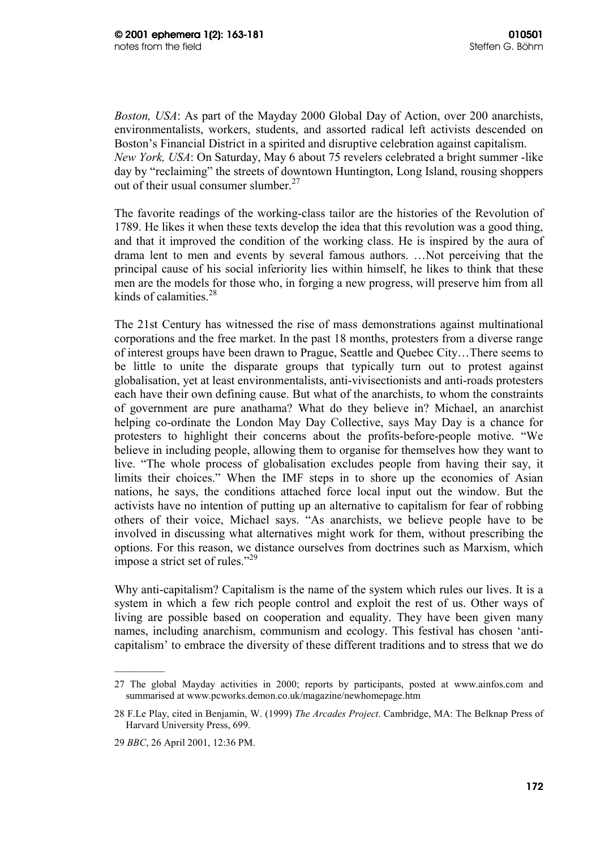*Boston, USA*: As part of the Mayday 2000 Global Day of Action, over 200 anarchists, environmentalists, workers, students, and assorted radical left activists descended on Boston's Financial District in a spirited and disruptive celebration against capitalism. *New York, USA*: On Saturday, May 6 about 75 revelers celebrated a bright summer -like day by "reclaiming" the streets of downtown Huntington, Long Island, rousing shoppers out of their usual consumer slumber. $27$ 

The favorite readings of the working-class tailor are the histories of the Revolution of 1789. He likes it when these texts develop the idea that this revolution was a good thing, and that it improved the condition of the working class. He is inspired by the aura of drama lent to men and events by several famous authors. …Not perceiving that the principal cause of his social inferiority lies within himself, he likes to think that these men are the models for those who, in forging a new progress, will preserve him from all kinds of calamities. $28$ 

The 21st Century has witnessed the rise of mass demonstrations against multinational corporations and the free market. In the past 18 months, protesters from a diverse range of interest groups have been drawn to Prague, Seattle and Quebec City…There seems to be little to unite the disparate groups that typically turn out to protest against globalisation, yet at least environmentalists, anti-vivisectionists and anti-roads protesters each have their own defining cause. But what of the anarchists, to whom the constraints of government are pure anathama? What do they believe in? Michael, an anarchist helping co-ordinate the London May Day Collective, says May Day is a chance for protesters to highlight their concerns about the profits-before-people motive. "We believe in including people, allowing them to organise for themselves how they want to live. "The whole process of globalisation excludes people from having their say, it limits their choices." When the IMF steps in to shore up the economies of Asian nations, he says, the conditions attached force local input out the window. But the activists have no intention of putting up an alternative to capitalism for fear of robbing others of their voice, Michael says. "As anarchists, we believe people have to be involved in discussing what alternatives might work for them, without prescribing the options. For this reason, we distance ourselves from doctrines such as Marxism, which impose a strict set of rules."29

Why anti-capitalism? Capitalism is the name of the system which rules our lives. It is a system in which a few rich people control and exploit the rest of us. Other ways of living are possible based on cooperation and equality. They have been given many names, including anarchism, communism and ecology. This festival has chosen 'anticapitalism' to embrace the diversity of these different traditions and to stress that we do

 $\frac{1}{2}$ 

<sup>27</sup> The global Mayday activities in 2000; reports by participants, posted at www.ainfos.com and summarised at www.pcworks.demon.co.uk/magazine/newhomepage.htm

<sup>28</sup> F.Le Play, cited in Benjamin, W. (1999) *The Arcades Project*. Cambridge, MA: The Belknap Press of Harvard University Press, 699.

<sup>29</sup> *BBC*, 26 April 2001, 12:36 PM.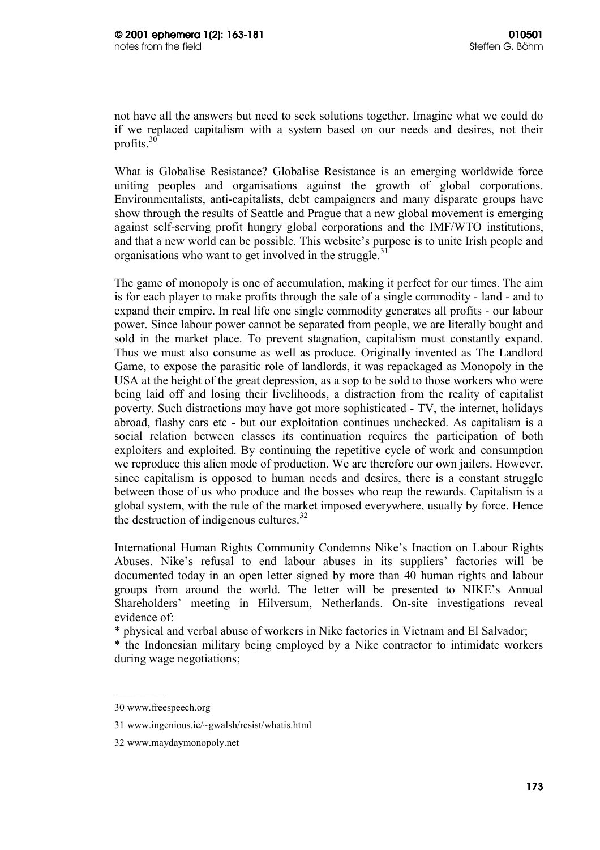not have all the answers but need to seek solutions together. Imagine what we could do if we replaced capitalism with a system based on our needs and desires, not their profits.30

What is Globalise Resistance? Globalise Resistance is an emerging worldwide force uniting peoples and organisations against the growth of global corporations. Environmentalists, anti-capitalists, debt campaigners and many disparate groups have show through the results of Seattle and Prague that a new global movement is emerging against self-serving profit hungry global corporations and the IMF/WTO institutions, and that a new world can be possible. This website's purpose is to unite Irish people and organisations who want to get involved in the struggle. $31$ 

The game of monopoly is one of accumulation, making it perfect for our times. The aim is for each player to make profits through the sale of a single commodity - land - and to expand their empire. In real life one single commodity generates all profits - our labour power. Since labour power cannot be separated from people, we are literally bought and sold in the market place. To prevent stagnation, capitalism must constantly expand. Thus we must also consume as well as produce. Originally invented as The Landlord Game, to expose the parasitic role of landlords, it was repackaged as Monopoly in the USA at the height of the great depression, as a sop to be sold to those workers who were being laid off and losing their livelihoods, a distraction from the reality of capitalist poverty. Such distractions may have got more sophisticated - TV, the internet, holidays abroad, flashy cars etc - but our exploitation continues unchecked. As capitalism is a social relation between classes its continuation requires the participation of both exploiters and exploited. By continuing the repetitive cycle of work and consumption we reproduce this alien mode of production. We are therefore our own jailers. However, since capitalism is opposed to human needs and desires, there is a constant struggle between those of us who produce and the bosses who reap the rewards. Capitalism is a global system, with the rule of the market imposed everywhere, usually by force. Hence the destruction of indigenous cultures. $32$ 

International Human Rights Community Condemns Nike's Inaction on Labour Rights Abuses. Nike's refusal to end labour abuses in its suppliers' factories will be documented today in an open letter signed by more than 40 human rights and labour groups from around the world. The letter will be presented to NIKE's Annual Shareholders' meeting in Hilversum, Netherlands. On-site investigations reveal evidence of:

\* physical and verbal abuse of workers in Nike factories in Vietnam and El Salvador;

\* the Indonesian military being employed by a Nike contractor to intimidate workers during wage negotiations;

<sup>30</sup> www.freespeech.org

<sup>31</sup> www.ingenious.ie/~gwalsh/resist/whatis.html

<sup>32</sup> www.maydaymonopoly.net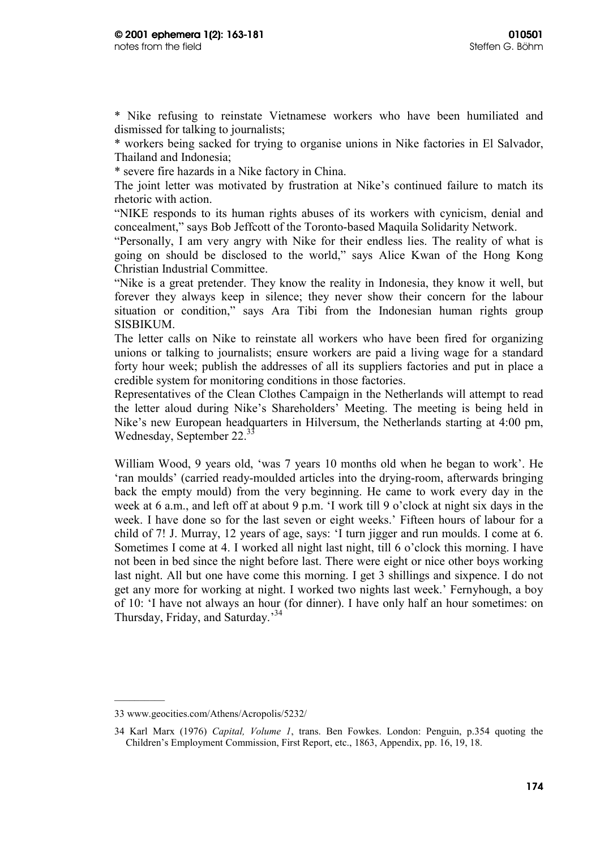\* Nike refusing to reinstate Vietnamese workers who have been humiliated and dismissed for talking to journalists;

\* workers being sacked for trying to organise unions in Nike factories in El Salvador, Thailand and Indonesia;

\* severe fire hazards in a Nike factory in China.

The joint letter was motivated by frustration at Nike's continued failure to match its rhetoric with action.

"NIKE responds to its human rights abuses of its workers with cynicism, denial and concealment," says Bob Jeffcott of the Toronto-based Maquila Solidarity Network.

"Personally, I am very angry with Nike for their endless lies. The reality of what is going on should be disclosed to the world," says Alice Kwan of the Hong Kong Christian Industrial Committee.

"Nike is a great pretender. They know the reality in Indonesia, they know it well, but forever they always keep in silence; they never show their concern for the labour situation or condition," says Ara Tibi from the Indonesian human rights group SISBIKUM.

The letter calls on Nike to reinstate all workers who have been fired for organizing unions or talking to journalists; ensure workers are paid a living wage for a standard forty hour week; publish the addresses of all its suppliers factories and put in place a credible system for monitoring conditions in those factories.

Representatives of the Clean Clothes Campaign in the Netherlands will attempt to read the letter aloud during Nike's Shareholders' Meeting. The meeting is being held in Nike's new European headquarters in Hilversum, the Netherlands starting at 4:00 pm, Wednesday, September 22.<sup>33</sup>

William Wood, 9 years old, 'was 7 years 10 months old when he began to work'. He 'ran moulds' (carried ready-moulded articles into the drying-room, afterwards bringing back the empty mould) from the very beginning. He came to work every day in the week at 6 a.m., and left off at about 9 p.m. 'I work till 9 o'clock at night six days in the week. I have done so for the last seven or eight weeks.' Fifteen hours of labour for a child of 7! J. Murray, 12 years of age, says: 'I turn jigger and run moulds. I come at 6. Sometimes I come at 4. I worked all night last night, till 6 o'clock this morning. I have not been in bed since the night before last. There were eight or nice other boys working last night. All but one have come this morning. I get 3 shillings and sixpence. I do not get any more for working at night. I worked two nights last week.' Fernyhough, a boy of 10: 'I have not always an hour (for dinner). I have only half an hour sometimes: on Thursday, Friday, and Saturday.'<sup>34</sup>

<sup>33</sup> www.geocities.com/Athens/Acropolis/5232/

<sup>34</sup> Karl Marx (1976) *Capital, Volume 1*, trans. Ben Fowkes. London: Penguin, p.354 quoting the Children's Employment Commission, First Report, etc., 1863, Appendix, pp. 16, 19, 18.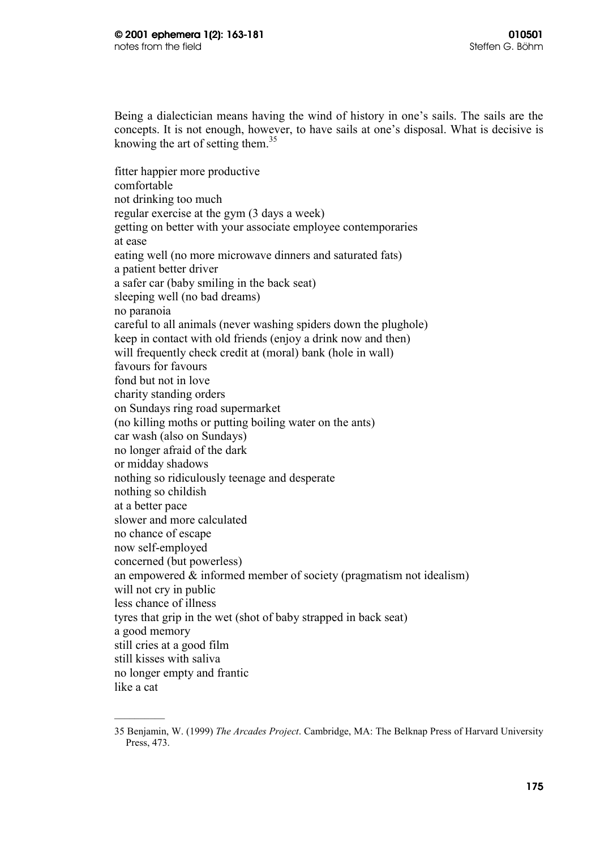$\frac{1}{2}$ 

Being a dialectician means having the wind of history in one's sails. The sails are the concepts. It is not enough, however, to have sails at one's disposal. What is decisive is knowing the art of setting them.<sup>35</sup>

fitter happier more productive comfortable not drinking too much regular exercise at the gym (3 days a week) getting on better with your associate employee contemporaries at ease eating well (no more microwave dinners and saturated fats) a patient better driver a safer car (baby smiling in the back seat) sleeping well (no bad dreams) no paranoia careful to all animals (never washing spiders down the plughole) keep in contact with old friends (enjoy a drink now and then) will frequently check credit at (moral) bank (hole in wall) favours for favours fond but not in love charity standing orders on Sundays ring road supermarket (no killing moths or putting boiling water on the ants) car wash (also on Sundays) no longer afraid of the dark or midday shadows nothing so ridiculously teenage and desperate nothing so childish at a better pace slower and more calculated no chance of escape now self-employed concerned (but powerless) an empowered & informed member of society (pragmatism not idealism) will not cry in public less chance of illness tyres that grip in the wet (shot of baby strapped in back seat) a good memory still cries at a good film still kisses with saliva no longer empty and frantic like a cat

<sup>35</sup> Benjamin, W. (1999) *The Arcades Project*. Cambridge, MA: The Belknap Press of Harvard University Press, 473.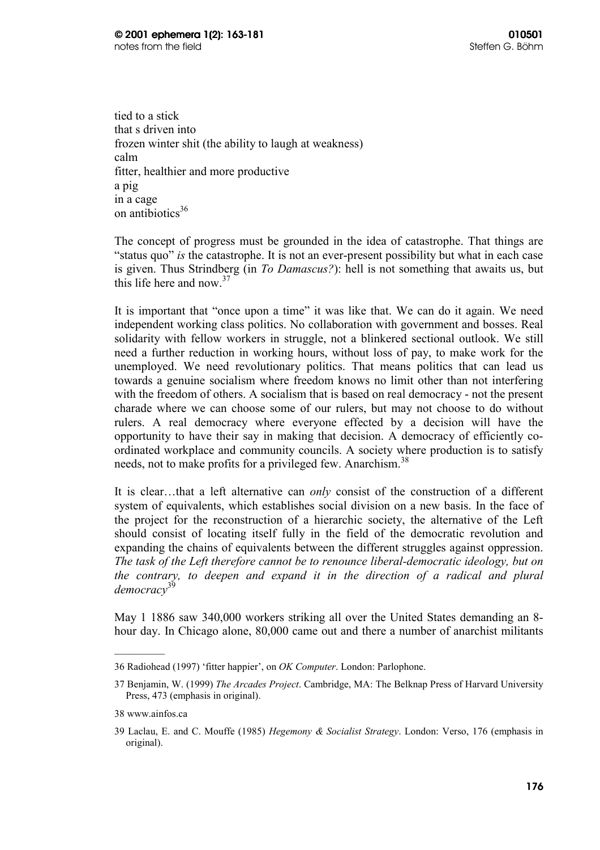notes from the field Steffen G. Böhm

tied to a stick that s driven into frozen winter shit (the ability to laugh at weakness) calm fitter, healthier and more productive a pig in a cage on antibiotics<sup>36</sup>

The concept of progress must be grounded in the idea of catastrophe. That things are "status quo" *is* the catastrophe. It is not an ever-present possibility but what in each case is given. Thus Strindberg (in *To Damascus?*): hell is not something that awaits us, but this life here and now.<sup>37</sup>

It is important that "once upon a time" it was like that. We can do it again. We need independent working class politics. No collaboration with government and bosses. Real solidarity with fellow workers in struggle, not a blinkered sectional outlook. We still need a further reduction in working hours, without loss of pay, to make work for the unemployed. We need revolutionary politics. That means politics that can lead us towards a genuine socialism where freedom knows no limit other than not interfering with the freedom of others. A socialism that is based on real democracy - not the present charade where we can choose some of our rulers, but may not choose to do without rulers. A real democracy where everyone effected by a decision will have the opportunity to have their say in making that decision. A democracy of efficiently coordinated workplace and community councils. A society where production is to satisfy needs, not to make profits for a privileged few. Anarchism.<sup>38</sup>

It is clear…that a left alternative can *only* consist of the construction of a different system of equivalents, which establishes social division on a new basis. In the face of the project for the reconstruction of a hierarchic society, the alternative of the Left should consist of locating itself fully in the field of the democratic revolution and expanding the chains of equivalents between the different struggles against oppression. *The task of the Left therefore cannot be to renounce liberal-democratic ideology, but on the contrary, to deepen and expand it in the direction of a radical and plural democracy*<sup>39</sup>

May 1 1886 saw 340,000 workers striking all over the United States demanding an 8 hour day. In Chicago alone, 80,000 came out and there a number of anarchist militants

<sup>36</sup> Radiohead (1997) 'fitter happier', on *OK Computer*. London: Parlophone.

<sup>37</sup> Benjamin, W. (1999) *The Arcades Project*. Cambridge, MA: The Belknap Press of Harvard University Press, 473 (emphasis in original).

<sup>38</sup> www.ainfos.ca

<sup>39</sup> Laclau, E. and C. Mouffe (1985) *Hegemony & Socialist Strategy*. London: Verso, 176 (emphasis in original).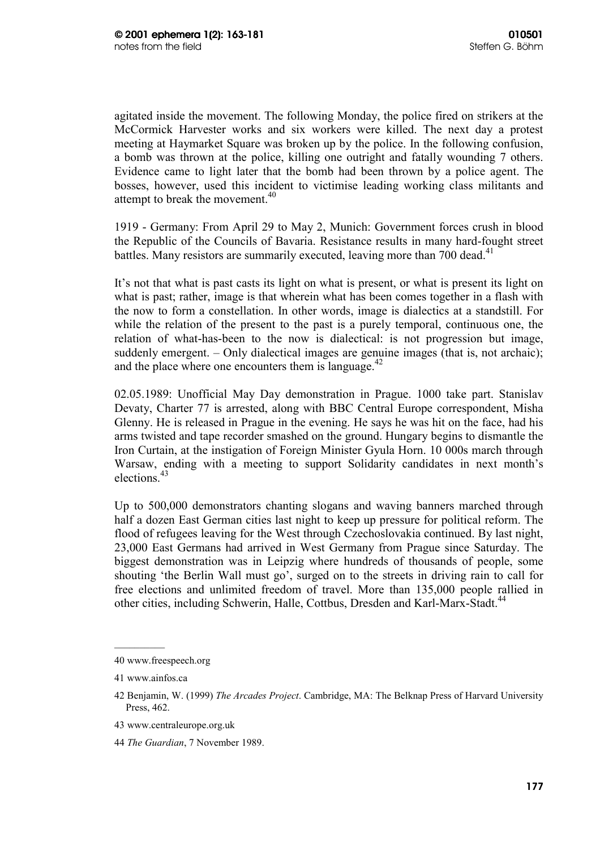agitated inside the movement. The following Monday, the police fired on strikers at the McCormick Harvester works and six workers were killed. The next day a protest meeting at Haymarket Square was broken up by the police. In the following confusion, a bomb was thrown at the police, killing one outright and fatally wounding 7 others. Evidence came to light later that the bomb had been thrown by a police agent. The bosses, however, used this incident to victimise leading working class militants and attempt to break the movement.<sup>40</sup>

1919 - Germany: From April 29 to May 2, Munich: Government forces crush in blood the Republic of the Councils of Bavaria. Resistance results in many hard-fought street battles. Many resistors are summarily executed, leaving more than 700 dead.<sup>41</sup>

It's not that what is past casts its light on what is present, or what is present its light on what is past; rather, image is that wherein what has been comes together in a flash with the now to form a constellation. In other words, image is dialectics at a standstill. For while the relation of the present to the past is a purely temporal, continuous one, the relation of what-has-been to the now is dialectical: is not progression but image, suddenly emergent. – Only dialectical images are genuine images (that is, not archaic); and the place where one encounters them is language. $^{42}$ 

02.05.1989: Unofficial May Day demonstration in Prague. 1000 take part. Stanislav Devaty, Charter 77 is arrested, along with BBC Central Europe correspondent, Misha Glenny. He is released in Prague in the evening. He says he was hit on the face, had his arms twisted and tape recorder smashed on the ground. Hungary begins to dismantle the Iron Curtain, at the instigation of Foreign Minister Gyula Horn. 10 000s march through Warsaw, ending with a meeting to support Solidarity candidates in next month's elections.<sup>43</sup>

Up to 500,000 demonstrators chanting slogans and waving banners marched through half a dozen East German cities last night to keep up pressure for political reform. The flood of refugees leaving for the West through Czechoslovakia continued. By last night, 23,000 East Germans had arrived in West Germany from Prague since Saturday. The biggest demonstration was in Leipzig where hundreds of thousands of people, some shouting 'the Berlin Wall must go', surged on to the streets in driving rain to call for free elections and unlimited freedom of travel. More than 135,000 people rallied in other cities, including Schwerin, Halle, Cottbus, Dresden and Karl-Marx-Stadt.<sup>44</sup>

<sup>40</sup> www.freespeech.org

<sup>41</sup> www.ainfos.ca

<sup>42</sup> Benjamin, W. (1999) *The Arcades Project*. Cambridge, MA: The Belknap Press of Harvard University Press, 462.

<sup>43</sup> www.centraleurope.org.uk

<sup>44</sup> *The Guardian*, 7 November 1989.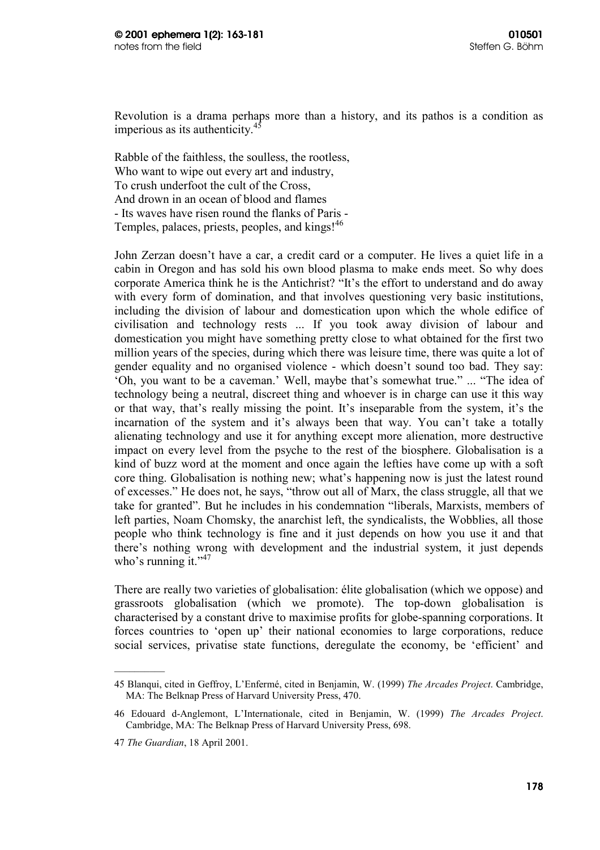Revolution is a drama perhaps more than a history, and its pathos is a condition as imperious as its authenticity.<sup>45</sup>

Rabble of the faithless, the soulless, the rootless, Who want to wipe out every art and industry, To crush underfoot the cult of the Cross, And drown in an ocean of blood and flames - Its waves have risen round the flanks of Paris - Temples, palaces, priests, peoples, and kings!<sup>46</sup>

John Zerzan doesn't have a car, a credit card or a computer. He lives a quiet life in a cabin in Oregon and has sold his own blood plasma to make ends meet. So why does corporate America think he is the Antichrist? "It's the effort to understand and do away with every form of domination, and that involves questioning very basic institutions, including the division of labour and domestication upon which the whole edifice of civilisation and technology rests ... If you took away division of labour and domestication you might have something pretty close to what obtained for the first two million years of the species, during which there was leisure time, there was quite a lot of gender equality and no organised violence - which doesn't sound too bad. They say: 'Oh, you want to be a caveman.' Well, maybe that's somewhat true." ... "The idea of technology being a neutral, discreet thing and whoever is in charge can use it this way or that way, that's really missing the point. It's inseparable from the system, it's the incarnation of the system and it's always been that way. You can't take a totally alienating technology and use it for anything except more alienation, more destructive impact on every level from the psyche to the rest of the biosphere. Globalisation is a kind of buzz word at the moment and once again the lefties have come up with a soft core thing. Globalisation is nothing new; what's happening now is just the latest round of excesses." He does not, he says, "throw out all of Marx, the class struggle, all that we take for granted". But he includes in his condemnation "liberals, Marxists, members of left parties, Noam Chomsky, the anarchist left, the syndicalists, the Wobblies, all those people who think technology is fine and it just depends on how you use it and that there's nothing wrong with development and the industrial system, it just depends who's running it." $47$ 

There are really two varieties of globalisation: élite globalisation (which we oppose) and grassroots globalisation (which we promote). The top-down globalisation is characterised by a constant drive to maximise profits for globe-spanning corporations. It forces countries to 'open up' their national economies to large corporations, reduce social services, privatise state functions, deregulate the economy, be 'efficient' and

 $\frac{1}{2}$ 

<sup>45</sup> Blanqui, cited in Geffroy, L'Enfermé, cited in Benjamin, W. (1999) *The Arcades Project*. Cambridge, MA: The Belknap Press of Harvard University Press, 470.

<sup>46</sup> Edouard d-Anglemont, L'Internationale, cited in Benjamin, W. (1999) *The Arcades Project*. Cambridge, MA: The Belknap Press of Harvard University Press, 698.

<sup>47</sup> *The Guardian*, 18 April 2001.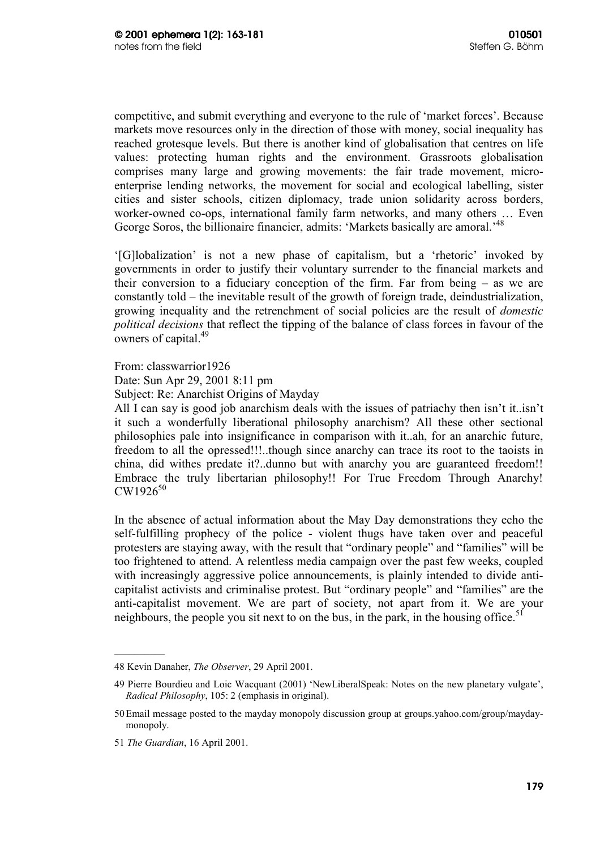competitive, and submit everything and everyone to the rule of 'market forces'. Because markets move resources only in the direction of those with money, social inequality has reached grotesque levels. But there is another kind of globalisation that centres on life values: protecting human rights and the environment. Grassroots globalisation comprises many large and growing movements: the fair trade movement, microenterprise lending networks, the movement for social and ecological labelling, sister cities and sister schools, citizen diplomacy, trade union solidarity across borders, worker-owned co-ops, international family farm networks, and many others … Even George Soros, the billionaire financier, admits: 'Markets basically are amoral.'48

'[G]lobalization' is not a new phase of capitalism, but a 'rhetoric' invoked by governments in order to justify their voluntary surrender to the financial markets and their conversion to a fiduciary conception of the firm. Far from being – as we are constantly told – the inevitable result of the growth of foreign trade, deindustrialization, growing inequality and the retrenchment of social policies are the result of *domestic political decisions* that reflect the tipping of the balance of class forces in favour of the owners of capital.<sup>49</sup>

From: classwarrior1926

Date: Sun Apr 29, 2001 8:11 pm

Subject: Re: Anarchist Origins of Mayday

All I can say is good job anarchism deals with the issues of patriachy then isn't it..isn't it such a wonderfully liberational philosophy anarchism? All these other sectional philosophies pale into insignificance in comparison with it..ah, for an anarchic future, freedom to all the opressed!!!..though since anarchy can trace its root to the taoists in china, did withes predate it?..dunno but with anarchy you are guaranteed freedom!! Embrace the truly libertarian philosophy!! For True Freedom Through Anarchy!  $CW1926^{50}$ 

In the absence of actual information about the May Day demonstrations they echo the self-fulfilling prophecy of the police - violent thugs have taken over and peaceful protesters are staying away, with the result that "ordinary people" and "families" will be too frightened to attend. A relentless media campaign over the past few weeks, coupled with increasingly aggressive police announcements, is plainly intended to divide anticapitalist activists and criminalise protest. But "ordinary people" and "families" are the anti-capitalist movement. We are part of society, not apart from it. We are your neighbours, the people you sit next to on the bus, in the park, in the housing office.<sup>51</sup>

<sup>48</sup> Kevin Danaher, *The Observer*, 29 April 2001.

<sup>49</sup> Pierre Bourdieu and Loic Wacquant (2001) 'NewLiberalSpeak: Notes on the new planetary vulgate', *Radical Philosophy*, 105: 2 (emphasis in original).

<sup>50</sup> Email message posted to the mayday monopoly discussion group at groups.yahoo.com/group/maydaymonopoly.

<sup>51</sup> *The Guardian*, 16 April 2001.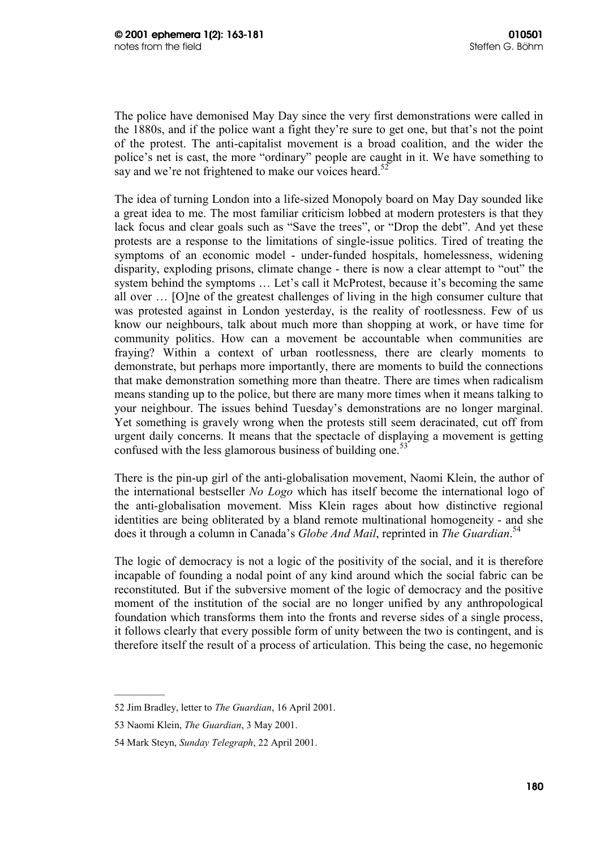The police have demonised May Day since the very first demonstrations were called in the 1880s, and if the police want a fight they're sure to get one, but that's not the point of the protest. The anti-capitalist movement is a broad coalition, and the wider the police's net is cast, the more "ordinary" people are caught in it. We have something to say and we're not frightened to make our voices heard.<sup>52</sup>

The idea of turning London into a life-sized Monopoly board on May Day sounded like a great idea to me. The most familiar criticism lobbed at modern protesters is that they lack focus and clear goals such as "Save the trees", or "Drop the debt". And yet these protests are a response to the limitations of single-issue politics. Tired of treating the symptoms of an economic model - under-funded hospitals, homelessness, widening disparity, exploding prisons, climate change - there is now a clear attempt to "out" the system behind the symptoms … Let's call it McProtest, because it's becoming the same all over … [O]ne of the greatest challenges of living in the high consumer culture that was protested against in London yesterday, is the reality of rootlessness. Few of us know our neighbours, talk about much more than shopping at work, or have time for community politics. How can a movement be accountable when communities are fraying? Within a context of urban rootlessness, there are clearly moments to demonstrate, but perhaps more importantly, there are moments to build the connections that make demonstration something more than theatre. There are times when radicalism means standing up to the police, but there are many more times when it means talking to your neighbour. The issues behind Tuesday's demonstrations are no longer marginal. Yet something is gravely wrong when the protests still seem deracinated, cut off from urgent daily concerns. It means that the spectacle of displaying a movement is getting confused with the less glamorous business of building one.<sup>53</sup>

There is the pin-up girl of the anti-globalisation movement, Naomi Klein, the author of the international bestseller *No Logo* which has itself become the international logo of the anti-globalisation movement. Miss Klein rages about how distinctive regional identities are being obliterated by a bland remote multinational homogeneity - and she does it through a column in Canada's *Globe And Mail*, reprinted in *The Guardian*. 54

The logic of democracy is not a logic of the positivity of the social, and it is therefore incapable of founding a nodal point of any kind around which the social fabric can be reconstituted. But if the subversive moment of the logic of democracy and the positive moment of the institution of the social are no longer unified by any anthropological foundation which transforms them into the fronts and reverse sides of a single process, it follows clearly that every possible form of unity between the two is contingent, and is therefore itself the result of a process of articulation. This being the case, no hegemonic

<sup>52</sup> Jim Bradley, letter to *The Guardian*, 16 April 2001.

<sup>53</sup> Naomi Klein, *The Guardian*, 3 May 2001.

<sup>54</sup> Mark Steyn, *Sunday Telegraph*, 22 April 2001.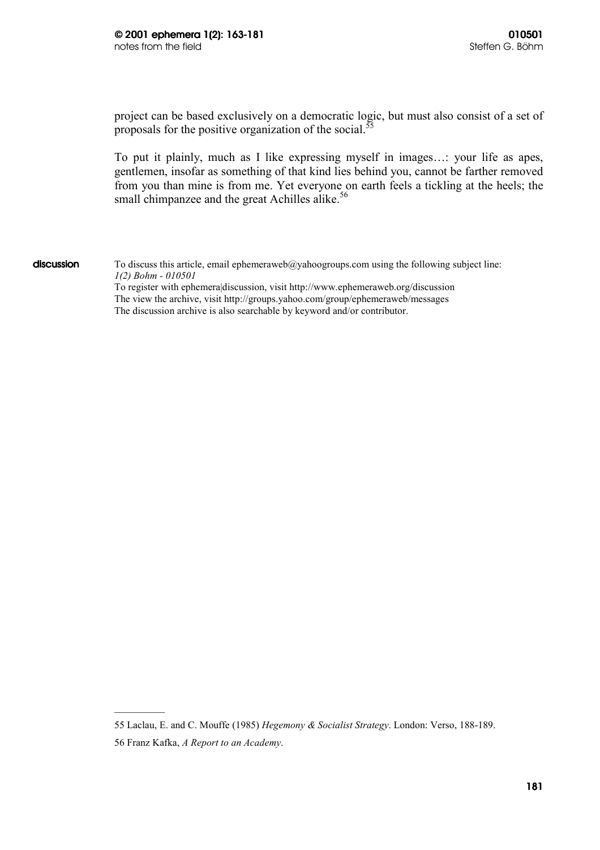project can be based exclusively on a democratic logic, but must also consist of a set of proposals for the positive organization of the social.<sup>5</sup>

To put it plainly, much as I like expressing myself in images…: your life as apes, gentlemen, insofar as something of that kind lies behind you, cannot be farther removed from you than mine is from me. Yet everyone on earth feels a tickling at the heels; the small chimpanzee and the great Achilles alike.<sup>56</sup>

discussion

To discuss this article, email ephemeraweb@yahoogroups.com using the following subject line: *1(2) Bohm - 010501* 

To register with ephemera|discussion, visit http://www.ephemeraweb.org/discussion The view the archive, visit http://groups.yahoo.com/group/ephemeraweb/messages The discussion archive is also searchable by keyword and/or contributor.

 $\frac{1}{2}$ 

<sup>55</sup> Laclau, E. and C. Mouffe (1985) *Hegemony & Socialist Strategy*. London: Verso, 188-189.

<sup>56</sup> Franz Kafka, *A Report to an Academy*.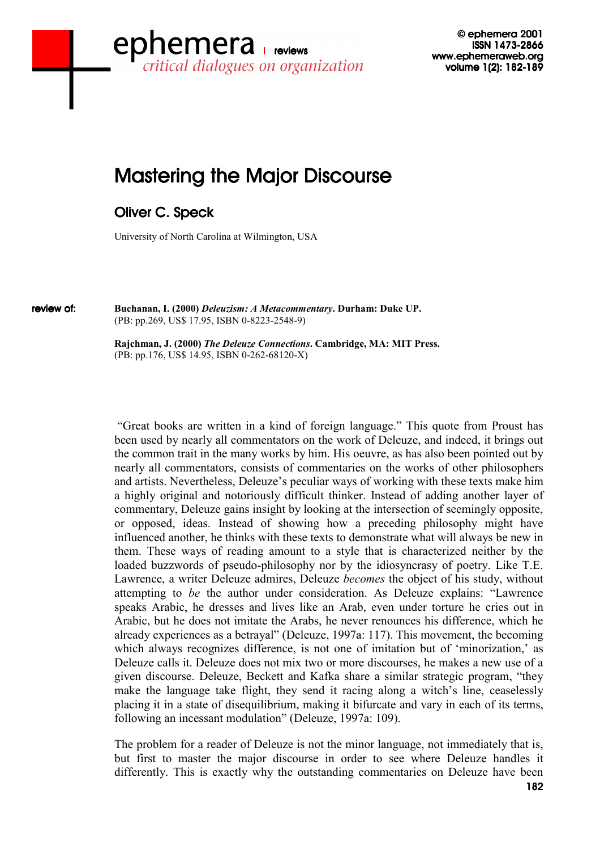### www.ephemeraweb.org<br>critical dialogues on organization volume 1(2): 182-189 ephemera

© ephemera 2001 © 2001 2001 ISSN 1473-2866 volume 1(2): 182-189

# **Mastering the Major Discourse**

### Oliver C. Speck

University of North Carolina at Wilmington, USA

review of:

**Buchanan, I. (2000)** *Deleuzism: A Metacommentary***. Durham: Duke UP.**  (PB: pp.269, US\$ 17.95, ISBN 0-8223-2548-9)

**Rajchman, J. (2000)** *The Deleuze Connections***. Cambridge, MA: MIT Press.**  (PB: pp.176, US\$ 14.95, ISBN 0-262-68120-X)

 "Great books are written in a kind of foreign language." This quote from Proust has been used by nearly all commentators on the work of Deleuze, and indeed, it brings out the common trait in the many works by him. His oeuvre, as has also been pointed out by nearly all commentators, consists of commentaries on the works of other philosophers and artists. Nevertheless, Deleuze's peculiar ways of working with these texts make him a highly original and notoriously difficult thinker. Instead of adding another layer of commentary, Deleuze gains insight by looking at the intersection of seemingly opposite, or opposed, ideas. Instead of showing how a preceding philosophy might have influenced another, he thinks with these texts to demonstrate what will always be new in them. These ways of reading amount to a style that is characterized neither by the loaded buzzwords of pseudo-philosophy nor by the idiosyncrasy of poetry. Like T.E. Lawrence, a writer Deleuze admires, Deleuze *becomes* the object of his study, without attempting to *be* the author under consideration. As Deleuze explains: "Lawrence speaks Arabic, he dresses and lives like an Arab, even under torture he cries out in Arabic, but he does not imitate the Arabs, he never renounces his difference, which he already experiences as a betrayal" (Deleuze, 1997a: 117). This movement, the becoming which always recognizes difference, is not one of imitation but of 'minorization,' as Deleuze calls it. Deleuze does not mix two or more discourses, he makes a new use of a given discourse. Deleuze, Beckett and Kafka share a similar strategic program, "they make the language take flight, they send it racing along a witch's line, ceaselessly placing it in a state of disequilibrium, making it bifurcate and vary in each of its terms, following an incessant modulation" (Deleuze, 1997a: 109).

The problem for a reader of Deleuze is not the minor language, not immediately that is, but first to master the major discourse in order to see where Deleuze handles it differently. This is exactly why the outstanding commentaries on Deleuze have been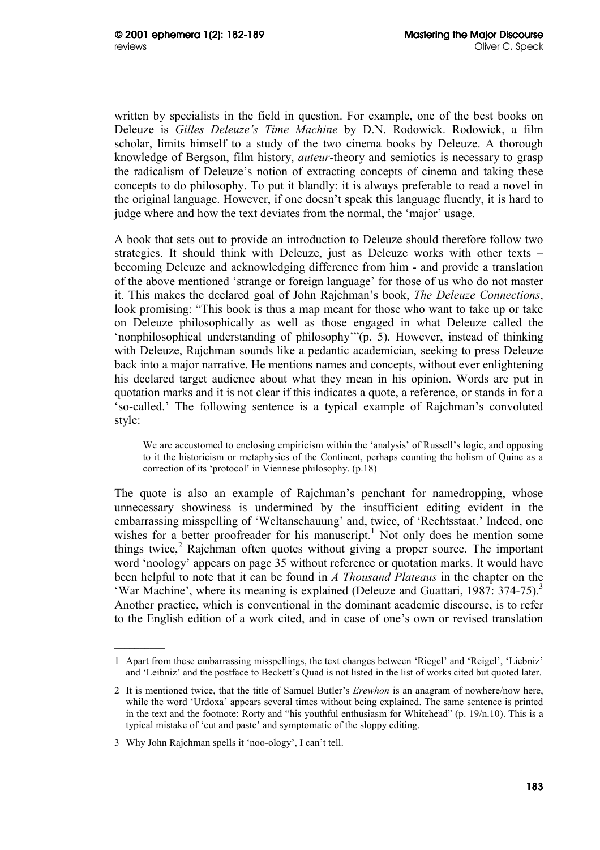written by specialists in the field in question. For example, one of the best books on Deleuze is *Gilles Deleuze's Time Machine* by D.N. Rodowick. Rodowick, a film scholar, limits himself to a study of the two cinema books by Deleuze. A thorough knowledge of Bergson, film history, *auteur*-theory and semiotics is necessary to grasp the radicalism of Deleuze's notion of extracting concepts of cinema and taking these concepts to do philosophy. To put it blandly: it is always preferable to read a novel in the original language. However, if one doesn't speak this language fluently, it is hard to judge where and how the text deviates from the normal, the 'major' usage.

A book that sets out to provide an introduction to Deleuze should therefore follow two strategies. It should think with Deleuze, just as Deleuze works with other texts – becoming Deleuze and acknowledging difference from him - and provide a translation of the above mentioned 'strange or foreign language' for those of us who do not master it. This makes the declared goal of John Rajchman's book, *The Deleuze Connections*, look promising: "This book is thus a map meant for those who want to take up or take on Deleuze philosophically as well as those engaged in what Deleuze called the 'nonphilosophical understanding of philosophy'"(p. 5). However, instead of thinking with Deleuze, Rajchman sounds like a pedantic academician, seeking to press Deleuze back into a major narrative. He mentions names and concepts, without ever enlightening his declared target audience about what they mean in his opinion. Words are put in quotation marks and it is not clear if this indicates a quote, a reference, or stands in for a 'so-called.' The following sentence is a typical example of Rajchman's convoluted style:

We are accustomed to enclosing empiricism within the 'analysis' of Russell's logic, and opposing to it the historicism or metaphysics of the Continent, perhaps counting the holism of Quine as a correction of its 'protocol' in Viennese philosophy. (p.18)

The quote is also an example of Rajchman's penchant for namedropping, whose unnecessary showiness is undermined by the insufficient editing evident in the embarrassing misspelling of 'Weltanschauung' and, twice, of 'Rechtsstaat.' Indeed, one wishes for a better proofreader for his manuscript.<sup>1</sup> Not only does he mention some things twice,<sup>2</sup> Rajchman often quotes without giving a proper source. The important word 'noology' appears on page 35 without reference or quotation marks. It would have been helpful to note that it can be found in *A Thousand Plateaus* in the chapter on the 'War Machine', where its meaning is explained (Deleuze and Guattari, 1987:  $374-75$ ).<sup>3</sup> Another practice, which is conventional in the dominant academic discourse, is to refer to the English edition of a work cited, and in case of one's own or revised translation

 $\frac{1}{2}$ 

<sup>1</sup> Apart from these embarrassing misspellings, the text changes between 'Riegel' and 'Reigel', 'Liebniz' and 'Leibniz' and the postface to Beckett's Quad is not listed in the list of works cited but quoted later.

<sup>2</sup> It is mentioned twice, that the title of Samuel Butler's *Erewhon* is an anagram of nowhere/now here, while the word 'Urdoxa' appears several times without being explained. The same sentence is printed in the text and the footnote: Rorty and "his youthful enthusiasm for Whitehead" (p. 19/n.10). This is a typical mistake of 'cut and paste' and symptomatic of the sloppy editing.

<sup>3</sup> Why John Rajchman spells it 'noo-ology', I can't tell.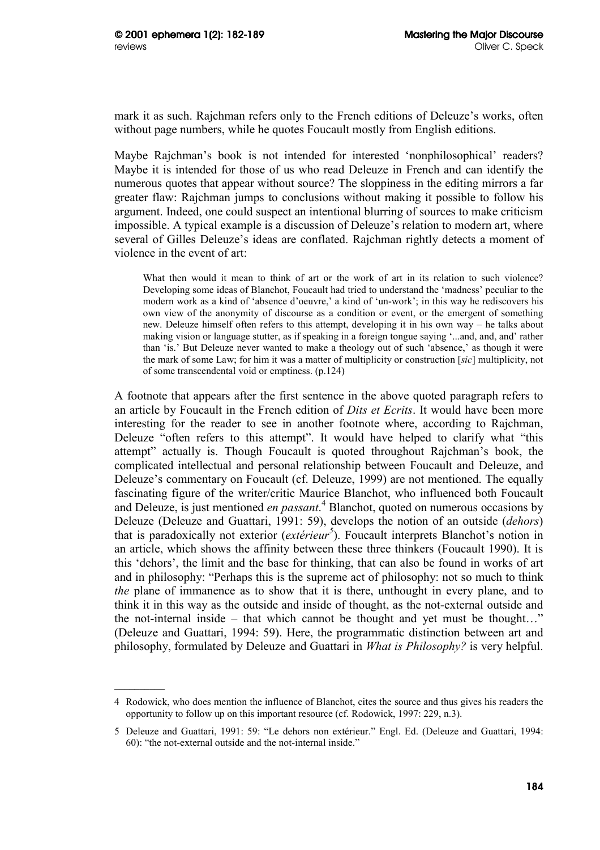$\mathcal{L}_\text{max}$ 

mark it as such. Rajchman refers only to the French editions of Deleuze's works, often without page numbers, while he quotes Foucault mostly from English editions.

Maybe Rajchman's book is not intended for interested 'nonphilosophical' readers? Maybe it is intended for those of us who read Deleuze in French and can identify the numerous quotes that appear without source? The sloppiness in the editing mirrors a far greater flaw: Rajchman jumps to conclusions without making it possible to follow his argument. Indeed, one could suspect an intentional blurring of sources to make criticism impossible. A typical example is a discussion of Deleuze's relation to modern art, where several of Gilles Deleuze's ideas are conflated. Rajchman rightly detects a moment of violence in the event of art:

What then would it mean to think of art or the work of art in its relation to such violence? Developing some ideas of Blanchot, Foucault had tried to understand the 'madness' peculiar to the modern work as a kind of 'absence d'oeuvre,' a kind of 'un-work'; in this way he rediscovers his own view of the anonymity of discourse as a condition or event, or the emergent of something new. Deleuze himself often refers to this attempt, developing it in his own way – he talks about making vision or language stutter, as if speaking in a foreign tongue saying '...and, and, and' rather than 'is.' But Deleuze never wanted to make a theology out of such 'absence,' as though it were the mark of some Law; for him it was a matter of multiplicity or construction [*sic*] multiplicity, not of some transcendental void or emptiness. (p.124)

A footnote that appears after the first sentence in the above quoted paragraph refers to an article by Foucault in the French edition of *Dits et Ecrits*. It would have been more interesting for the reader to see in another footnote where, according to Rajchman, Deleuze "often refers to this attempt". It would have helped to clarify what "this attempt" actually is. Though Foucault is quoted throughout Rajchman's book, the complicated intellectual and personal relationship between Foucault and Deleuze, and Deleuze's commentary on Foucault (cf. Deleuze, 1999) are not mentioned. The equally fascinating figure of the writer/critic Maurice Blanchot, who influenced both Foucault and Deleuze, is just mentioned *en passant*. 4 Blanchot, quoted on numerous occasions by Deleuze (Deleuze and Guattari, 1991: 59), develops the notion of an outside (*dehors*) that is paradoxically not exterior (*extérieur<sup>5</sup>* ). Foucault interprets Blanchot's notion in an article, which shows the affinity between these three thinkers (Foucault 1990). It is this 'dehors', the limit and the base for thinking, that can also be found in works of art and in philosophy: "Perhaps this is the supreme act of philosophy: not so much to think *the* plane of immanence as to show that it is there, unthought in every plane, and to think it in this way as the outside and inside of thought, as the not-external outside and the not-internal inside – that which cannot be thought and yet must be thought…" (Deleuze and Guattari, 1994: 59). Here, the programmatic distinction between art and philosophy, formulated by Deleuze and Guattari in *What is Philosophy?* is very helpful.

<sup>4</sup> Rodowick, who does mention the influence of Blanchot, cites the source and thus gives his readers the opportunity to follow up on this important resource (cf. Rodowick, 1997: 229, n.3).

<sup>5</sup> Deleuze and Guattari, 1991: 59: "Le dehors non extérieur." Engl. Ed. (Deleuze and Guattari, 1994: 60): "the not-external outside and the not-internal inside."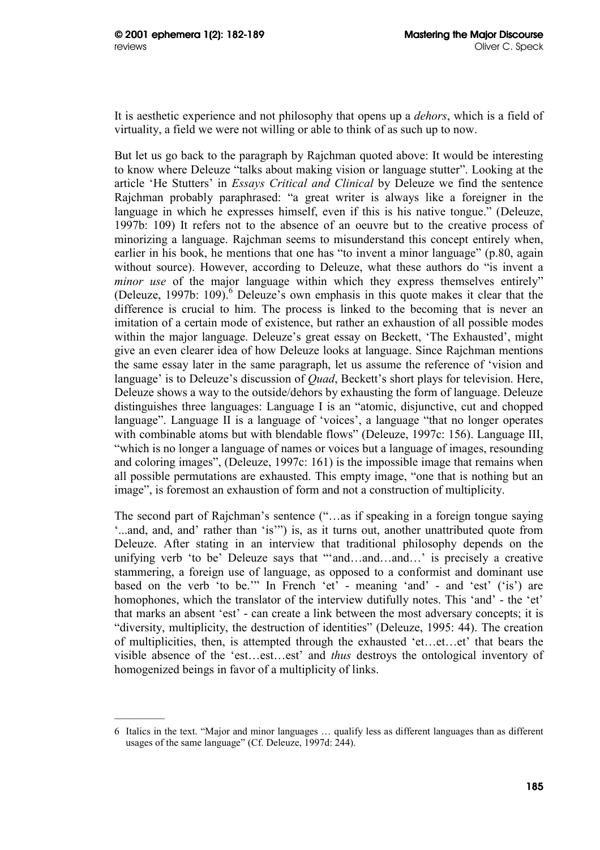$\frac{1}{2}$ 

It is aesthetic experience and not philosophy that opens up a *dehors*, which is a field of virtuality, a field we were not willing or able to think of as such up to now.

But let us go back to the paragraph by Rajchman quoted above: It would be interesting to know where Deleuze "talks about making vision or language stutter". Looking at the article 'He Stutters' in *Essays Critical and Clinical* by Deleuze we find the sentence Rajchman probably paraphrased: "a great writer is always like a foreigner in the language in which he expresses himself, even if this is his native tongue." (Deleuze, 1997b: 109) It refers not to the absence of an oeuvre but to the creative process of minorizing a language. Rajchman seems to misunderstand this concept entirely when, earlier in his book, he mentions that one has "to invent a minor language" (p.80, again without source). However, according to Deleuze, what these authors do "is invent a *minor use* of the major language within which they express themselves entirely" (Deleuze, 1997b: 109).<sup>6</sup> Deleuze's own emphasis in this quote makes it clear that the difference is crucial to him. The process is linked to the becoming that is never an imitation of a certain mode of existence, but rather an exhaustion of all possible modes within the major language. Deleuze's great essay on Beckett, 'The Exhausted', might give an even clearer idea of how Deleuze looks at language. Since Rajchman mentions the same essay later in the same paragraph, let us assume the reference of 'vision and language' is to Deleuze's discussion of *Quad*, Beckett's short plays for television. Here, Deleuze shows a way to the outside/dehors by exhausting the form of language. Deleuze distinguishes three languages: Language I is an "atomic, disjunctive, cut and chopped language". Language II is a language of 'voices', a language "that no longer operates with combinable atoms but with blendable flows" (Deleuze, 1997c: 156). Language III, "which is no longer a language of names or voices but a language of images, resounding and coloring images", (Deleuze, 1997c: 161) is the impossible image that remains when all possible permutations are exhausted. This empty image, "one that is nothing but an image", is foremost an exhaustion of form and not a construction of multiplicity.

The second part of Rajchman's sentence ("…as if speaking in a foreign tongue saying '...and, and, and' rather than 'is'") is, as it turns out, another unattributed quote from Deleuze. After stating in an interview that traditional philosophy depends on the unifying verb 'to be' Deleuze says that "'and…and…and…' is precisely a creative stammering, a foreign use of language, as opposed to a conformist and dominant use based on the verb 'to be.'" In French 'et' - meaning 'and' - and 'est' ('is') are homophones, which the translator of the interview dutifully notes. This 'and' - the 'et' that marks an absent 'est' - can create a link between the most adversary concepts; it is "diversity, multiplicity, the destruction of identities" (Deleuze, 1995: 44). The creation of multiplicities, then, is attempted through the exhausted 'et…et…et' that bears the visible absence of the 'est…est…est' and *thus* destroys the ontological inventory of homogenized beings in favor of a multiplicity of links.

<sup>6</sup> Italics in the text. "Major and minor languages … qualify less as different languages than as different usages of the same language" (Cf. Deleuze, 1997d: 244).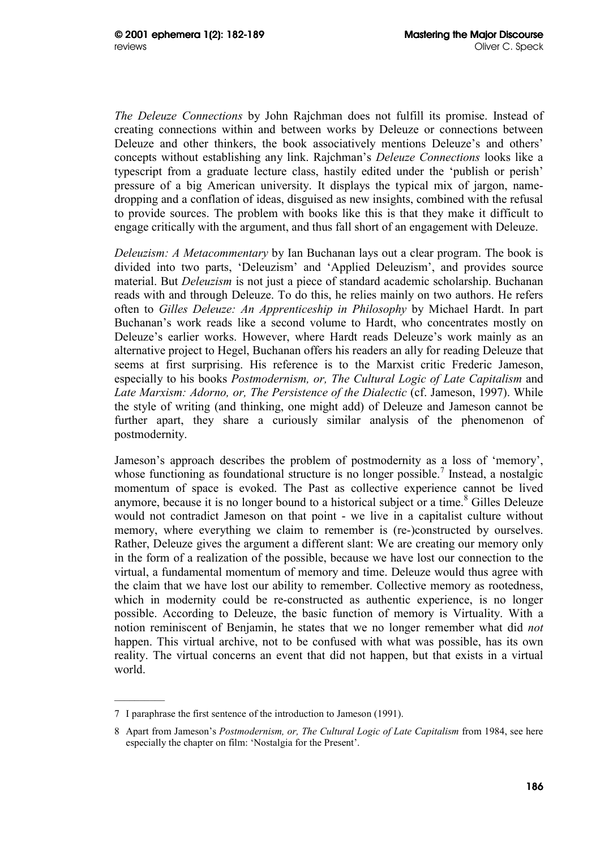*The Deleuze Connections* by John Rajchman does not fulfill its promise. Instead of creating connections within and between works by Deleuze or connections between Deleuze and other thinkers, the book associatively mentions Deleuze's and others' concepts without establishing any link. Rajchman's *Deleuze Connections* looks like a typescript from a graduate lecture class, hastily edited under the 'publish or perish' pressure of a big American university. It displays the typical mix of jargon, namedropping and a conflation of ideas, disguised as new insights, combined with the refusal to provide sources. The problem with books like this is that they make it difficult to engage critically with the argument, and thus fall short of an engagement with Deleuze.

*Deleuzism: A Metacommentary* by Ian Buchanan lays out a clear program. The book is divided into two parts, 'Deleuzism' and 'Applied Deleuzism', and provides source material. But *Deleuzism* is not just a piece of standard academic scholarship. Buchanan reads with and through Deleuze. To do this, he relies mainly on two authors. He refers often to *Gilles Deleuze: An Apprenticeship in Philosophy* by Michael Hardt. In part Buchanan's work reads like a second volume to Hardt, who concentrates mostly on Deleuze's earlier works. However, where Hardt reads Deleuze's work mainly as an alternative project to Hegel, Buchanan offers his readers an ally for reading Deleuze that seems at first surprising. His reference is to the Marxist critic Frederic Jameson, especially to his books *Postmodernism, or, The Cultural Logic of Late Capitalism* and *Late Marxism: Adorno, or, The Persistence of the Dialectic* (cf. Jameson, 1997). While the style of writing (and thinking, one might add) of Deleuze and Jameson cannot be further apart, they share a curiously similar analysis of the phenomenon of postmodernity.

Jameson's approach describes the problem of postmodernity as a loss of 'memory', whose functioning as foundational structure is no longer possible.<sup>7</sup> Instead, a nostalgic momentum of space is evoked. The Past as collective experience cannot be lived anymore, because it is no longer bound to a historical subject or a time. $8$  Gilles Deleuze would not contradict Jameson on that point - we live in a capitalist culture without memory, where everything we claim to remember is (re-)constructed by ourselves. Rather, Deleuze gives the argument a different slant: We are creating our memory only in the form of a realization of the possible, because we have lost our connection to the virtual, a fundamental momentum of memory and time. Deleuze would thus agree with the claim that we have lost our ability to remember. Collective memory as rootedness, which in modernity could be re-constructed as authentic experience, is no longer possible. According to Deleuze, the basic function of memory is Virtuality. With a notion reminiscent of Benjamin, he states that we no longer remember what did *not* happen. This virtual archive, not to be confused with what was possible, has its own reality. The virtual concerns an event that did not happen, but that exists in a virtual world.

<sup>7</sup> I paraphrase the first sentence of the introduction to Jameson (1991).

<sup>8</sup> Apart from Jameson's *Postmodernism, or, The Cultural Logic of Late Capitalism* from 1984, see here especially the chapter on film: 'Nostalgia for the Present'.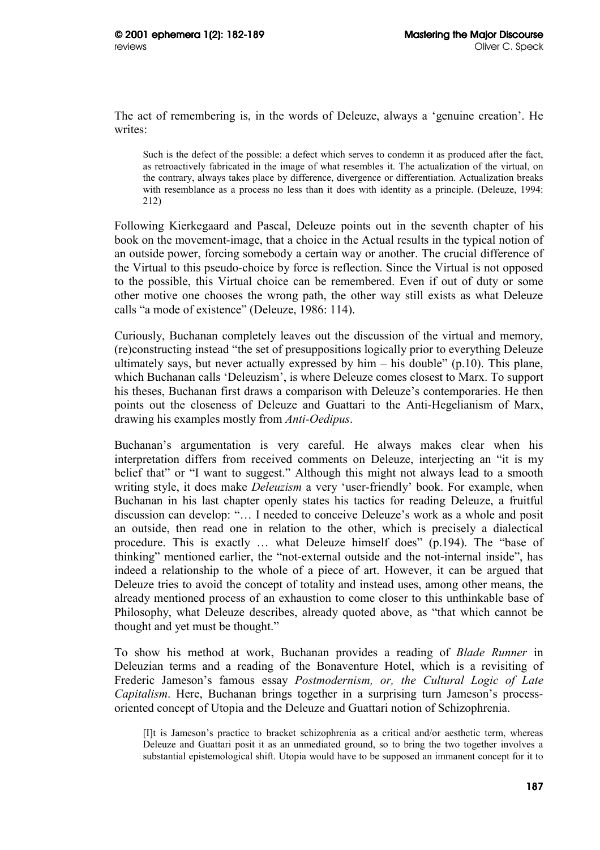The act of remembering is, in the words of Deleuze, always a 'genuine creation'. He writes:

Such is the defect of the possible: a defect which serves to condemn it as produced after the fact, as retroactively fabricated in the image of what resembles it. The actualization of the virtual, on the contrary, always takes place by difference, divergence or differentiation. Actualization breaks with resemblance as a process no less than it does with identity as a principle. (Deleuze, 1994: 212)

Following Kierkegaard and Pascal, Deleuze points out in the seventh chapter of his book on the movement-image, that a choice in the Actual results in the typical notion of an outside power, forcing somebody a certain way or another. The crucial difference of the Virtual to this pseudo-choice by force is reflection. Since the Virtual is not opposed to the possible, this Virtual choice can be remembered. Even if out of duty or some other motive one chooses the wrong path, the other way still exists as what Deleuze calls "a mode of existence" (Deleuze, 1986: 114).

Curiously, Buchanan completely leaves out the discussion of the virtual and memory, (re)constructing instead "the set of presuppositions logically prior to everything Deleuze ultimately says, but never actually expressed by  $\lim - \lim$  double" (p.10). This plane, which Buchanan calls 'Deleuzism', is where Deleuze comes closest to Marx. To support his theses, Buchanan first draws a comparison with Deleuze's contemporaries. He then points out the closeness of Deleuze and Guattari to the Anti-Hegelianism of Marx, drawing his examples mostly from *Anti-Oedipus*.

Buchanan's argumentation is very careful. He always makes clear when his interpretation differs from received comments on Deleuze, interjecting an "it is my belief that" or "I want to suggest." Although this might not always lead to a smooth writing style, it does make *Deleuzism* a very 'user-friendly' book. For example, when Buchanan in his last chapter openly states his tactics for reading Deleuze, a fruitful discussion can develop: "… I needed to conceive Deleuze's work as a whole and posit an outside, then read one in relation to the other, which is precisely a dialectical procedure. This is exactly … what Deleuze himself does" (p.194). The "base of thinking" mentioned earlier, the "not-external outside and the not-internal inside", has indeed a relationship to the whole of a piece of art. However, it can be argued that Deleuze tries to avoid the concept of totality and instead uses, among other means, the already mentioned process of an exhaustion to come closer to this unthinkable base of Philosophy, what Deleuze describes, already quoted above, as "that which cannot be thought and yet must be thought."

To show his method at work, Buchanan provides a reading of *Blade Runner* in Deleuzian terms and a reading of the Bonaventure Hotel, which is a revisiting of Frederic Jameson's famous essay *Postmodernism, or, the Cultural Logic of Late Capitalism*. Here, Buchanan brings together in a surprising turn Jameson's processoriented concept of Utopia and the Deleuze and Guattari notion of Schizophrenia.

<sup>[</sup>I]t is Jameson's practice to bracket schizophrenia as a critical and/or aesthetic term, whereas Deleuze and Guattari posit it as an unmediated ground, so to bring the two together involves a substantial epistemological shift. Utopia would have to be supposed an immanent concept for it to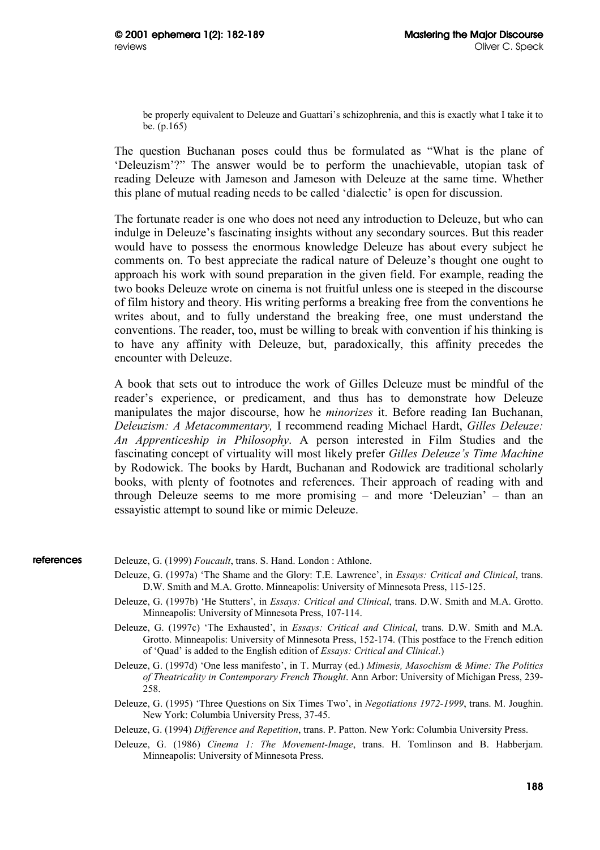be properly equivalent to Deleuze and Guattari's schizophrenia, and this is exactly what I take it to be. (p.165)

The question Buchanan poses could thus be formulated as "What is the plane of 'Deleuzism'?" The answer would be to perform the unachievable, utopian task of reading Deleuze with Jameson and Jameson with Deleuze at the same time. Whether this plane of mutual reading needs to be called 'dialectic' is open for discussion.

The fortunate reader is one who does not need any introduction to Deleuze, but who can indulge in Deleuze's fascinating insights without any secondary sources. But this reader would have to possess the enormous knowledge Deleuze has about every subject he comments on. To best appreciate the radical nature of Deleuze's thought one ought to approach his work with sound preparation in the given field. For example, reading the two books Deleuze wrote on cinema is not fruitful unless one is steeped in the discourse of film history and theory. His writing performs a breaking free from the conventions he writes about, and to fully understand the breaking free, one must understand the conventions. The reader, too, must be willing to break with convention if his thinking is to have any affinity with Deleuze, but, paradoxically, this affinity precedes the encounter with Deleuze.

A book that sets out to introduce the work of Gilles Deleuze must be mindful of the reader's experience, or predicament, and thus has to demonstrate how Deleuze manipulates the major discourse, how he *minorizes* it. Before reading Ian Buchanan, *Deleuzism: A Metacommentary,* I recommend reading Michael Hardt, *Gilles Deleuze: An Apprenticeship in Philosophy*. A person interested in Film Studies and the fascinating concept of virtuality will most likely prefer *Gilles Deleuze's Time Machine* by Rodowick. The books by Hardt, Buchanan and Rodowick are traditional scholarly books, with plenty of footnotes and references. Their approach of reading with and through Deleuze seems to me more promising – and more 'Deleuzian' – than an essayistic attempt to sound like or mimic Deleuze.

#### references references

- Deleuze, G. (1999) *Foucault*, trans. S. Hand. London : Athlone.
- Deleuze, G. (1997a) 'The Shame and the Glory: T.E. Lawrence', in *Essays: Critical and Clinical*, trans. D.W. Smith and M.A. Grotto. Minneapolis: University of Minnesota Press, 115-125.
- Deleuze, G. (1997b) 'He Stutters', in *Essays: Critical and Clinical*, trans. D.W. Smith and M.A. Grotto. Minneapolis: University of Minnesota Press, 107-114.
- Deleuze, G. (1997c) 'The Exhausted', in *Essays: Critical and Clinical*, trans. D.W. Smith and M.A. Grotto. Minneapolis: University of Minnesota Press, 152-174. (This postface to the French edition of 'Quad' is added to the English edition of *Essays: Critical and Clinical*.)
- Deleuze, G. (1997d) 'One less manifesto', in T. Murray (ed.) *Mimesis, Masochism & Mime: The Politics of Theatricality in Contemporary French Thought*. Ann Arbor: University of Michigan Press, 239- 258.
- Deleuze, G. (1995) 'Three Questions on Six Times Two', in *Negotiations 1972-1999*, trans. M. Joughin. New York: Columbia University Press, 37-45.
- Deleuze, G. (1994) *Difference and Repetition*, trans. P. Patton. New York: Columbia University Press.
- Deleuze, G. (1986) *Cinema 1: The Movement-Image*, trans. H. Tomlinson and B. Habberjam. Minneapolis: University of Minnesota Press.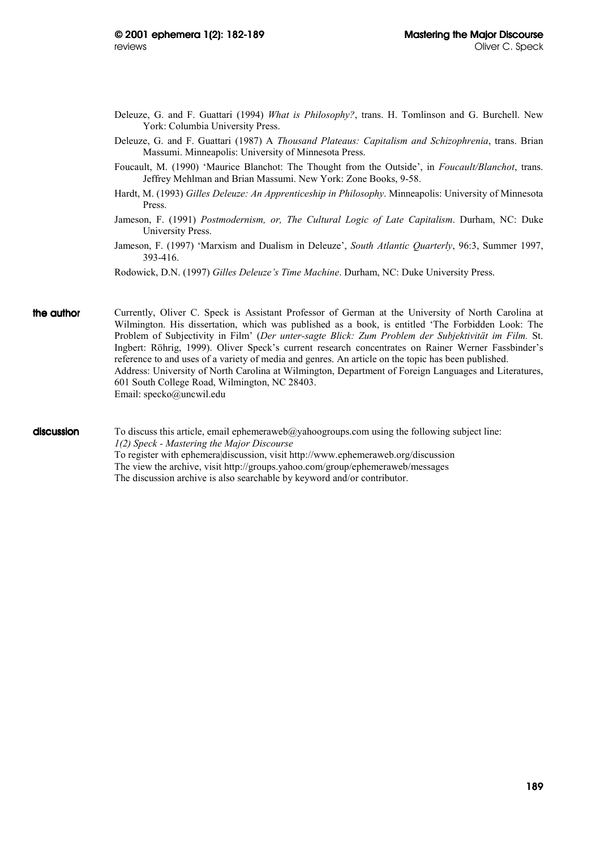- Deleuze, G. and F. Guattari (1994) *What is Philosophy?*, trans. H. Tomlinson and G. Burchell. New York: Columbia University Press.
- Deleuze, G. and F. Guattari (1987) A *Thousand Plateaus: Capitalism and Schizophrenia*, trans. Brian Massumi. Minneapolis: University of Minnesota Press.
- Foucault, M. (1990) 'Maurice Blanchot: The Thought from the Outside', in *Foucault/Blanchot*, trans. Jeffrey Mehlman and Brian Massumi. New York: Zone Books, 9-58.
- Hardt, M. (1993) *Gilles Deleuze: An Apprenticeship in Philosophy*. Minneapolis: University of Minnesota Press.
- Jameson, F. (1991) *Postmodernism, or, The Cultural Logic of Late Capitalism*. Durham, NC: Duke University Press.
- Jameson, F. (1997) 'Marxism and Dualism in Deleuze', *South Atlantic Quarterly*, 96:3, Summer 1997, 393-416.

Rodowick, D.N. (1997) *Gilles Deleuze's Time Machine*. Durham, NC: Duke University Press.

Currently, Oliver C. Speck is Assistant Professor of German at the University of North Carolina at Wilmington. His dissertation, which was published as a book, is entitled 'The Forbidden Look: The Problem of Subjectivity in Film' (*Der unter-sagte Blick: Zum Problem der Subjektivität im Film.* St. Ingbert: Röhrig, 1999). Oliver Speck's current research concentrates on Rainer Werner Fassbinder's reference to and uses of a variety of media and genres. An article on the topic has been published. Address: University of North Carolina at Wilmington, Department of Foreign Languages and Literatures, 601 South College Road, Wilmington, NC 28403. Email: specko@uncwil.edu the author

To discuss this article, email ephemeraweb@yahoogroups.com using the following subject line: *1(2) Speck - Mastering the Major Discourse*  To register with ephemera|discussion, visit http://www.ephemeraweb.org/discussion The view the archive, visit http://groups.yahoo.com/group/ephemeraweb/messages The discussion archive is also searchable by keyword and/or contributor. discussion discussion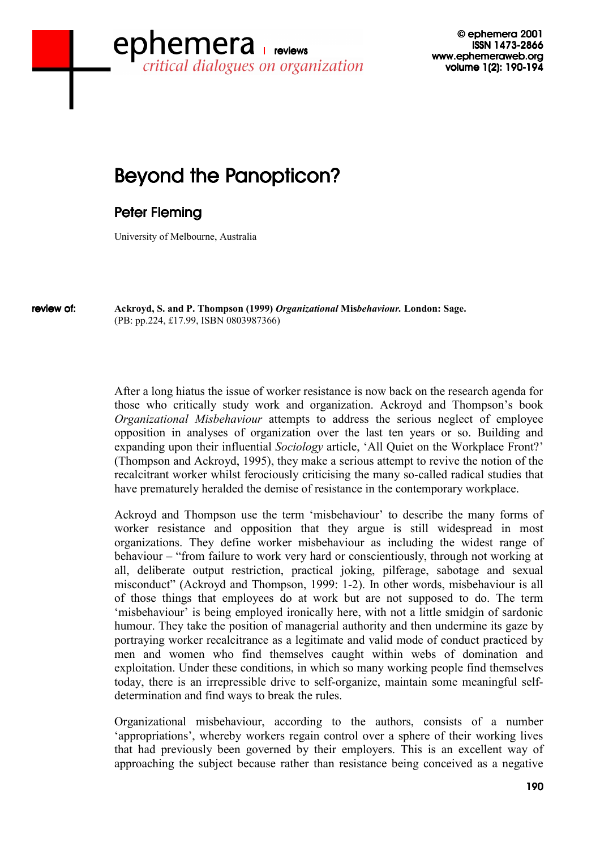## www.ephemeraweb.org<br>critical dialogues on organization volume 1(2): 190-194 ephemera reviews

© ephemera 2001 © 2001 2001 ISSN 1473-2866 volume 1(2): 190-194

# Beyond the Panopticon?

Peter Fleming

University of Melbourne, Australia

**Ackroyd, S. and P. Thompson (1999)** *Organizational* **Mis***behaviour.* **London: Sage.**  (PB: pp.224, £17.99, ISBN 0803987366) review of:

> After a long hiatus the issue of worker resistance is now back on the research agenda for those who critically study work and organization. Ackroyd and Thompson's book *Organizational Misbehaviour* attempts to address the serious neglect of employee opposition in analyses of organization over the last ten years or so. Building and expanding upon their influential *Sociology* article, 'All Quiet on the Workplace Front?' (Thompson and Ackroyd, 1995), they make a serious attempt to revive the notion of the recalcitrant worker whilst ferociously criticising the many so-called radical studies that have prematurely heralded the demise of resistance in the contemporary workplace.

> Ackroyd and Thompson use the term 'misbehaviour' to describe the many forms of worker resistance and opposition that they argue is still widespread in most organizations. They define worker misbehaviour as including the widest range of behaviour – "from failure to work very hard or conscientiously, through not working at all, deliberate output restriction, practical joking, pilferage, sabotage and sexual misconduct" (Ackroyd and Thompson, 1999: 1-2). In other words, misbehaviour is all of those things that employees do at work but are not supposed to do. The term 'misbehaviour' is being employed ironically here, with not a little smidgin of sardonic humour. They take the position of managerial authority and then undermine its gaze by portraying worker recalcitrance as a legitimate and valid mode of conduct practiced by men and women who find themselves caught within webs of domination and exploitation. Under these conditions, in which so many working people find themselves today, there is an irrepressible drive to self-organize, maintain some meaningful selfdetermination and find ways to break the rules.

> Organizational misbehaviour, according to the authors, consists of a number 'appropriations', whereby workers regain control over a sphere of their working lives that had previously been governed by their employers. This is an excellent way of approaching the subject because rather than resistance being conceived as a negative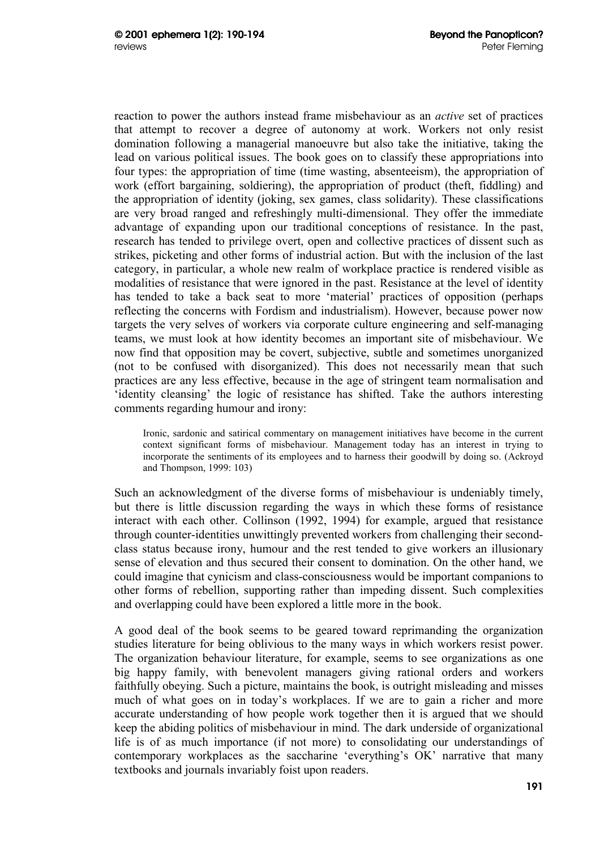reaction to power the authors instead frame misbehaviour as an *active* set of practices that attempt to recover a degree of autonomy at work. Workers not only resist domination following a managerial manoeuvre but also take the initiative, taking the lead on various political issues. The book goes on to classify these appropriations into four types: the appropriation of time (time wasting, absenteeism), the appropriation of work (effort bargaining, soldiering), the appropriation of product (theft, fiddling) and the appropriation of identity (joking, sex games, class solidarity). These classifications are very broad ranged and refreshingly multi-dimensional. They offer the immediate advantage of expanding upon our traditional conceptions of resistance. In the past, research has tended to privilege overt, open and collective practices of dissent such as strikes, picketing and other forms of industrial action. But with the inclusion of the last category, in particular, a whole new realm of workplace practice is rendered visible as modalities of resistance that were ignored in the past. Resistance at the level of identity has tended to take a back seat to more 'material' practices of opposition (perhaps reflecting the concerns with Fordism and industrialism). However, because power now targets the very selves of workers via corporate culture engineering and self-managing teams, we must look at how identity becomes an important site of misbehaviour. We now find that opposition may be covert, subjective, subtle and sometimes unorganized (not to be confused with disorganized). This does not necessarily mean that such practices are any less effective, because in the age of stringent team normalisation and 'identity cleansing' the logic of resistance has shifted. Take the authors interesting comments regarding humour and irony:

Ironic, sardonic and satirical commentary on management initiatives have become in the current context significant forms of misbehaviour. Management today has an interest in trying to incorporate the sentiments of its employees and to harness their goodwill by doing so. (Ackroyd and Thompson, 1999: 103)

Such an acknowledgment of the diverse forms of misbehaviour is undeniably timely, but there is little discussion regarding the ways in which these forms of resistance interact with each other. Collinson (1992, 1994) for example, argued that resistance through counter-identities unwittingly prevented workers from challenging their secondclass status because irony, humour and the rest tended to give workers an illusionary sense of elevation and thus secured their consent to domination. On the other hand, we could imagine that cynicism and class-consciousness would be important companions to other forms of rebellion, supporting rather than impeding dissent. Such complexities and overlapping could have been explored a little more in the book.

A good deal of the book seems to be geared toward reprimanding the organization studies literature for being oblivious to the many ways in which workers resist power. The organization behaviour literature, for example, seems to see organizations as one big happy family, with benevolent managers giving rational orders and workers faithfully obeying. Such a picture, maintains the book, is outright misleading and misses much of what goes on in today's workplaces. If we are to gain a richer and more accurate understanding of how people work together then it is argued that we should keep the abiding politics of misbehaviour in mind. The dark underside of organizational life is of as much importance (if not more) to consolidating our understandings of contemporary workplaces as the saccharine 'everything's OK' narrative that many textbooks and journals invariably foist upon readers.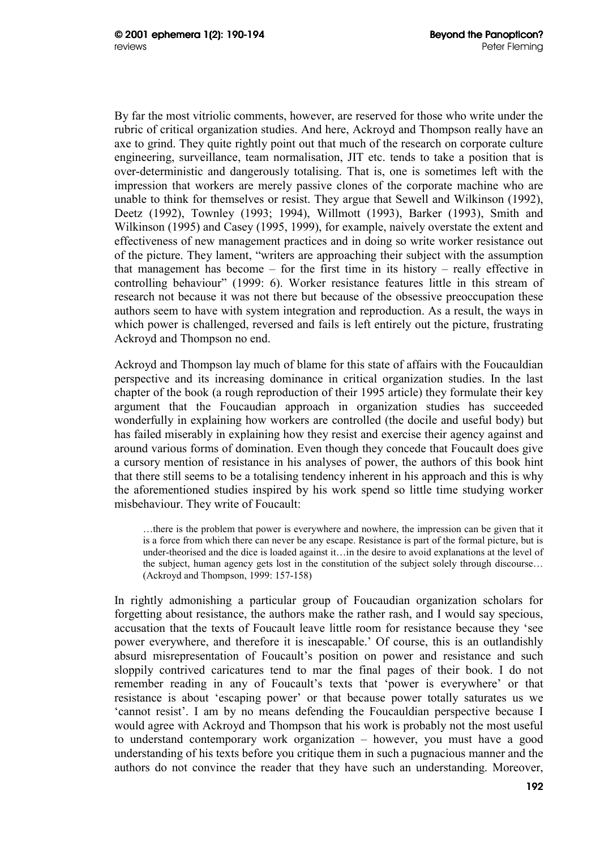By far the most vitriolic comments, however, are reserved for those who write under the rubric of critical organization studies. And here, Ackroyd and Thompson really have an axe to grind. They quite rightly point out that much of the research on corporate culture engineering, surveillance, team normalisation, JIT etc. tends to take a position that is over-deterministic and dangerously totalising. That is, one is sometimes left with the impression that workers are merely passive clones of the corporate machine who are unable to think for themselves or resist. They argue that Sewell and Wilkinson (1992), Deetz (1992), Townley (1993; 1994), Willmott (1993), Barker (1993), Smith and Wilkinson (1995) and Casey (1995, 1999), for example, naively overstate the extent and effectiveness of new management practices and in doing so write worker resistance out of the picture. They lament, "writers are approaching their subject with the assumption that management has become – for the first time in its history – really effective in controlling behaviour" (1999: 6). Worker resistance features little in this stream of research not because it was not there but because of the obsessive preoccupation these authors seem to have with system integration and reproduction. As a result, the ways in which power is challenged, reversed and fails is left entirely out the picture, frustrating Ackroyd and Thompson no end.

Ackroyd and Thompson lay much of blame for this state of affairs with the Foucauldian perspective and its increasing dominance in critical organization studies. In the last chapter of the book (a rough reproduction of their 1995 article) they formulate their key argument that the Foucaudian approach in organization studies has succeeded wonderfully in explaining how workers are controlled (the docile and useful body) but has failed miserably in explaining how they resist and exercise their agency against and around various forms of domination. Even though they concede that Foucault does give a cursory mention of resistance in his analyses of power, the authors of this book hint that there still seems to be a totalising tendency inherent in his approach and this is why the aforementioned studies inspired by his work spend so little time studying worker misbehaviour. They write of Foucault:

…there is the problem that power is everywhere and nowhere, the impression can be given that it is a force from which there can never be any escape. Resistance is part of the formal picture, but is under-theorised and the dice is loaded against it…in the desire to avoid explanations at the level of the subject, human agency gets lost in the constitution of the subject solely through discourse… (Ackroyd and Thompson, 1999: 157-158)

In rightly admonishing a particular group of Foucaudian organization scholars for forgetting about resistance, the authors make the rather rash, and I would say specious, accusation that the texts of Foucault leave little room for resistance because they 'see power everywhere, and therefore it is inescapable.' Of course, this is an outlandishly absurd misrepresentation of Foucault's position on power and resistance and such sloppily contrived caricatures tend to mar the final pages of their book. I do not remember reading in any of Foucault's texts that 'power is everywhere' or that resistance is about 'escaping power' or that because power totally saturates us we 'cannot resist'. I am by no means defending the Foucauldian perspective because I would agree with Ackroyd and Thompson that his work is probably not the most useful to understand contemporary work organization – however, you must have a good understanding of his texts before you critique them in such a pugnacious manner and the authors do not convince the reader that they have such an understanding. Moreover,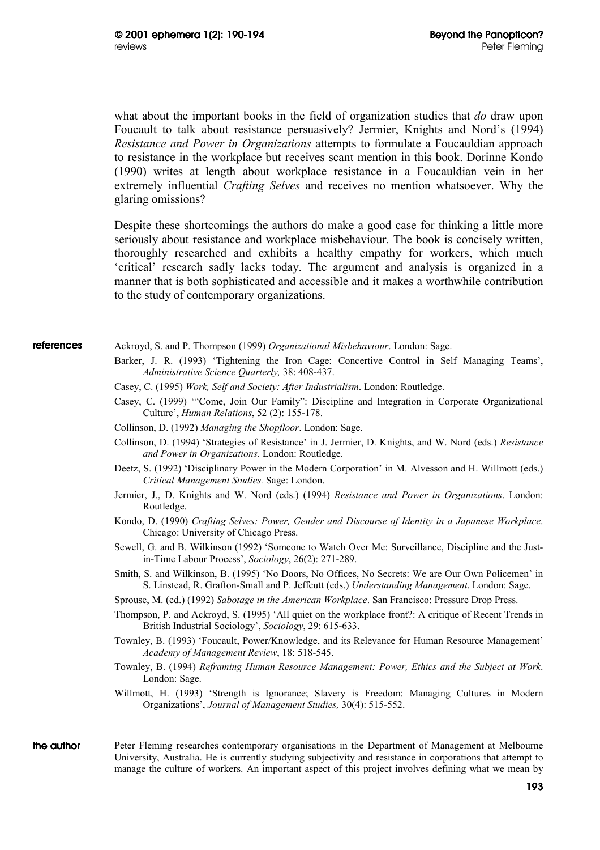what about the important books in the field of organization studies that *do* draw upon Foucault to talk about resistance persuasively? Jermier, Knights and Nord's (1994) *Resistance and Power in Organizations* attempts to formulate a Foucauldian approach to resistance in the workplace but receives scant mention in this book. Dorinne Kondo (1990) writes at length about workplace resistance in a Foucauldian vein in her extremely influential *Crafting Selves* and receives no mention whatsoever. Why the glaring omissions?

Despite these shortcomings the authors do make a good case for thinking a little more seriously about resistance and workplace misbehaviour. The book is concisely written, thoroughly researched and exhibits a healthy empathy for workers, which much 'critical' research sadly lacks today. The argument and analysis is organized in a manner that is both sophisticated and accessible and it makes a worthwhile contribution to the study of contemporary organizations.

#### references references

Ackroyd, S. and P. Thompson (1999) *Organizational Misbehaviour*. London: Sage.

- Barker, J. R. (1993) 'Tightening the Iron Cage: Concertive Control in Self Managing Teams', *Administrative Science Quarterly,* 38: 408-437.
- Casey, C. (1995) *Work, Self and Society: After Industrialism*. London: Routledge.
- Casey, C. (1999) '"Come, Join Our Family": Discipline and Integration in Corporate Organizational Culture', *Human Relations*, 52 (2): 155-178.
- Collinson, D. (1992) *Managing the Shopfloor*. London: Sage.
- Collinson, D. (1994) 'Strategies of Resistance' in J. Jermier, D. Knights, and W. Nord (eds.) *Resistance and Power in Organizations*. London: Routledge.
- Deetz, S. (1992) 'Disciplinary Power in the Modern Corporation' in M. Alvesson and H. Willmott (eds.) *Critical Management Studies.* Sage: London.
- Jermier, J., D. Knights and W. Nord (eds.) (1994) *Resistance and Power in Organizations*. London: Routledge.
- Kondo, D. (1990) *Crafting Selves: Power, Gender and Discourse of Identity in a Japanese Workplace*. Chicago: University of Chicago Press.
- Sewell, G. and B. Wilkinson (1992) 'Someone to Watch Over Me: Surveillance, Discipline and the Justin-Time Labour Process', *Sociology*, 26(2): 271-289.
- Smith, S. and Wilkinson, B. (1995) 'No Doors, No Offices, No Secrets: We are Our Own Policemen' in S. Linstead, R. Grafton-Small and P. Jeffcutt (eds.) *Understanding Management*. London: Sage.
- Sprouse, M. (ed.) (1992) *Sabotage in the American Workplace*. San Francisco: Pressure Drop Press.
- Thompson, P. and Ackroyd, S. (1995) 'All quiet on the workplace front?: A critique of Recent Trends in British Industrial Sociology', *Sociology*, 29: 615-633.
- Townley, B. (1993) 'Foucault, Power/Knowledge, and its Relevance for Human Resource Management' *Academy of Management Review*, 18: 518-545.
- Townley, B. (1994) *Reframing Human Resource Management: Power, Ethics and the Subject at Work*. London: Sage.
- Willmott, H. (1993) 'Strength is Ignorance; Slavery is Freedom: Managing Cultures in Modern Organizations', *Journal of Management Studies,* 30(4): 515-552.

Peter Fleming researches contemporary organisations in the Department of Management at Melbourne University, Australia. He is currently studying subjectivity and resistance in corporations that attempt to manage the culture of workers. An important aspect of this project involves defining what we mean by the author